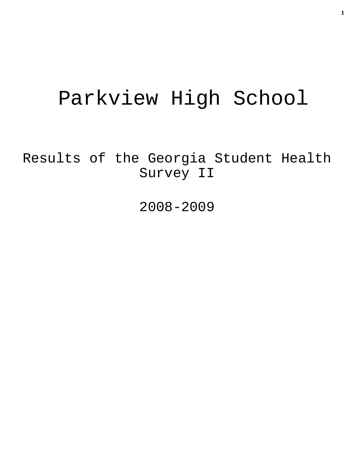# Parkview High School

Results of the Georgia Student Health Survey II

2008-2009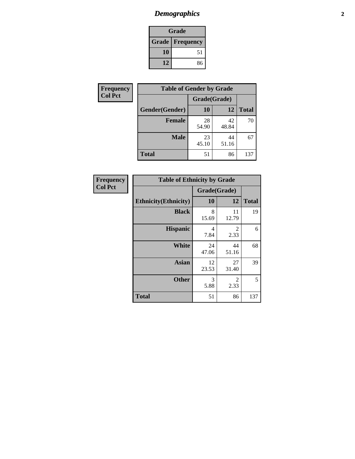# *Demographics* **2**

| Grade                    |    |  |  |  |
|--------------------------|----|--|--|--|
| <b>Grade   Frequency</b> |    |  |  |  |
| 10                       | 51 |  |  |  |
| 12                       | 86 |  |  |  |

| Frequency      | <b>Table of Gender by Grade</b> |              |             |              |  |
|----------------|---------------------------------|--------------|-------------|--------------|--|
| <b>Col Pct</b> |                                 | Grade(Grade) |             |              |  |
|                | Gender(Gender)                  | <b>10</b>    | 12          | <b>Total</b> |  |
|                | <b>Female</b>                   | 28<br>54.90  | 42<br>48.84 | 70           |  |
|                | <b>Male</b>                     | 23<br>45.10  | 44<br>51.16 | 67           |  |
|                | <b>Total</b>                    | 51           | 86          | 137          |  |

| <b>Frequency</b><br>Col Pct |
|-----------------------------|
|                             |

| <b>Table of Ethnicity by Grade</b> |              |                        |              |  |  |  |
|------------------------------------|--------------|------------------------|--------------|--|--|--|
|                                    | Grade(Grade) |                        |              |  |  |  |
| <b>Ethnicity</b> (Ethnicity)       | 10           | 12                     | <b>Total</b> |  |  |  |
| <b>Black</b>                       | 8<br>15.69   | 11<br>12.79            | 19           |  |  |  |
| <b>Hispanic</b>                    | 4<br>7.84    | $\mathfrak{D}$<br>2.33 | 6            |  |  |  |
| White                              | 24<br>47.06  | 44<br>51.16            | 68           |  |  |  |
| <b>Asian</b>                       | 12<br>23.53  | 27<br>31.40            | 39           |  |  |  |
| <b>Other</b>                       | 3<br>5.88    | 2<br>2.33              | 5            |  |  |  |
| <b>Total</b>                       | 51           | 86                     | 137          |  |  |  |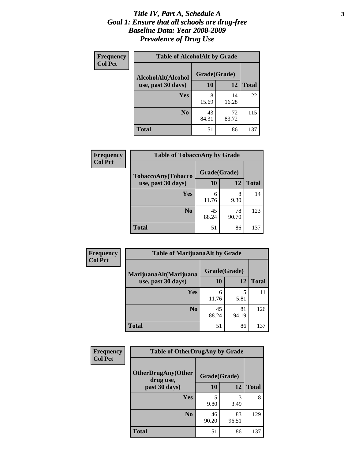### *Title IV, Part A, Schedule A* **3** *Goal 1: Ensure that all schools are drug-free Baseline Data: Year 2008-2009 Prevalence of Drug Use*

| Frequency<br><b>Col Pct</b> | <b>Table of AlcoholAlt by Grade</b> |              |             |              |  |  |
|-----------------------------|-------------------------------------|--------------|-------------|--------------|--|--|
|                             | AlcoholAlt(Alcohol                  | Grade(Grade) |             |              |  |  |
|                             | use, past 30 days)                  | <b>10</b>    | 12          | <b>Total</b> |  |  |
|                             | Yes                                 | 8<br>15.69   | 14<br>16.28 | 22           |  |  |
|                             | N <sub>0</sub>                      | 43<br>84.31  | 72<br>83.72 | 115          |  |  |
|                             | Total                               | 51           | 86          | 137          |  |  |

| <b>Frequency</b><br><b>Col Pct</b> | <b>Table of TobaccoAny by Grade</b> |              |             |              |  |
|------------------------------------|-------------------------------------|--------------|-------------|--------------|--|
|                                    | TobaccoAny(Tobacco                  | Grade(Grade) |             |              |  |
|                                    | use, past 30 days)                  | 10           | 12          | <b>Total</b> |  |
|                                    | Yes                                 | 6<br>11.76   | 8<br>9.30   | 14           |  |
|                                    | N <sub>0</sub>                      | 45<br>88.24  | 78<br>90.70 | 123          |  |
|                                    | <b>Total</b>                        | 51           | 86          | 137          |  |

| Frequency<br><b>Col Pct</b> | <b>Table of MarijuanaAlt by Grade</b>        |              |             |              |  |
|-----------------------------|----------------------------------------------|--------------|-------------|--------------|--|
|                             | MarijuanaAlt(Marijuana<br>use, past 30 days) | Grade(Grade) |             |              |  |
|                             |                                              | 10           | 12          | <b>Total</b> |  |
|                             | <b>Yes</b>                                   | 6<br>11.76   | 5<br>5.81   | 11           |  |
|                             | N <sub>0</sub>                               | 45<br>88.24  | 81<br>94.19 | 126          |  |
|                             | <b>Total</b>                                 | 51           | 86          | 137          |  |

| Frequency<br><b>Col Pct</b> | <b>Table of OtherDrugAny by Grade</b>                  |             |             |              |  |  |
|-----------------------------|--------------------------------------------------------|-------------|-------------|--------------|--|--|
|                             | <b>OtherDrugAny(Other</b><br>Grade(Grade)<br>drug use, |             |             |              |  |  |
|                             | past 30 days)                                          | 10          | 12          | <b>Total</b> |  |  |
|                             | Yes                                                    | 9.80        | 3<br>3.49   | 8            |  |  |
|                             | N <sub>0</sub>                                         | 46<br>90.20 | 83<br>96.51 | 129          |  |  |
|                             | <b>Total</b>                                           | 51          | 86          | 137          |  |  |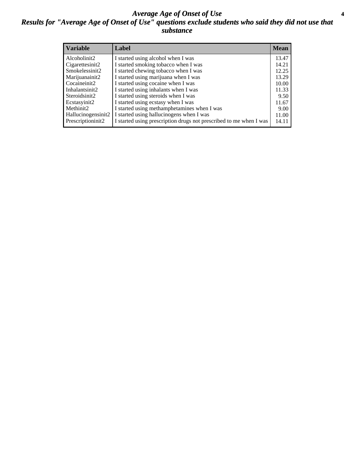### *Average Age of Onset of Use* **4** *Results for "Average Age of Onset of Use" questions exclude students who said they did not use that substance*

| <b>Variable</b>       | Label                                                              | <b>Mean</b> |
|-----------------------|--------------------------------------------------------------------|-------------|
| Alcoholinit2          | I started using alcohol when I was                                 | 13.47       |
| Cigarettesinit2       | I started smoking tobacco when I was                               | 14.21       |
| Smokelessinit2        | I started chewing tobacco when I was                               | 12.25       |
| Marijuanainit2        | I started using marijuana when I was                               | 13.29       |
| Cocaineinit2          | I started using cocaine when I was                                 | 10.00       |
| Inhalantsinit2        | I started using inhalants when I was                               | 11.33       |
| Steroidsinit2         | I started using steroids when I was                                | 9.50        |
| Ecstasyinit2          | I started using ecstasy when I was                                 | 11.67       |
| Methinit <sub>2</sub> | I started using methamphetamines when I was                        | 9.00        |
| Hallucinogensinit2    | I started using hallucinogens when I was                           | 11.00       |
| Prescriptioninit2     | I started using prescription drugs not prescribed to me when I was | 14.11       |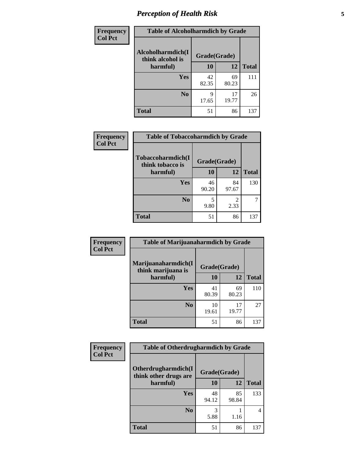# *Perception of Health Risk* **5**

| Frequency      | <b>Table of Alcoholharmdich by Grade</b> |              |             |              |  |
|----------------|------------------------------------------|--------------|-------------|--------------|--|
| <b>Col Pct</b> | Alcoholharmdich(I<br>think alcohol is    | Grade(Grade) |             |              |  |
|                | harmful)                                 | 10           | 12          | <b>Total</b> |  |
|                | <b>Yes</b>                               | 42<br>82.35  | 69<br>80.23 | 111          |  |
|                | N <sub>0</sub>                           | Q<br>17.65   | 17<br>19.77 | 26           |  |
|                | <b>Total</b>                             | 51           | 86          | 137          |  |

| <b>Frequency</b>                               | <b>Table of Tobaccoharmdich by Grade</b> |              |              |     |
|------------------------------------------------|------------------------------------------|--------------|--------------|-----|
| <b>Col Pct</b><br>think tobacco is<br>harmful) | Tobaccoharmdich(I                        | Grade(Grade) |              |     |
|                                                | 10                                       | 12           | <b>Total</b> |     |
|                                                | Yes                                      | 46<br>90.20  | 84<br>97.67  | 130 |
|                                                | N <sub>0</sub>                           | 5<br>9.80    | 2<br>2.33    |     |
|                                                | <b>Total</b>                             | 51           | 86           | 137 |

| Frequency<br><b>Col Pct</b> | <b>Table of Marijuanaharmdich by Grade</b>                |             |             |              |  |  |
|-----------------------------|-----------------------------------------------------------|-------------|-------------|--------------|--|--|
|                             | Marijuanaharmdich(I<br>Grade(Grade)<br>think marijuana is |             |             |              |  |  |
|                             | harmful)                                                  | 10          | 12          | <b>Total</b> |  |  |
|                             | Yes                                                       | 41<br>80.39 | 69<br>80.23 | 110          |  |  |
|                             | N <sub>0</sub>                                            | 10<br>19.61 | 17<br>19.77 | 27           |  |  |
|                             | <b>Total</b>                                              | 51          | 86          | 137          |  |  |

| Frequency      | <b>Table of Otherdrugharmdich by Grade</b>   |              |             |              |  |  |
|----------------|----------------------------------------------|--------------|-------------|--------------|--|--|
| <b>Col Pct</b> | Otherdrugharmdich(I<br>think other drugs are | Grade(Grade) |             |              |  |  |
|                | harmful)                                     | 10           | 12          | <b>Total</b> |  |  |
|                | Yes                                          | 48<br>94.12  | 85<br>98.84 | 133          |  |  |
|                | N <sub>0</sub>                               | 5.88         | 1.16        | 4            |  |  |
|                | <b>Total</b>                                 | 51           | 86          | 137          |  |  |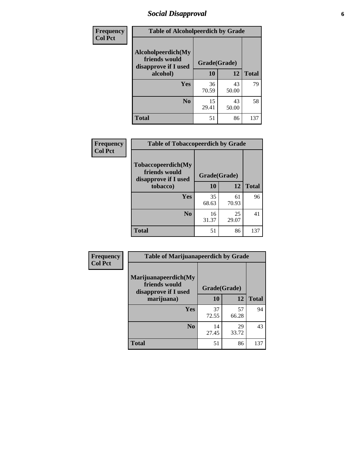# *Social Disapproval* **6**

| Frequency      | <b>Table of Alcoholpeerdich by Grade</b>                    |              |             |              |
|----------------|-------------------------------------------------------------|--------------|-------------|--------------|
| <b>Col Pct</b> | Alcoholpeerdich(My<br>friends would<br>disapprove if I used | Grade(Grade) |             |              |
|                | alcohol)                                                    | 10           | 12          | <b>Total</b> |
|                | <b>Yes</b>                                                  | 36<br>70.59  | 43<br>50.00 | 79           |
|                | N <sub>0</sub>                                              | 15<br>29.41  | 43<br>50.00 | 58           |
|                | <b>Total</b>                                                | 51           | 86          | 137          |

| <b>Frequency</b> |
|------------------|
| <b>Col Pct</b>   |

| <b>Table of Tobaccopeerdich by Grade</b>                    |              |             |              |  |  |  |
|-------------------------------------------------------------|--------------|-------------|--------------|--|--|--|
| Tobaccopeerdich(My<br>friends would<br>disapprove if I used | Grade(Grade) |             |              |  |  |  |
| tobacco)                                                    | 10           | 12          | <b>Total</b> |  |  |  |
| Yes                                                         | 35<br>68.63  | 61<br>70.93 | 96           |  |  |  |
| N <sub>0</sub>                                              | 16<br>31.37  | 25<br>29.07 | 41           |  |  |  |
| <b>Total</b>                                                | 51           | 86          | 137          |  |  |  |

| Frequency      | <b>Table of Marijuanapeerdich by Grade</b>                    |              |             |              |  |  |
|----------------|---------------------------------------------------------------|--------------|-------------|--------------|--|--|
| <b>Col Pct</b> | Marijuanapeerdich(My<br>friends would<br>disapprove if I used | Grade(Grade) |             |              |  |  |
|                | marijuana)                                                    | 10           | 12          | <b>Total</b> |  |  |
|                | <b>Yes</b>                                                    | 37<br>72.55  | 57<br>66.28 | 94           |  |  |
|                | N <sub>0</sub>                                                | 14<br>27.45  | 29<br>33.72 | 43           |  |  |
|                | <b>Total</b>                                                  | 51           | 86          | 137          |  |  |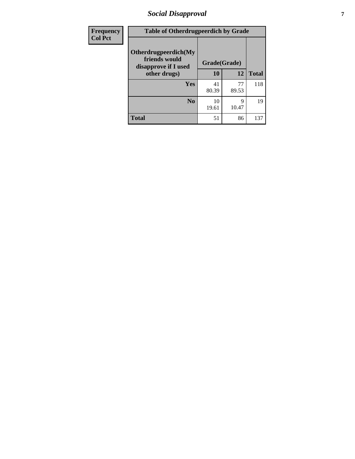# *Social Disapproval* **7**

| Frequency      | <b>Table of Otherdrugpeerdich by Grade</b>                    |              |             |              |  |
|----------------|---------------------------------------------------------------|--------------|-------------|--------------|--|
| <b>Col Pct</b> | Otherdrugpeerdich(My<br>friends would<br>disapprove if I used | Grade(Grade) |             |              |  |
|                | other drugs)                                                  | 10           | 12          | <b>Total</b> |  |
|                | Yes                                                           | 41<br>80.39  | 77<br>89.53 | 118          |  |
|                | N <sub>0</sub>                                                | 10<br>19.61  | 9<br>10.47  | 19           |  |
|                | <b>Total</b>                                                  | 51           | 86          | 137          |  |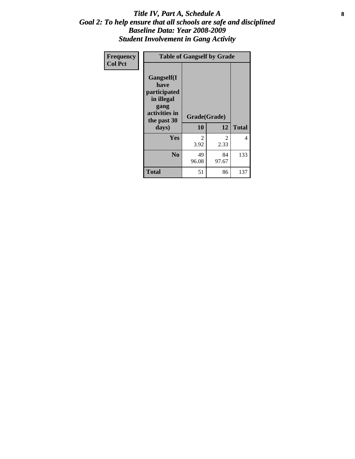### Title IV, Part A, Schedule A **8** *Goal 2: To help ensure that all schools are safe and disciplined Baseline Data: Year 2008-2009 Student Involvement in Gang Activity*

| Frequency      |                                                                                                   | <b>Table of Gangself by Grade</b> |             |              |
|----------------|---------------------------------------------------------------------------------------------------|-----------------------------------|-------------|--------------|
| <b>Col Pct</b> | Gangself(I<br>have<br>participated<br>in illegal<br>gang<br>activities in<br>the past 30<br>days) | Grade(Grade)<br>10                | 12          | <b>Total</b> |
|                | Yes                                                                                               | 2<br>3.92                         | 2<br>2.33   | 4            |
|                | N <sub>0</sub>                                                                                    | 49<br>96.08                       | 84<br>97.67 | 133          |
|                | <b>Total</b>                                                                                      | 51                                | 86          | 137          |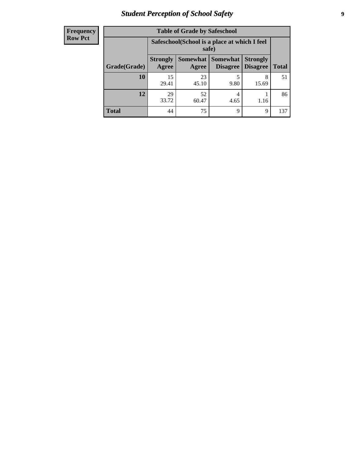# *Student Perception of School Safety* **9**

| <b>Frequency</b><br>Row Pct |
|-----------------------------|
|                             |

| <b>Table of Grade by Safeschool</b> |                          |                                                        |                             |                                    |              |  |
|-------------------------------------|--------------------------|--------------------------------------------------------|-----------------------------|------------------------------------|--------------|--|
|                                     |                          | Safeschool (School is a place at which I feel<br>safe) |                             |                                    |              |  |
| Grade(Grade)                        | <b>Strongly</b><br>Agree | Somewhat  <br>Agree                                    | <b>Somewhat</b><br>Disagree | <b>Strongly</b><br><b>Disagree</b> | <b>Total</b> |  |
| <b>10</b>                           | 15<br>29.41              | 23<br>45.10                                            | 9.80                        | 8<br>15.69                         | 51           |  |
| 12                                  | 29<br>33.72              | 52<br>60.47                                            | 4<br>4.65                   | 1.16                               | 86           |  |
| <b>Total</b>                        | 44                       | 75                                                     | 9                           | 9                                  | 137          |  |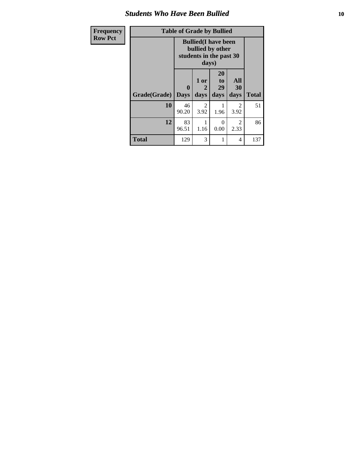### *Students Who Have Been Bullied* **10**

| <b>Frequency</b> |              | <b>Table of Grade by Bullied</b> |                                                                                     |                               |                        |              |
|------------------|--------------|----------------------------------|-------------------------------------------------------------------------------------|-------------------------------|------------------------|--------------|
| <b>Row Pct</b>   |              |                                  | <b>Bullied</b> (I have been<br>bullied by other<br>students in the past 30<br>days) |                               |                        |              |
|                  | Grade(Grade) | 0<br><b>Days</b>                 | 1 or<br>2<br>days                                                                   | <b>20</b><br>to<br>29<br>days | All<br>30<br>days      | <b>Total</b> |
|                  | 10           | 46<br>90.20                      | 2<br>3.92                                                                           | 1<br>1.96                     | $\overline{2}$<br>3.92 | 51           |
|                  | 12           | 83<br>96.51                      | 1.16                                                                                | $\Omega$<br>0.00              | $\mathfrak{D}$<br>2.33 | 86           |
|                  | <b>Total</b> | 129                              | 3                                                                                   | 1                             | 4                      | 137          |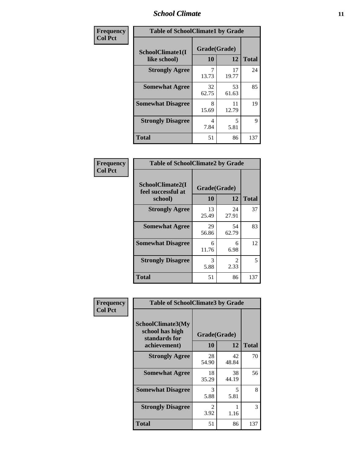### *School Climate* **11**

| Frequency      | <b>Table of SchoolClimate1 by Grade</b> |                    |             |              |  |  |
|----------------|-----------------------------------------|--------------------|-------------|--------------|--|--|
| <b>Col Pct</b> | SchoolClimate1(I<br>like school)        | Grade(Grade)<br>10 | 12          | <b>Total</b> |  |  |
|                | <b>Strongly Agree</b>                   | 7<br>13.73         | 17<br>19.77 | 24           |  |  |
|                | <b>Somewhat Agree</b>                   | 32<br>62.75        | 53<br>61.63 | 85           |  |  |
|                | <b>Somewhat Disagree</b>                | 8<br>15.69         | 11<br>12.79 | 19           |  |  |
|                | <b>Strongly Disagree</b>                | 4<br>7.84          | 5<br>5.81   | 9            |  |  |
|                | <b>Total</b>                            | 51                 | 86          | 137          |  |  |

| <b>Frequency</b> |  |
|------------------|--|
| <b>Col Pct</b>   |  |

| <b>Table of SchoolClimate2 by Grade</b>           |                    |             |              |  |  |
|---------------------------------------------------|--------------------|-------------|--------------|--|--|
| SchoolClimate2(I<br>feel successful at<br>school) | Grade(Grade)<br>10 | 12          | <b>Total</b> |  |  |
| <b>Strongly Agree</b>                             | 13<br>25.49        | 24<br>27.91 | 37           |  |  |
| <b>Somewhat Agree</b>                             | 29<br>56.86        | 54<br>62.79 | 83           |  |  |
| <b>Somewhat Disagree</b>                          | 6<br>11.76         | 6<br>6.98   | 12           |  |  |
| <b>Strongly Disagree</b>                          | 3<br>5.88          | 2<br>2.33   | 5            |  |  |
| <b>Total</b>                                      | 51                 | 86          | 137          |  |  |

| Frequency      | <b>Table of SchoolClimate3 by Grade</b>                      |                        |             |              |  |
|----------------|--------------------------------------------------------------|------------------------|-------------|--------------|--|
| <b>Col Pct</b> | <b>SchoolClimate3(My</b><br>school has high<br>standards for | Grade(Grade)           |             |              |  |
|                | achievement)                                                 | 10                     | 12          | <b>Total</b> |  |
|                | <b>Strongly Agree</b>                                        | 28<br>54.90            | 42<br>48.84 | 70           |  |
|                | <b>Somewhat Agree</b>                                        | 18<br>35.29            | 38<br>44.19 | 56           |  |
|                | <b>Somewhat Disagree</b>                                     | 3<br>5.88              | 5<br>5.81   | 8            |  |
|                | <b>Strongly Disagree</b>                                     | $\mathfrak{D}$<br>3.92 | 1.16        | 3            |  |
|                | <b>Total</b>                                                 | 51                     | 86          | 137          |  |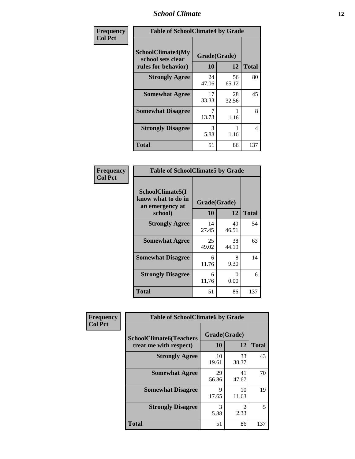### *School Climate* **12**

| Frequency      | <b>Table of SchoolClimate4 by Grade</b>                              |                    |             |              |
|----------------|----------------------------------------------------------------------|--------------------|-------------|--------------|
| <b>Col Pct</b> | <b>SchoolClimate4(My</b><br>school sets clear<br>rules for behavior) | Grade(Grade)<br>10 | 12          | <b>Total</b> |
|                | <b>Strongly Agree</b>                                                | 24<br>47.06        | 56<br>65.12 | 80           |
|                | <b>Somewhat Agree</b>                                                | 17<br>33.33        | 28<br>32.56 | 45           |
|                | <b>Somewhat Disagree</b>                                             | 7<br>13.73         | 1.16        | 8            |
|                | <b>Strongly Disagree</b>                                             | 3<br>5.88          | 1.16        | 4            |
|                | <b>Total</b>                                                         | 51                 | 86          | 137          |

| <b>Table of SchoolClimate5 by Grade</b>                              |                    |              |     |  |  |
|----------------------------------------------------------------------|--------------------|--------------|-----|--|--|
| SchoolClimate5(I<br>know what to do in<br>an emergency at<br>school) | Grade(Grade)<br>10 | <b>Total</b> |     |  |  |
|                                                                      |                    | 12           |     |  |  |
| <b>Strongly Agree</b>                                                | 14<br>27.45        | 40<br>46.51  | 54  |  |  |
| <b>Somewhat Agree</b>                                                | 25<br>49.02        | 38<br>44.19  | 63  |  |  |
| <b>Somewhat Disagree</b>                                             | 6<br>11.76         | 8<br>9.30    | 14  |  |  |
| <b>Strongly Disagree</b>                                             | 6<br>11.76         | 0<br>0.00    | 6   |  |  |
| Total                                                                | 51                 | 86           | 137 |  |  |

| Frequency      | <b>Table of SchoolClimate6 by Grade</b>                  |                    |             |              |  |
|----------------|----------------------------------------------------------|--------------------|-------------|--------------|--|
| <b>Col Pct</b> | <b>SchoolClimate6(Teachers</b><br>treat me with respect) | Grade(Grade)<br>10 | 12          | <b>Total</b> |  |
|                | <b>Strongly Agree</b>                                    | 10<br>19.61        | 33<br>38.37 | 43           |  |
|                | <b>Somewhat Agree</b>                                    | 29<br>56.86        | 41<br>47.67 | 70           |  |
|                | <b>Somewhat Disagree</b>                                 | 9<br>17.65         | 10<br>11.63 | 19           |  |
|                | <b>Strongly Disagree</b>                                 | 3<br>5.88          | 2.33        | 5            |  |
|                | <b>Total</b>                                             | 51                 | 86          | 137          |  |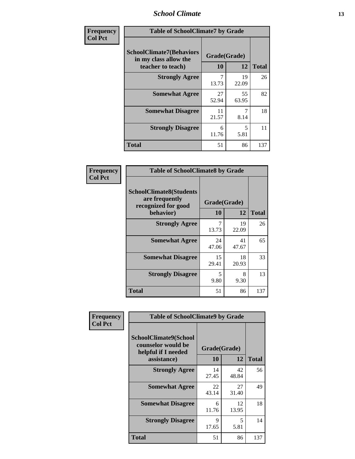### *School Climate* **13**

| Frequency      | <b>Table of SchoolClimate7 by Grade</b>                                       |                           |             |              |
|----------------|-------------------------------------------------------------------------------|---------------------------|-------------|--------------|
| <b>Col Pct</b> | <b>SchoolClimate7(Behaviors</b><br>in my class allow the<br>teacher to teach) | Grade(Grade)<br><b>10</b> | 12          | <b>Total</b> |
|                | <b>Strongly Agree</b>                                                         | $\overline{7}$<br>13.73   | 19<br>22.09 | 26           |
|                | <b>Somewhat Agree</b>                                                         | 27<br>52.94               | 55<br>63.95 | 82           |
|                | <b>Somewhat Disagree</b>                                                      | 11<br>21.57               | 7<br>8.14   | 18           |
|                | <b>Strongly Disagree</b>                                                      | 6<br>11.76                | 5<br>5.81   | 11           |
|                | <b>Total</b>                                                                  | 51                        | 86          | 137          |

| Frequency      | <b>Table of SchoolClimate8 by Grade</b>                                 |              |             |              |
|----------------|-------------------------------------------------------------------------|--------------|-------------|--------------|
| <b>Col Pct</b> | <b>SchoolClimate8(Students</b><br>are frequently<br>recognized for good | Grade(Grade) |             |              |
|                | behavior)                                                               | 10           | 12          | <b>Total</b> |
|                | <b>Strongly Agree</b>                                                   | 7<br>13.73   | 19<br>22.09 | 26           |
|                | <b>Somewhat Agree</b>                                                   | 24<br>47.06  | 41<br>47.67 | 65           |
|                | <b>Somewhat Disagree</b>                                                | 15<br>29.41  | 18<br>20.93 | 33           |
|                | <b>Strongly Disagree</b>                                                | 5<br>9.80    | 8<br>9.30   | 13           |
|                | <b>Total</b>                                                            | 51           | 86          | 137          |

| Frequency      | <b>Table of SchoolClimate9 by Grade</b>                                           |                    |             |              |
|----------------|-----------------------------------------------------------------------------------|--------------------|-------------|--------------|
| <b>Col Pct</b> | SchoolClimate9(School<br>counselor would be<br>helpful if I needed<br>assistance) | Grade(Grade)<br>10 | 12          | <b>Total</b> |
|                | <b>Strongly Agree</b>                                                             | 14<br>27.45        | 42<br>48.84 | 56           |
|                | <b>Somewhat Agree</b>                                                             | 22<br>43.14        | 27<br>31.40 | 49           |
|                | <b>Somewhat Disagree</b>                                                          | 6<br>11.76         | 12<br>13.95 | 18           |
|                | <b>Strongly Disagree</b>                                                          | 9<br>17.65         | 5<br>5.81   | 14           |
|                | <b>Total</b>                                                                      | 51                 | 86          | 137          |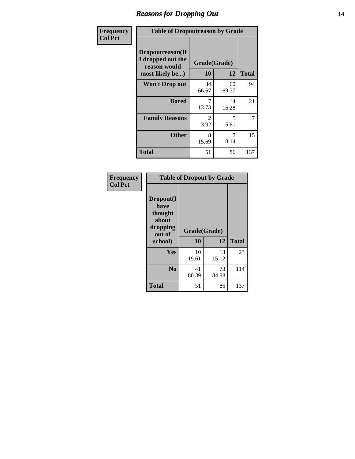### *Reasons for Dropping Out* **14**

| Frequency      | <b>Table of Dropoutreason by Grade</b>                                   |                        |             |              |
|----------------|--------------------------------------------------------------------------|------------------------|-------------|--------------|
| <b>Col Pct</b> | Dropoutreason(If<br>I dropped out the<br>reason would<br>most likely be) | Grade(Grade)<br>10     | 12          | <b>Total</b> |
|                | <b>Won't Drop out</b>                                                    | 34<br>66.67            | 60<br>69.77 | 94           |
|                | <b>Bored</b>                                                             | 7<br>13.73             | 14<br>16.28 | 21           |
|                | <b>Family Reasons</b>                                                    | $\mathfrak{D}$<br>3.92 | 5<br>5.81   | 7            |
|                | <b>Other</b>                                                             | 8<br>15.69             | 8.14        | 15           |
|                | Total                                                                    | 51                     | 86          | 137          |

| Frequency<br><b>Col Pct</b> | <b>Table of Dropout by Grade</b>                                       |                    |             |              |  |
|-----------------------------|------------------------------------------------------------------------|--------------------|-------------|--------------|--|
|                             | Dropout(I<br>have<br>thought<br>about<br>dropping<br>out of<br>school) | Grade(Grade)<br>10 | 12          | <b>Total</b> |  |
|                             | <b>Yes</b>                                                             | 10<br>19.61        | 13<br>15.12 | 23           |  |
|                             | N <sub>0</sub>                                                         | 41<br>80.39        | 73<br>84.88 | 114          |  |
|                             | <b>Total</b>                                                           | 51                 | 86          | 137          |  |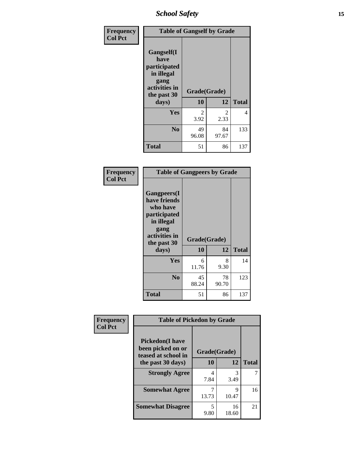*School Safety* **15**

| Frequency      |                                                                                          | <b>Table of Gangself by Grade</b> |                       |              |  |
|----------------|------------------------------------------------------------------------------------------|-----------------------------------|-----------------------|--------------|--|
| <b>Col Pct</b> | Gangself(I<br>have<br>participated<br>in illegal<br>gang<br>activities in<br>the past 30 | Grade(Grade)<br>10                | 12                    | <b>Total</b> |  |
|                | days)                                                                                    |                                   |                       |              |  |
|                | Yes                                                                                      | $\mathcal{L}$<br>3.92             | $\mathcal{L}$<br>2.33 | 4            |  |
|                | N <sub>0</sub>                                                                           | 49<br>96.08                       | 84<br>97.67           | 133          |  |
|                | <b>Total</b>                                                                             | 51                                | 86                    | 137          |  |

| Frequency<br><b>Col Pct</b> | <b>Table of Gangpeers by Grade</b>                                                                                             |                    |             |              |
|-----------------------------|--------------------------------------------------------------------------------------------------------------------------------|--------------------|-------------|--------------|
|                             | <b>Gangpeers</b> (I<br>have friends<br>who have<br>participated<br>in illegal<br>gang<br>activities in<br>the past 30<br>days) | Grade(Grade)<br>10 | 12          | <b>Total</b> |
|                             | Yes                                                                                                                            | 6<br>11.76         | 8<br>9.30   | 14           |
|                             | N <sub>0</sub>                                                                                                                 | 45<br>88.24        | 78<br>90.70 | 123          |
|                             | <b>Total</b>                                                                                                                   | 51                 | 86          | 137          |

| Frequency      |                                                                    | <b>Table of Pickedon by Grade</b> |             |              |  |  |  |  |  |  |
|----------------|--------------------------------------------------------------------|-----------------------------------|-------------|--------------|--|--|--|--|--|--|
| <b>Col Pct</b> | <b>Pickedon(I have</b><br>been picked on or<br>teased at school in | Grade(Grade)                      |             |              |  |  |  |  |  |  |
|                | the past 30 days)                                                  | 10                                | 12          | <b>Total</b> |  |  |  |  |  |  |
|                | <b>Strongly Agree</b>                                              | 4<br>7.84                         | 3<br>3.49   |              |  |  |  |  |  |  |
|                | <b>Somewhat Agree</b>                                              | 13.73                             | 9<br>10.47  | 16           |  |  |  |  |  |  |
|                | <b>Somewhat Disagree</b>                                           | 5<br>9.80                         | 16<br>18.60 | 21           |  |  |  |  |  |  |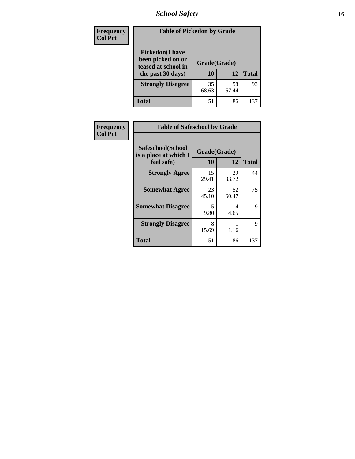*School Safety* **16**

| <b>Frequency</b> | <b>Table of Pickedon by Grade</b>                                                        |                    |             |              |
|------------------|------------------------------------------------------------------------------------------|--------------------|-------------|--------------|
| <b>Col Pct</b>   | <b>Pickedon</b> (I have<br>been picked on or<br>teased at school in<br>the past 30 days) | Grade(Grade)<br>10 | 12          | <b>Total</b> |
|                  | <b>Strongly Disagree</b>                                                                 | 35<br>68.63        | 58<br>67.44 | 93           |
|                  | Total                                                                                    | 51                 | 86          | 131          |

| Frequency      | <b>Table of Safeschool by Grade</b>                      |                    |             |              |
|----------------|----------------------------------------------------------|--------------------|-------------|--------------|
| <b>Col Pct</b> | Safeschool(School<br>is a place at which I<br>feel safe) | Grade(Grade)<br>10 | 12          | <b>Total</b> |
|                | <b>Strongly Agree</b>                                    | 15<br>29.41        | 29<br>33.72 | 44           |
|                | <b>Somewhat Agree</b>                                    | 23<br>45.10        | 52<br>60.47 | 75           |
|                | <b>Somewhat Disagree</b>                                 | 5<br>9.80          | 4<br>4.65   | 9            |
|                | <b>Strongly Disagree</b>                                 | 8<br>15.69         | 1.16        | 9            |
|                | <b>Total</b>                                             | 51                 | 86          | 137          |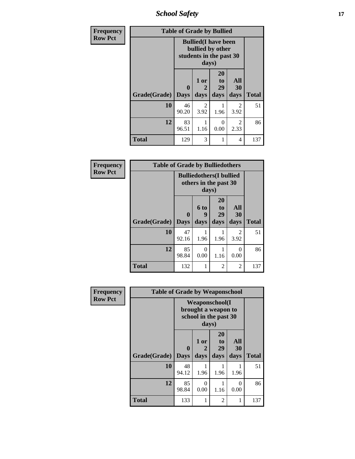*School Safety* **17**

| <b>Frequency</b> | <b>Table of Grade by Bullied</b> |                            |                   |                                                                            |                          |              |  |  |
|------------------|----------------------------------|----------------------------|-------------------|----------------------------------------------------------------------------|--------------------------|--------------|--|--|
| <b>Row Pct</b>   |                                  |                            | days)             | <b>Bullied</b> (I have been<br>bullied by other<br>students in the past 30 |                          |              |  |  |
|                  | Grade(Grade)                     | $\mathbf 0$<br><b>Days</b> | 1 or<br>2<br>days | <b>20</b><br>to<br>29<br>days                                              | <b>All</b><br>30<br>days | <b>Total</b> |  |  |
|                  | 10                               | 46<br>90.20                | 2<br>3.92         | 1.96                                                                       | $\mathcal{L}$<br>3.92    | 51           |  |  |
|                  | 12                               | 83<br>96.51                | 1<br>1.16         | $\Omega$<br>0.00                                                           | 2<br>2.33                | 86           |  |  |
|                  | <b>Total</b>                     | 129                        | 3                 | 1                                                                          | 4                        | 137          |  |  |

| Frequency      | <b>Table of Grade by Bulliedothers</b> |             |                                                                   |                               |                   |              |  |  |  |
|----------------|----------------------------------------|-------------|-------------------------------------------------------------------|-------------------------------|-------------------|--------------|--|--|--|
| <b>Row Pct</b> |                                        |             | <b>Bulliedothers</b> (I bullied<br>others in the past 30<br>days) |                               |                   |              |  |  |  |
|                | <b>Grade</b> (Grade) Days              | $\bf{0}$    | 6 to<br>9<br>days                                                 | <b>20</b><br>to<br>29<br>days | All<br>30<br>days | <b>Total</b> |  |  |  |
|                | 10                                     | 47<br>92.16 | 1.96                                                              | 1.96                          | 2<br>3.92         | 51           |  |  |  |
|                | 12                                     | 85<br>98.84 | 0<br>0.00                                                         | 1.16                          | $\Omega$<br>0.00  | 86           |  |  |  |
|                | <b>Total</b>                           | 132         | 1                                                                 | $\mathfrak{D}$                | $\overline{2}$    | 137          |  |  |  |

| Frequency      | <b>Table of Grade by Weaponschool</b> |                             |                   |                                                                        |                   |              |  |  |
|----------------|---------------------------------------|-----------------------------|-------------------|------------------------------------------------------------------------|-------------------|--------------|--|--|
| <b>Row Pct</b> |                                       |                             | days)             | <b>Weaponschool</b> (I<br>brought a weapon to<br>school in the past 30 |                   |              |  |  |
|                | Grade(Grade)                          | $\mathbf{0}$<br><b>Days</b> | 1 or<br>2<br>days | <b>20</b><br>to<br>29<br>days                                          | All<br>30<br>days | <b>Total</b> |  |  |
|                | 10                                    | 48<br>94.12                 | 1.96              | 1.96                                                                   | 1.96              | 51           |  |  |
|                | 12                                    | 85<br>98.84                 | 0<br>0.00         | 1.16                                                                   | $\Omega$<br>0.00  | 86           |  |  |
|                | <b>Total</b>                          | 133                         | 1                 | 2                                                                      | 1                 | 137          |  |  |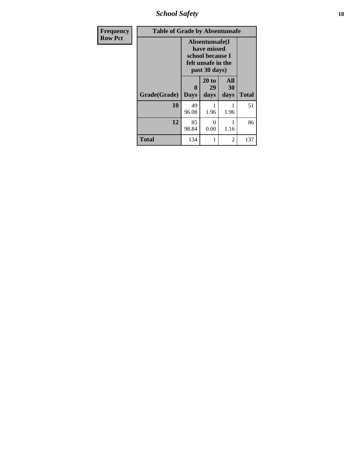*School Safety* **18**

| <b>Frequency</b> | <b>Table of Grade by Absentunsafe</b> |                  |                                                                                           |                   |              |  |  |  |
|------------------|---------------------------------------|------------------|-------------------------------------------------------------------------------------------|-------------------|--------------|--|--|--|
| <b>Row Pct</b>   |                                       |                  | Absentunsafe(I)<br>have missed<br>school because I<br>felt unsafe in the<br>past 30 days) |                   |              |  |  |  |
|                  | Grade(Grade)                          | 0<br><b>Days</b> | 20 to<br>29<br>days                                                                       | All<br>30<br>days | <b>Total</b> |  |  |  |
|                  | 10                                    | 49<br>96.08      | 1.96                                                                                      | 1.96              | 51           |  |  |  |
|                  | 12                                    | 85<br>98.84      | 0<br>0.00                                                                                 | 1<br>1.16         | 86           |  |  |  |
|                  | <b>Total</b>                          | 134              |                                                                                           | 2                 | 137          |  |  |  |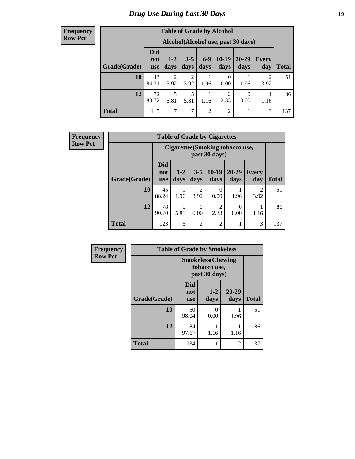# *Drug Use During Last 30 Days* **19**

#### **Frequency Row Pct**

| <b>Table of Grade by Alcohol</b> |                                 |                                    |                        |                |                        |               |              |              |  |
|----------------------------------|---------------------------------|------------------------------------|------------------------|----------------|------------------------|---------------|--------------|--------------|--|
|                                  |                                 | Alcohol(Alcohol use, past 30 days) |                        |                |                        |               |              |              |  |
| Grade(Grade)                     | <b>Did</b><br>not<br><b>use</b> | $1-2$<br>days                      | $3 - 5$<br>days        | $6-9$<br>days  | $10-19$<br>days        | 20-29<br>days | Every<br>day | <b>Total</b> |  |
| 10                               | 43<br>84.31                     | 2<br>3.92                          | $\mathfrak{D}$<br>3.92 | 1.96           | 0<br>0.00              | 1.96          | 2<br>3.92    | 51           |  |
| 12                               | 72<br>83.72                     | 5<br>5.81                          | 5<br>5.81              | 1<br>1.16      | $\overline{2}$<br>2.33 | 0<br>0.00     | 1.16         | 86           |  |
| <b>Total</b>                     | 115                             | 7                                  | 7                      | $\overline{2}$ | $\overline{2}$         |               | 3            | 137          |  |

| Frequency      |              |                                                         | <b>Table of Grade by Cigarettes</b> |                        |                  |                   |                        |              |  |  |
|----------------|--------------|---------------------------------------------------------|-------------------------------------|------------------------|------------------|-------------------|------------------------|--------------|--|--|
| <b>Row Pct</b> |              | <b>Cigarettes(Smoking tobacco use,</b><br>past 30 days) |                                     |                        |                  |                   |                        |              |  |  |
|                | Grade(Grade) | <b>Did</b><br>not<br><b>use</b>                         | $1 - 2$<br>days                     | $3 - 5$<br>days        | $10-19$<br>days  | $20 - 29$<br>days | <b>Every</b><br>day    | <b>Total</b> |  |  |
|                | 10           | 45<br>88.24                                             | 1.96                                | $\overline{c}$<br>3.92 | $\Omega$<br>0.00 | 1.96              | $\overline{2}$<br>3.92 | 51           |  |  |
|                | 12           | 78<br>90.70                                             | 5<br>5.81                           | $\Omega$<br>0.00       | 2<br>2.33        | 0.00              | 1.16                   | 86           |  |  |
|                | <b>Total</b> | 123                                                     | 6                                   | 2                      | 2                |                   | 3                      | 137          |  |  |

| Frequency      |              | <b>Table of Grade by Smokeless</b>                         |                  |                   |              |  |  |  |
|----------------|--------------|------------------------------------------------------------|------------------|-------------------|--------------|--|--|--|
| <b>Row Pct</b> |              | <b>Smokeless</b> (Chewing<br>tobacco use,<br>past 30 days) |                  |                   |              |  |  |  |
|                | Grade(Grade) | <b>Did</b><br>not<br><b>use</b>                            | $1 - 2$<br>days  | $20 - 29$<br>days | <b>Total</b> |  |  |  |
|                | 10           | 50<br>98.04                                                | $\Omega$<br>0.00 | 1.96              | 51           |  |  |  |
|                | 12           | 84<br>97.67                                                | 1.16             | 1.16              | 86           |  |  |  |
|                | <b>Total</b> | 134                                                        |                  | $\overline{2}$    | 137          |  |  |  |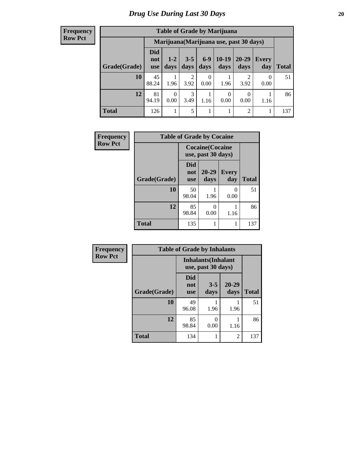#### **Frequency Row Pct**

| <b>Table of Grade by Marijuana</b> |                          |                                         |                 |                  |                  |                        |              |       |  |
|------------------------------------|--------------------------|-----------------------------------------|-----------------|------------------|------------------|------------------------|--------------|-------|--|
|                                    |                          | Marijuana (Marijuana use, past 30 days) |                 |                  |                  |                        |              |       |  |
| Grade(Grade)                       | Did<br>not<br><b>use</b> | $1 - 2$<br>days                         | $3 - 5$<br>days | $6 - 9$<br>days  | $10-19$<br>days  | 20-29<br>days          | Every<br>day | Total |  |
| 10                                 | 45<br>88.24              | 1.96                                    | 2<br>3.92       | $\theta$<br>0.00 | 1.96             | $\mathfrak{D}$<br>3.92 | 0<br>0.00    | 51    |  |
| 12                                 | 81<br>94.19              | $\Omega$<br>0.00                        | 3<br>3.49       | 1.16             | $\theta$<br>0.00 | 0<br>0.00              | 1.16         | 86    |  |
| <b>Total</b>                       | 126                      |                                         | 5               | 1                |                  | $\overline{2}$         |              | 137   |  |

| Frequency      | <b>Table of Grade by Cocaine</b> |                                 |                                               |                     |              |  |  |  |  |  |
|----------------|----------------------------------|---------------------------------|-----------------------------------------------|---------------------|--------------|--|--|--|--|--|
| <b>Row Pct</b> |                                  |                                 | <b>Cocaine</b> (Cocaine<br>use, past 30 days) |                     |              |  |  |  |  |  |
|                | Grade(Grade)                     | <b>Did</b><br>not<br><b>use</b> | 20-29<br>days                                 | <b>Every</b><br>day | <b>Total</b> |  |  |  |  |  |
|                | 10                               | 50<br>98.04                     | 1.96                                          | 0<br>0.00           | 51           |  |  |  |  |  |
|                | 12                               | 85<br>98.84                     | 0<br>0.00                                     | 1.16                | 86           |  |  |  |  |  |
|                | <b>Total</b>                     | 135                             | 1                                             | 1                   | 137          |  |  |  |  |  |

| Frequency      | <b>Table of Grade by Inhalants</b> |                                                  |                 |                   |              |
|----------------|------------------------------------|--------------------------------------------------|-----------------|-------------------|--------------|
| <b>Row Pct</b> |                                    | <b>Inhalants</b> (Inhalant<br>use, past 30 days) |                 |                   |              |
|                | Grade(Grade)                       | <b>Did</b><br>not<br><b>use</b>                  | $3 - 5$<br>days | $20 - 29$<br>days | <b>Total</b> |
|                | 10                                 | 49<br>96.08                                      | 1.96            | 1.96              | 51           |
|                | 12                                 | 85<br>98.84                                      | 0<br>0.00       | 1.16              | 86           |
|                | <b>Total</b>                       | 134                                              |                 | 2                 | 137          |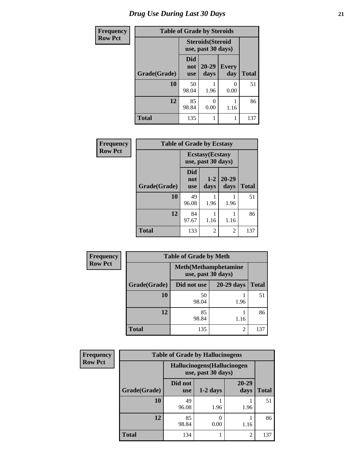| <b>Frequency</b> | <b>Table of Grade by Steroids</b> |                          |                                                |                     |              |  |
|------------------|-----------------------------------|--------------------------|------------------------------------------------|---------------------|--------------|--|
| <b>Row Pct</b>   |                                   |                          | <b>Steroids</b> (Steroid<br>use, past 30 days) |                     |              |  |
|                  | Grade(Grade)                      | Did<br>not<br><b>use</b> | $20 - 29$<br>days                              | <b>Every</b><br>day | <b>Total</b> |  |
|                  | 10                                | 50<br>98.04              | 1.96                                           | 0<br>0.00           | 51           |  |
|                  | 12                                | 85<br>98.84              | 0.00                                           | 1.16                | 86           |  |
|                  | <b>Total</b>                      | 135                      |                                                |                     | 137          |  |

| Frequency      | <b>Table of Grade by Ecstasy</b> |                                               |                 |                   |              |
|----------------|----------------------------------|-----------------------------------------------|-----------------|-------------------|--------------|
| <b>Row Pct</b> |                                  | <b>Ecstasy</b> (Ecstasy<br>use, past 30 days) |                 |                   |              |
|                | Grade(Grade)                     | Did<br>not<br><b>use</b>                      | $1 - 2$<br>days | $20 - 29$<br>days | <b>Total</b> |
|                | 10                               | 49<br>96.08                                   | 1.96            | 1.96              | 51           |
|                | 12                               | 84<br>97.67                                   | 1.16            | 1.16              | 86           |
|                | <b>Total</b>                     | 133                                           | 2               | 2                 | 137          |

| <b>Frequency</b> | <b>Table of Grade by Meth</b> |             |                |              |  |
|------------------|-------------------------------|-------------|----------------|--------------|--|
| <b>Row Pct</b>   |                               |             |                |              |  |
|                  | Grade(Grade)                  | Did not use | 20-29 days     | <b>Total</b> |  |
|                  | 10                            | 50<br>98.04 | 1.96           | 51           |  |
|                  | 12                            | 85<br>98.84 | 1.16           | 86           |  |
|                  | <b>Total</b>                  | 135         | $\mathfrak{D}$ | 137          |  |

| <b>Frequency</b> | <b>Table of Grade by Hallucinogens</b> |                                                   |            |                |              |  |  |
|------------------|----------------------------------------|---------------------------------------------------|------------|----------------|--------------|--|--|
| <b>Row Pct</b>   |                                        | Hallucinogens (Hallucinogen<br>use, past 30 days) |            |                |              |  |  |
|                  | Grade(Grade)                           | Did not<br><b>use</b>                             | $1-2$ days | 20-29<br>days  | <b>Total</b> |  |  |
|                  | 10                                     | 49<br>96.08                                       | 1.96       | 1.96           | 51           |  |  |
|                  | 12                                     | 85<br>98.84                                       | 0<br>0.00  | 1.16           | 86           |  |  |
|                  | <b>Total</b>                           | 134                                               |            | $\overline{2}$ | 137          |  |  |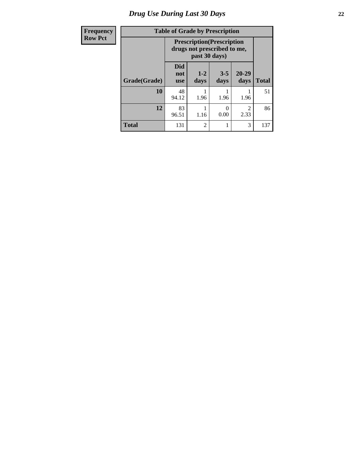# *Drug Use During Last 30 Days* **22**

| Frequency      | <b>Table of Grade by Prescription</b> |                                 |                |                                                                  |                        |              |
|----------------|---------------------------------------|---------------------------------|----------------|------------------------------------------------------------------|------------------------|--------------|
| <b>Row Pct</b> |                                       |                                 | past 30 days)  | <b>Prescription</b> (Prescription<br>drugs not prescribed to me, |                        |              |
|                | Grade(Grade)                          | <b>Did</b><br>not<br><b>use</b> | $1-2$<br>days  | $3 - 5$<br>days                                                  | 20-29<br>days          | <b>Total</b> |
|                | 10                                    | 48<br>94.12                     | 1.96           | 1.96                                                             | 1.96                   | 51           |
|                | 12                                    | 83<br>96.51                     | 1.16           | 0<br>0.00                                                        | $\mathfrak{D}$<br>2.33 | 86           |
|                | <b>Total</b>                          | 131                             | $\overline{c}$ | 1                                                                | 3                      | 137          |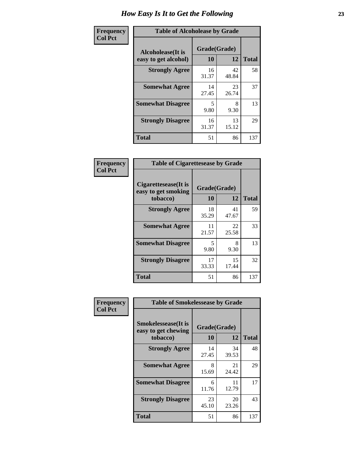| Frequency      | <b>Table of Alcoholease by Grade</b>              |                    |             |              |  |
|----------------|---------------------------------------------------|--------------------|-------------|--------------|--|
| <b>Col Pct</b> | <b>Alcoholease</b> (It is<br>easy to get alcohol) | Grade(Grade)<br>10 | 12          | <b>Total</b> |  |
|                | <b>Strongly Agree</b>                             | 16<br>31.37        | 42<br>48.84 | 58           |  |
|                | <b>Somewhat Agree</b>                             | 14<br>27.45        | 23<br>26.74 | 37           |  |
|                | <b>Somewhat Disagree</b>                          | 5<br>9.80          | 8<br>9.30   | 13           |  |
|                | <b>Strongly Disagree</b>                          | 16<br>31.37        | 13<br>15.12 | 29           |  |
|                | <b>Total</b>                                      | 51                 | 86          | 137          |  |

| Frequency<br>Col Pct |  |
|----------------------|--|
|                      |  |

| <b>Table of Cigarettesease by Grade</b>                 |                    |             |              |  |  |
|---------------------------------------------------------|--------------------|-------------|--------------|--|--|
| Cigarettesease(It is<br>easy to get smoking<br>tobacco) | Grade(Grade)<br>10 | 12          | <b>Total</b> |  |  |
| <b>Strongly Agree</b>                                   | 18<br>35.29        | 41<br>47.67 | 59           |  |  |
| <b>Somewhat Agree</b>                                   | 11<br>21.57        | 22<br>25.58 | 33           |  |  |
| <b>Somewhat Disagree</b>                                | 5<br>9.80          | 8<br>9.30   | 13           |  |  |
| <b>Strongly Disagree</b>                                | 17<br>33.33        | 15<br>17.44 | 32           |  |  |
| <b>Total</b>                                            | 51                 | 86          | 137          |  |  |

| Frequency      | <b>Table of Smokelessease by Grade</b>                         |                    |             |              |  |  |
|----------------|----------------------------------------------------------------|--------------------|-------------|--------------|--|--|
| <b>Col Pct</b> | <b>Smokelessease</b> (It is<br>easy to get chewing<br>tobacco) | Grade(Grade)<br>10 | 12          | <b>Total</b> |  |  |
|                | <b>Strongly Agree</b>                                          | 14<br>27.45        | 34<br>39.53 | 48           |  |  |
|                | <b>Somewhat Agree</b>                                          | 8<br>15.69         | 21<br>24.42 | 29           |  |  |
|                | <b>Somewhat Disagree</b>                                       | 6<br>11.76         | 11<br>12.79 | 17           |  |  |
|                | <b>Strongly Disagree</b>                                       | 23<br>45.10        | 20<br>23.26 | 43           |  |  |
|                | <b>Total</b>                                                   | 51                 | 86          | 137          |  |  |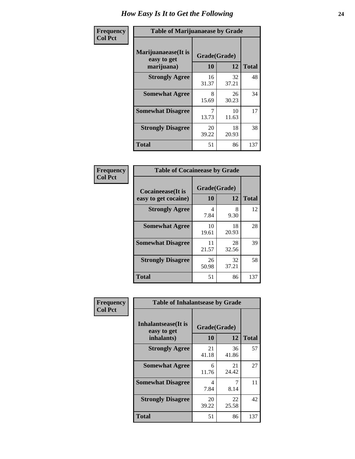| Frequency      | <b>Table of Marijuanaease by Grade</b>           |                    |             |              |  |
|----------------|--------------------------------------------------|--------------------|-------------|--------------|--|
| <b>Col Pct</b> | Marijuanaease(It is<br>easy to get<br>marijuana) | Grade(Grade)<br>10 | 12          | <b>Total</b> |  |
|                | <b>Strongly Agree</b>                            | 16<br>31.37        | 32<br>37.21 | 48           |  |
|                | <b>Somewhat Agree</b>                            | 8<br>15.69         | 26<br>30.23 | 34           |  |
|                | <b>Somewhat Disagree</b>                         | 13.73              | 10<br>11.63 | 17           |  |
|                | <b>Strongly Disagree</b>                         | 20<br>39.22        | 18<br>20.93 | 38           |  |
|                | <b>Total</b>                                     | 51                 | 86          | 137          |  |

| <b>Table of Cocaineease by Grade</b>      |                    |              |     |  |  |
|-------------------------------------------|--------------------|--------------|-----|--|--|
| Cocaineease(It is<br>easy to get cocaine) | Grade(Grade)<br>10 | <b>Total</b> |     |  |  |
| <b>Strongly Agree</b>                     | 4<br>7.84          | 8<br>9.30    | 12  |  |  |
| <b>Somewhat Agree</b>                     | 10<br>19.61        | 18<br>20.93  | 28  |  |  |
| <b>Somewhat Disagree</b>                  | 11<br>21.57        | 28<br>32.56  | 39  |  |  |
| <b>Strongly Disagree</b>                  | 26<br>50.98        | 32<br>37.21  | 58  |  |  |
| <b>Total</b>                              | 51                 | 86           | 137 |  |  |

| Frequency      | <b>Table of Inhalantsease by Grade</b>           |                    |                   |     |
|----------------|--------------------------------------------------|--------------------|-------------------|-----|
| <b>Col Pct</b> | Inhalantsease(It is<br>easy to get<br>inhalants) | Grade(Grade)<br>10 | <b>Total</b>      |     |
|                | <b>Strongly Agree</b>                            | 21<br>41.18        | 12<br>36<br>41.86 | 57  |
|                | <b>Somewhat Agree</b>                            | 6<br>11.76         | 21<br>24.42       | 27  |
|                | <b>Somewhat Disagree</b>                         | 4<br>7.84          | 7<br>8.14         | 11  |
|                | <b>Strongly Disagree</b>                         | 20<br>39.22        | 22<br>25.58       | 42  |
|                | <b>Total</b>                                     | 51                 | 86                | 137 |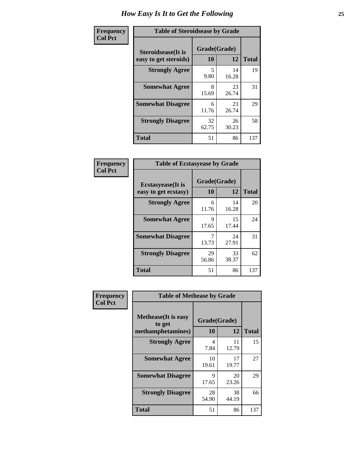| Frequency      | <b>Table of Steroidsease by Grade</b>       |                    |              |     |  |  |  |  |
|----------------|---------------------------------------------|--------------------|--------------|-----|--|--|--|--|
| <b>Col Pct</b> | Steroidsease(It is<br>easy to get steroids) | Grade(Grade)<br>10 | <b>Total</b> |     |  |  |  |  |
|                | <b>Strongly Agree</b>                       | 5<br>9.80          | 14<br>16.28  | 19  |  |  |  |  |
|                | <b>Somewhat Agree</b>                       | 8<br>15.69         | 23<br>26.74  | 31  |  |  |  |  |
|                | <b>Somewhat Disagree</b>                    | 6<br>11.76         | 23<br>26.74  | 29  |  |  |  |  |
|                | <b>Strongly Disagree</b>                    | 32<br>62.75        | 26<br>30.23  | 58  |  |  |  |  |
|                | <b>Total</b>                                | 51                 | 86           | 137 |  |  |  |  |

| Frequency      | <b>Table of Ecstasyease by Grade</b>              |                           |              |     |  |  |  |
|----------------|---------------------------------------------------|---------------------------|--------------|-----|--|--|--|
| <b>Col Pct</b> | <b>Ecstasyease</b> (It is<br>easy to get ecstasy) | Grade(Grade)<br><b>10</b> | <b>Total</b> |     |  |  |  |
|                | <b>Strongly Agree</b>                             | 6<br>11.76                | 14<br>16.28  | 20  |  |  |  |
|                | <b>Somewhat Agree</b>                             | 9<br>17.65                | 15<br>17.44  | 24  |  |  |  |
|                | <b>Somewhat Disagree</b>                          | 7<br>13.73                | 24<br>27.91  | 31  |  |  |  |
|                | <b>Strongly Disagree</b>                          | 29<br>56.86               | 33<br>38.37  | 62  |  |  |  |
|                | <b>Total</b>                                      | 51                        | 86           | 137 |  |  |  |

| Frequency      | <b>Table of Methease by Grade</b>                          |                    |              |     |  |  |  |  |  |
|----------------|------------------------------------------------------------|--------------------|--------------|-----|--|--|--|--|--|
| <b>Col Pct</b> | <b>Methease</b> (It is easy<br>to get<br>methamphetamines) | Grade(Grade)<br>10 | <b>Total</b> |     |  |  |  |  |  |
|                | <b>Strongly Agree</b>                                      | 4<br>7.84          | 11<br>12.79  | 15  |  |  |  |  |  |
|                | <b>Somewhat Agree</b>                                      | 10<br>19.61        | 17<br>19.77  | 27  |  |  |  |  |  |
|                | <b>Somewhat Disagree</b>                                   | 9<br>17.65         | 20<br>23.26  | 29  |  |  |  |  |  |
|                | <b>Strongly Disagree</b>                                   | 28<br>54.90        | 38<br>44.19  | 66  |  |  |  |  |  |
|                | Total                                                      | 51                 | 86           | 137 |  |  |  |  |  |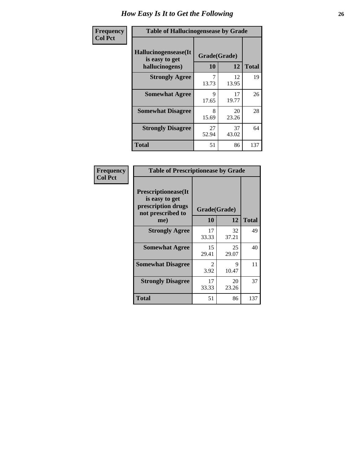| <b>Frequency</b> | <b>Table of Hallucinogensease by Grade</b>               |                    |             |              |  |  |  |  |  |
|------------------|----------------------------------------------------------|--------------------|-------------|--------------|--|--|--|--|--|
| <b>Col Pct</b>   | Hallucinogensease(It<br>is easy to get<br>hallucinogens) | Grade(Grade)<br>10 | 12          | <b>Total</b> |  |  |  |  |  |
|                  | <b>Strongly Agree</b>                                    | 13.73              | 12<br>13.95 | 19           |  |  |  |  |  |
|                  | <b>Somewhat Agree</b>                                    | Q<br>17.65         | 17<br>19.77 | 26           |  |  |  |  |  |
|                  | <b>Somewhat Disagree</b>                                 | 8<br>15.69         | 20<br>23.26 | 28           |  |  |  |  |  |
|                  | <b>Strongly Disagree</b>                                 | 27<br>52.94        | 37<br>43.02 | 64           |  |  |  |  |  |
|                  | <b>Total</b>                                             | 51                 | 86          | 137          |  |  |  |  |  |

| <b>Frequency</b><br>Col Pct |
|-----------------------------|
|                             |

| <b>Table of Prescriptionease by Grade</b>                                                       |                        |             |              |  |  |  |  |  |
|-------------------------------------------------------------------------------------------------|------------------------|-------------|--------------|--|--|--|--|--|
| <b>Prescriptionease</b> (It<br>is easy to get<br>prescription drugs<br>not prescribed to<br>me) | Grade(Grade)<br>10     | 12          | <b>Total</b> |  |  |  |  |  |
| <b>Strongly Agree</b>                                                                           | 17<br>33.33            | 32<br>37.21 | 49           |  |  |  |  |  |
| <b>Somewhat Agree</b>                                                                           | 15<br>29.41            | 25<br>29.07 | 40           |  |  |  |  |  |
| <b>Somewhat Disagree</b>                                                                        | $\mathfrak{D}$<br>3.92 | 9<br>10.47  | 11           |  |  |  |  |  |
| <b>Strongly Disagree</b>                                                                        | 17<br>33.33            | 20<br>23.26 | 37           |  |  |  |  |  |
| <b>Total</b>                                                                                    | 51                     | 86          | 137          |  |  |  |  |  |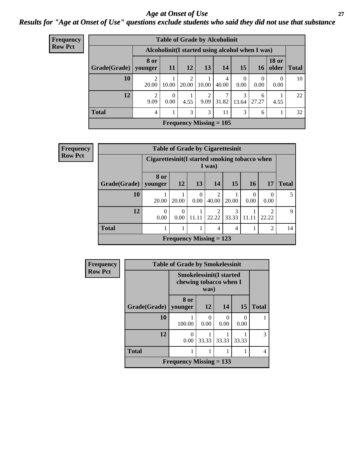### *Age at Onset of Use* **27** *Results for "Age at Onset of Use" questions exclude students who said they did not use that substance*

| <b>Frequency</b> | <b>Table of Grade by Alcoholinit</b>             |                        |           |                           |                        |            |                            |                  |                                |                 |
|------------------|--------------------------------------------------|------------------------|-----------|---------------------------|------------------------|------------|----------------------------|------------------|--------------------------------|-----------------|
| <b>Row Pct</b>   | Alcoholinit (I started using alcohol when I was) |                        |           |                           |                        |            |                            |                  |                                |                 |
|                  | Grade(Grade)                                     | 8 or<br>younger        | <b>11</b> | <b>12</b>                 | 13                     | 14         | 15                         | 16               | <b>18 or</b><br>$\Omega$ older | <b>Total</b>    |
|                  | 10                                               | 20.00                  | 10.00     | 2<br>20.00                | 10.00                  | 4<br>40.00 | $\theta$<br>$0.00^{\circ}$ | $\theta$<br>0.00 | $\Omega$<br>0.00               | 10 <sup>1</sup> |
|                  | 12                                               | $\overline{2}$<br>9.09 | 0<br>0.00 | 4.55                      | $\overline{2}$<br>9.09 | 31.82      | 3<br>13.64                 | 6<br>27.27       | 4.55                           | 22              |
|                  | <b>Total</b>                                     | $\overline{4}$         |           | 3                         | 3                      | 11         | 3                          | 6                |                                | 32              |
|                  |                                                  |                        |           | Frequency Missing $= 105$ |                        |            |                            |                  |                                |                 |

| <b>Frequency</b> | <b>Table of Grade by Cigarettesinit</b> |                  |                                                          |                  |                         |            |       |                |              |  |
|------------------|-----------------------------------------|------------------|----------------------------------------------------------|------------------|-------------------------|------------|-------|----------------|--------------|--|
| <b>Row Pct</b>   |                                         |                  | Cigarettesinit (I started smoking tobacco when<br>I was) |                  |                         |            |       |                |              |  |
|                  | Grade(Grade)   younger                  | 8 or             | 12                                                       | 13               | 14                      | 15         | 16    | 17             | <b>Total</b> |  |
|                  | 10                                      | 20.00            | 20.00                                                    | $\Omega$<br>0.00 | $\overline{2}$<br>40.00 | 20.00      | 0.00  | 0<br>0.00      | 5            |  |
|                  | 12                                      | $\Omega$<br>0.00 | $\theta$<br>0.00                                         | 11.11            | 22.22                   | 3<br>33.33 | 11.11 | ↑<br>22.22     | 9            |  |
|                  | <b>Total</b>                            |                  |                                                          | 1                | 4                       | 4          |       | $\overline{2}$ | 14           |  |
|                  |                                         |                  | Frequency Missing $= 123$                                |                  |                         |            |       |                |              |  |

| Frequency      | <b>Table of Grade by Smokelessinit</b> |                           |                                                                  |                  |                  |               |  |  |
|----------------|----------------------------------------|---------------------------|------------------------------------------------------------------|------------------|------------------|---------------|--|--|
| <b>Row Pct</b> |                                        |                           | <b>Smokelessinit(I started</b><br>chewing tobacco when I<br>was) |                  |                  |               |  |  |
|                | Grade(Grade)                           | 8 or<br>vounger           | 12                                                               | 14               | 15               | <b>Total</b>  |  |  |
|                | 10                                     | 100.00                    | 0.00                                                             | $\Omega$<br>0.00 | $\Omega$<br>0.00 |               |  |  |
|                | 12                                     | 0<br>0.00                 | 33.33                                                            | 33.33            | 33.33            | $\mathcal{R}$ |  |  |
|                | <b>Total</b>                           |                           |                                                                  |                  |                  | 4             |  |  |
|                |                                        | Frequency Missing $= 133$ |                                                                  |                  |                  |               |  |  |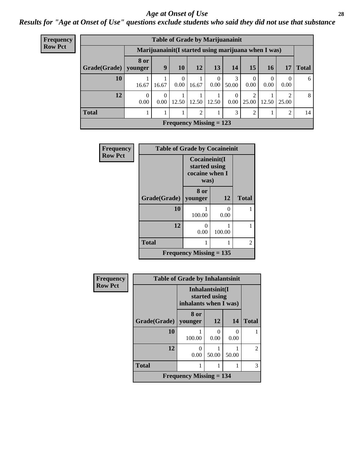### *Age at Onset of Use* **28**

*Results for "Age at Onset of Use" questions exclude students who said they did not use that substance*

| <b>Frequency</b><br><b>Row Pct</b> |
|------------------------------------|
|                                    |

| <b>Table of Grade by Marijuanainit</b> |                  |                  |       |                |                  |                  |                  |                                                     |                  |              |
|----------------------------------------|------------------|------------------|-------|----------------|------------------|------------------|------------------|-----------------------------------------------------|------------------|--------------|
|                                        |                  |                  |       |                |                  |                  |                  | Marijuanainit(I started using marijuana when I was) |                  |              |
| Grade(Grade)                           | 8 or<br>younger  | 9                | 10    | 12             | 13               | 14               | 15               | <b>16</b>                                           | 17               | <b>Total</b> |
| 10                                     | 16.67            | 16.67            | 0.00  | 16.67          | $\theta$<br>0.00 | 3<br>50.00       | $\theta$<br>0.00 | $\Omega$<br>0.00                                    | $\Omega$<br>0.00 | 6            |
| 12                                     | $\Omega$<br>0.00 | $\Omega$<br>0.00 | 12.50 | 12.50          | 12.50            | $\Omega$<br>0.00 | റ<br>25.00       | 12.50                                               | 25.00            | 8            |
| <b>Total</b>                           |                  |                  |       | $\mathfrak{D}$ |                  | 3                | $\overline{2}$   |                                                     | 2                | 14           |
| Frequency Missing $= 123$              |                  |                  |       |                |                  |                  |                  |                                                     |                  |              |

| <b>Frequency</b> | <b>Table of Grade by Cocaineinit</b> |                                                          |                      |              |
|------------------|--------------------------------------|----------------------------------------------------------|----------------------|--------------|
| <b>Row Pct</b>   |                                      | Cocaineinit(I<br>started using<br>cocaine when I<br>was) |                      |              |
|                  | Grade(Grade)                         | 8 or<br>younger                                          | 12                   | <b>Total</b> |
|                  | 10                                   | 100.00                                                   | $\mathbf{0}$<br>0.00 |              |
|                  | 12                                   | 0.00                                                     | 100.00               |              |
|                  | <b>Total</b>                         |                                                          |                      | 2            |
|                  | Frequency Missing $= 135$            |                                                          |                      |              |

| Frequency      | <b>Table of Grade by Inhalantsinit</b> |                                                           |                      |                      |                |  |
|----------------|----------------------------------------|-----------------------------------------------------------|----------------------|----------------------|----------------|--|
| <b>Row Pct</b> |                                        | Inhalantsinit(I<br>started using<br>inhalants when I was) |                      |                      |                |  |
|                | Grade(Grade)                           | 8 or<br>younger                                           | 12                   | 14                   | <b>Total</b>   |  |
|                | 10                                     | 100.00                                                    | $\mathbf{0}$<br>0.00 | $\mathbf{0}$<br>0.00 |                |  |
|                | 12                                     | 0.00                                                      | 50.00                | 50.00                | $\mathfrak{D}$ |  |
|                | <b>Total</b>                           |                                                           |                      |                      | 3              |  |
|                |                                        | <b>Frequency Missing = 134</b>                            |                      |                      |                |  |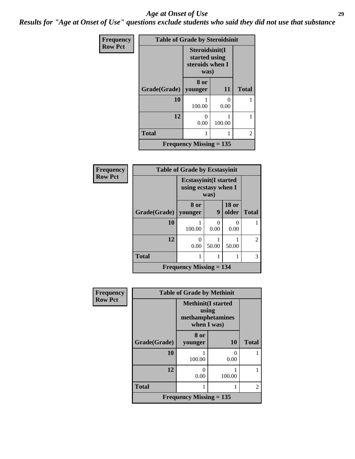### *Age at Onset of Use* **29**

*Results for "Age at Onset of Use" questions exclude students who said they did not use that substance*

| <b>Frequency</b> | <b>Table of Grade by Steroidsinit</b> |                                                            |           |              |  |  |
|------------------|---------------------------------------|------------------------------------------------------------|-----------|--------------|--|--|
| <b>Row Pct</b>   |                                       | Steroidsinit(I<br>started using<br>steroids when I<br>was) |           |              |  |  |
|                  | Grade(Grade)                          | 8 or<br>younger                                            | 11        | <b>Total</b> |  |  |
|                  | 10                                    | 100.00                                                     | 0<br>0.00 |              |  |  |
|                  | 12                                    | 0.00                                                       | 100.00    |              |  |  |
|                  | <b>Total</b>                          |                                                            |           | 2            |  |  |
|                  |                                       | <b>Frequency Missing <math>= 135</math></b>                |           |              |  |  |

| <b>Frequency</b> | <b>Table of Grade by Ecstasyinit</b> |                                                               |           |                       |              |
|------------------|--------------------------------------|---------------------------------------------------------------|-----------|-----------------------|--------------|
| <b>Row Pct</b>   |                                      | <b>Ecstasyinit</b> (I started<br>using ecstasy when I<br>was) |           |                       |              |
|                  | Grade(Grade)                         | 8 or<br>younger                                               | 9         | <b>18 or</b><br>older | <b>Total</b> |
|                  | 10                                   | 100.00                                                        | 0<br>0.00 | 0.00                  |              |
|                  | 12                                   | 0.00                                                          | 50.00     | 50.00                 | 2            |
|                  | <b>Total</b>                         |                                                               |           |                       | 3            |
|                  | <b>Frequency Missing = 134</b>       |                                                               |           |                       |              |

| Frequency      | <b>Table of Grade by Methinit</b> |                                                                       |                           |                |  |
|----------------|-----------------------------------|-----------------------------------------------------------------------|---------------------------|----------------|--|
| <b>Row Pct</b> |                                   | <b>Methinit(I started</b><br>using<br>methamphetamines<br>when I was) |                           |                |  |
|                | Grade(Grade)                      | 8 or<br>younger                                                       | <b>10</b>                 | <b>Total</b>   |  |
|                | 10                                | 100.00                                                                | $\mathbf{\Omega}$<br>0.00 |                |  |
|                | 12                                | 0<br>0.00                                                             | 100.00                    |                |  |
|                | <b>Total</b>                      |                                                                       |                           | $\mathfrak{D}$ |  |
|                |                                   | Frequency Missing $= 135$                                             |                           |                |  |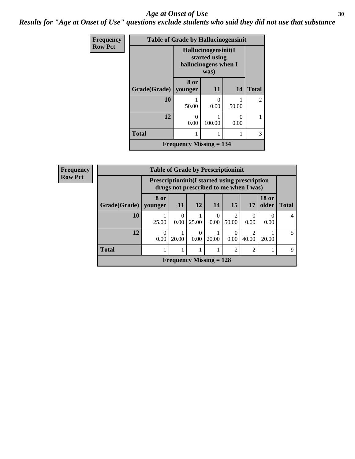### Age at Onset of Use **30**

*Results for "Age at Onset of Use" questions exclude students who said they did not use that substance*

| Frequency      | <b>Table of Grade by Hallucinogensinit</b> |                                                              |           |       |              |  |
|----------------|--------------------------------------------|--------------------------------------------------------------|-----------|-------|--------------|--|
| <b>Row Pct</b> |                                            | Hallucinogensinit(I<br>started using<br>hallucinogens when I |           |       |              |  |
|                | Grade(Grade)   younger                     | 8 or                                                         | 11        | 14    | <b>Total</b> |  |
|                | 10                                         | 50.00                                                        | 0<br>0.00 | 50.00 | 2            |  |
|                | 12                                         | 0.00                                                         | 100.00    | 0.00  |              |  |
|                | <b>Total</b>                               |                                                              | 1         | 1     | 3            |  |
|                | <b>Frequency Missing = 134</b>             |                                                              |           |       |              |  |

| Frequency      | <b>Table of Grade by Prescriptioninit</b> |                                                                                                |           |           |                           |                |                  |                       |              |
|----------------|-------------------------------------------|------------------------------------------------------------------------------------------------|-----------|-----------|---------------------------|----------------|------------------|-----------------------|--------------|
| <b>Row Pct</b> |                                           | <b>Prescriptioninit(I started using prescription</b><br>drugs not prescribed to me when I was) |           |           |                           |                |                  |                       |              |
|                | Grade(Grade)   younger                    | 8 or                                                                                           | 11        | <b>12</b> | 14                        | <b>15</b>      | 17               | <b>18 or</b><br>older | <b>Total</b> |
|                | 10                                        | 25.00                                                                                          | 0<br>0.00 | 25.00     | 0<br>0.00                 | 50.00          | $\Omega$<br>0.00 | $\theta$<br>0.00      | 4            |
|                | 12                                        | $\Omega$<br>0.00                                                                               | 20.00     | 0<br>0.00 | 20.00                     | 0.00           | 40.00            | 20.00                 | 5            |
|                | <b>Total</b>                              |                                                                                                |           |           |                           | $\mathfrak{D}$ | $\overline{2}$   |                       | $\mathbf Q$  |
|                |                                           |                                                                                                |           |           | Frequency Missing $= 128$ |                |                  |                       |              |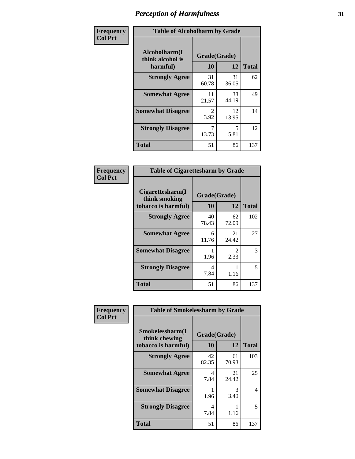| Frequency      | <b>Table of Alcoholharm by Grade</b>          |                    |             |              |  |
|----------------|-----------------------------------------------|--------------------|-------------|--------------|--|
| <b>Col Pct</b> | Alcoholharm(I<br>think alcohol is<br>harmful) | Grade(Grade)<br>10 | 12          | <b>Total</b> |  |
|                | <b>Strongly Agree</b>                         | 31<br>60.78        | 31<br>36.05 | 62           |  |
|                | <b>Somewhat Agree</b>                         | 11<br>21.57        | 38<br>44.19 | 49           |  |
|                | <b>Somewhat Disagree</b>                      | 2<br>3.92          | 12<br>13.95 | 14           |  |
|                | <b>Strongly Disagree</b>                      | 7<br>13.73         | 5<br>5.81   | 12           |  |
|                | <b>Total</b>                                  | 51                 | 86          | 137          |  |

| <b>Table of Cigarettesharm by Grade</b>                  |                    |                        |              |  |  |  |
|----------------------------------------------------------|--------------------|------------------------|--------------|--|--|--|
| Cigarettesharm(I<br>think smoking<br>tobacco is harmful) | Grade(Grade)<br>10 | 12                     | <b>Total</b> |  |  |  |
| <b>Strongly Agree</b>                                    | 40<br>78.43        | 62<br>72.09            | 102          |  |  |  |
| <b>Somewhat Agree</b>                                    | 6<br>11.76         | 21<br>24.42            | 27           |  |  |  |
| <b>Somewhat Disagree</b>                                 | 1.96               | $\mathfrak{D}$<br>2.33 | 3            |  |  |  |
| <b>Strongly Disagree</b>                                 | 4<br>7.84          | 1.16                   | 5            |  |  |  |
| <b>Total</b>                                             | 51                 | 86                     | 137          |  |  |  |

| Frequency      | <b>Table of Smokelessharm by Grade</b>                  |                    |             |              |  |  |
|----------------|---------------------------------------------------------|--------------------|-------------|--------------|--|--|
| <b>Col Pct</b> | Smokelessharm(I<br>think chewing<br>tobacco is harmful) | Grade(Grade)<br>10 | 12          | <b>Total</b> |  |  |
|                | <b>Strongly Agree</b>                                   | 42<br>82.35        | 61<br>70.93 | 103          |  |  |
|                | <b>Somewhat Agree</b>                                   | 4<br>7.84          | 21<br>24.42 | 25           |  |  |
|                | <b>Somewhat Disagree</b>                                | 1.96               | 3<br>3.49   | 4            |  |  |
|                | <b>Strongly Disagree</b>                                | 4<br>7.84          | 1.16        | 5            |  |  |
|                | <b>Total</b>                                            | 51                 | 86          | 137          |  |  |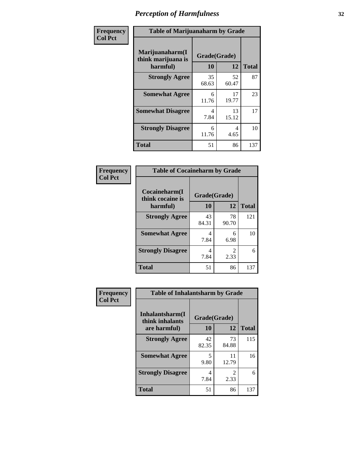| Frequency      | <b>Table of Marijuanaharm by Grade</b>            |                    |             |              |  |
|----------------|---------------------------------------------------|--------------------|-------------|--------------|--|
| <b>Col Pct</b> | Marijuanaharm(I<br>think marijuana is<br>harmful) | Grade(Grade)<br>10 | 12          | <b>Total</b> |  |
|                | <b>Strongly Agree</b>                             | 35<br>68.63        | 52<br>60.47 | 87           |  |
|                | <b>Somewhat Agree</b>                             | 6<br>11.76         | 17<br>19.77 | 23           |  |
|                | <b>Somewhat Disagree</b>                          | 4<br>7.84          | 13<br>15.12 | 17           |  |
|                | <b>Strongly Disagree</b>                          | 6<br>11.76         | 4<br>4.65   | 10           |  |
|                | <b>Total</b>                                      | 51                 | 86          | 137          |  |

#### **Frequency Col Pct**

| <b>Table of Cocaineharm by Grade</b> |              |             |              |  |  |  |
|--------------------------------------|--------------|-------------|--------------|--|--|--|
| Cocaineharm(I<br>think cocaine is    | Grade(Grade) |             |              |  |  |  |
| harmful)                             | 10           | 12          | <b>Total</b> |  |  |  |
| <b>Strongly Agree</b>                | 43<br>84.31  | 78<br>90.70 | 121          |  |  |  |
| <b>Somewhat Agree</b>                | 4<br>7.84    | 6<br>6.98   | 10           |  |  |  |
| <b>Strongly Disagree</b>             | 4<br>7.84    | 2<br>2.33   | 6            |  |  |  |
| <b>Total</b>                         | 51           | 86          | 137          |  |  |  |

| <b>Table of Inhalantsharm by Grade</b> |              |                        |     |  |  |  |
|----------------------------------------|--------------|------------------------|-----|--|--|--|
| Inhalantsharm(I<br>think inhalants     | Grade(Grade) | <b>Total</b>           |     |  |  |  |
| are harmful)                           | 10           | 12                     |     |  |  |  |
| <b>Strongly Agree</b>                  | 42<br>82.35  | 73<br>84.88            | 115 |  |  |  |
| <b>Somewhat Agree</b>                  | 5<br>9.80    | 11<br>12.79            | 16  |  |  |  |
| <b>Strongly Disagree</b>               | 4<br>7.84    | $\mathfrak{D}$<br>2.33 | 6   |  |  |  |
| Total                                  | 51           | 86                     | 137 |  |  |  |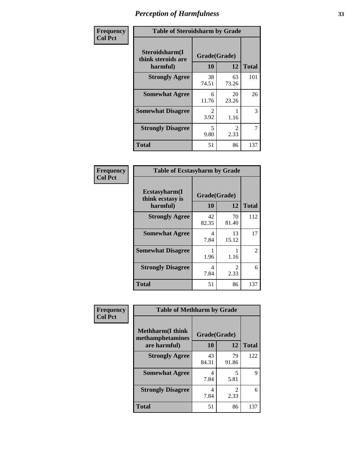| Frequency      | <b>Table of Steroidsharm by Grade</b>            |                        |                        |              |
|----------------|--------------------------------------------------|------------------------|------------------------|--------------|
| <b>Col Pct</b> | Steroidsharm(I<br>think steroids are<br>harmful) | Grade(Grade)<br>10     | 12                     | <b>Total</b> |
|                | <b>Strongly Agree</b>                            | 38<br>74.51            | 63<br>73.26            | 101          |
|                | <b>Somewhat Agree</b>                            | 6<br>11.76             | 20<br>23.26            | 26           |
|                | <b>Somewhat Disagree</b>                         | $\mathfrak{D}$<br>3.92 | 1.16                   | 3            |
|                | <b>Strongly Disagree</b>                         | 5<br>9.80              | $\mathfrak{D}$<br>2.33 | 7            |
|                | <b>Total</b>                                     | 51                     | 86                     | 137          |

| <b>Table of Ecstasyharm by Grade</b>                |                    |                        |                |  |  |
|-----------------------------------------------------|--------------------|------------------------|----------------|--|--|
| $E$ cstasyharm $(I$<br>think ecstasy is<br>harmful) | Grade(Grade)<br>10 | <b>Total</b>           |                |  |  |
| <b>Strongly Agree</b>                               | 42<br>82.35        | 70<br>81.40            | 112            |  |  |
| <b>Somewhat Agree</b>                               | 4<br>7.84          | 13<br>15.12            | 17             |  |  |
| <b>Somewhat Disagree</b>                            | 1<br>1.96          | 1.16                   | $\mathfrak{D}$ |  |  |
| <b>Strongly Disagree</b>                            | 4<br>7.84          | $\mathfrak{D}$<br>2.33 | 6              |  |  |
| Total                                               | 51                 | 86                     | 137            |  |  |

| Frequency      | <b>Table of Methharm by Grade</b>            |              |             |              |
|----------------|----------------------------------------------|--------------|-------------|--------------|
| <b>Col Pct</b> | <b>Methharm</b> (I think<br>methamphetamines | Grade(Grade) |             |              |
|                | are harmful)                                 | 10           | 12          | <b>Total</b> |
|                | <b>Strongly Agree</b>                        | 43<br>84.31  | 79<br>91.86 | 122          |
|                | <b>Somewhat Agree</b>                        | 4<br>7.84    | 5<br>5.81   | Q            |
|                | <b>Strongly Disagree</b>                     | 4<br>7.84    | 2<br>2.33   | 6            |
|                | <b>Total</b>                                 | 51           | 86          | 137          |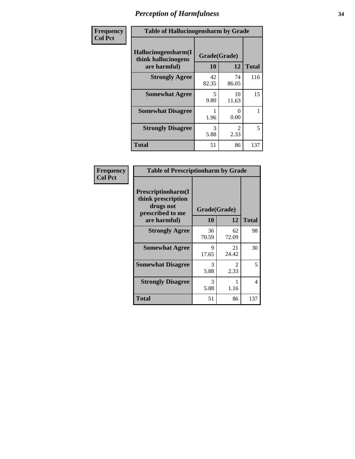| Frequency      | <b>Table of Hallucinogensharm by Grade</b>                 |                    |                       |              |
|----------------|------------------------------------------------------------|--------------------|-----------------------|--------------|
| <b>Col Pct</b> | Hallucinogensharm(I<br>think hallucinogens<br>are harmful) | Grade(Grade)<br>10 | 12                    | <b>Total</b> |
|                | <b>Strongly Agree</b>                                      | 42<br>82.35        | 74<br>86.05           | 116          |
|                | <b>Somewhat Agree</b>                                      | 5<br>9.80          | 10<br>11.63           | 15           |
|                | <b>Somewhat Disagree</b>                                   | 1.96               | 0<br>0.00             | 1            |
|                | <b>Strongly Disagree</b>                                   | 3<br>5.88          | $\mathcal{L}$<br>2.33 | 5            |
|                | <b>Total</b>                                               | 51                 | 86                    | 137          |

| <b>Table of Prescriptionharm by Grade</b>                                         |             |                       |              |  |  |
|-----------------------------------------------------------------------------------|-------------|-----------------------|--------------|--|--|
| <b>Prescriptionharm</b> (I<br>think prescription<br>drugs not<br>prescribed to me |             | Grade(Grade)          |              |  |  |
| are harmful)                                                                      | 10          | 12                    | <b>Total</b> |  |  |
| <b>Strongly Agree</b>                                                             | 36<br>70.59 | 62<br>72.09           | 98           |  |  |
| <b>Somewhat Agree</b>                                                             | 9<br>17.65  | 21<br>24.42           | 30           |  |  |
| <b>Somewhat Disagree</b>                                                          | 3<br>5.88   | $\mathcal{L}$<br>2.33 | 5            |  |  |
| <b>Strongly Disagree</b>                                                          | 3<br>5.88   | 1.16                  | 4            |  |  |
| Total                                                                             | 51          | 86                    | 137          |  |  |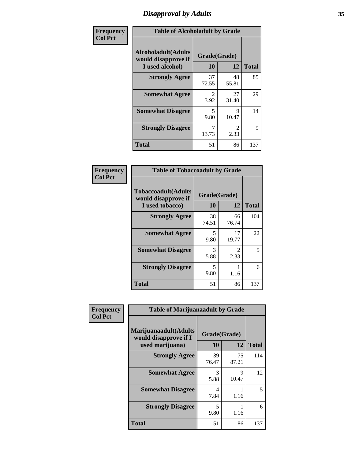# *Disapproval by Adults* **35**

| Frequency      |                                                                       | <b>Table of Alcoholadult by Grade</b> |                        |              |  |
|----------------|-----------------------------------------------------------------------|---------------------------------------|------------------------|--------------|--|
| <b>Col Pct</b> | <b>Alcoholadult</b> (Adults<br>would disapprove if<br>I used alcohol) | Grade(Grade)<br>10                    | 12                     | <b>Total</b> |  |
|                | <b>Strongly Agree</b>                                                 | 37<br>72.55                           | 48<br>55.81            | 85           |  |
|                | <b>Somewhat Agree</b>                                                 | $\mathfrak{D}$<br>3.92                | 27<br>31.40            | 29           |  |
|                | <b>Somewhat Disagree</b>                                              | 5<br>9.80                             | 9<br>10.47             | 14           |  |
|                | <b>Strongly Disagree</b>                                              | 7<br>13.73                            | $\mathfrak{D}$<br>2.33 | 9            |  |
|                | <b>Total</b>                                                          | 51                                    | 86                     | 137          |  |

| <b>Table of Tobaccoadult by Grade</b>                                 |                                  |                       |              |  |  |
|-----------------------------------------------------------------------|----------------------------------|-----------------------|--------------|--|--|
| <b>Tobaccoadult</b> (Adults<br>would disapprove if<br>I used tobacco) | Grade(Grade)<br>10               | 12                    | <b>Total</b> |  |  |
| <b>Strongly Agree</b>                                                 | 38<br>74.51                      | 66<br>76.74           | 104          |  |  |
| <b>Somewhat Agree</b>                                                 | $\overline{\phantom{0}}$<br>9.80 | 17<br>19.77           | 22           |  |  |
| <b>Somewhat Disagree</b>                                              | 3<br>5.88                        | $\mathcal{L}$<br>2.33 | 5            |  |  |
| <b>Strongly Disagree</b>                                              | 5<br>9.80                        | 1.16                  | 6            |  |  |
| <b>Total</b>                                                          | 51                               | 86                    | 137          |  |  |

| Frequency      | <b>Table of Marijuanaadult by Grade</b>                           |                    |             |              |
|----------------|-------------------------------------------------------------------|--------------------|-------------|--------------|
| <b>Col Pct</b> | Marijuanaadult(Adults<br>would disapprove if I<br>used marijuana) | Grade(Grade)<br>10 | 12          | <b>Total</b> |
|                | <b>Strongly Agree</b>                                             | 39<br>76.47        | 75<br>87.21 | 114          |
|                | <b>Somewhat Agree</b>                                             | 3<br>5.88          | 9<br>10.47  | 12           |
|                | <b>Somewhat Disagree</b>                                          | 4<br>7.84          | 1.16        | 5            |
|                | <b>Strongly Disagree</b>                                          | 5<br>9.80          | 1.16        | 6            |
|                | <b>Total</b>                                                      | 51                 | 86          | 137          |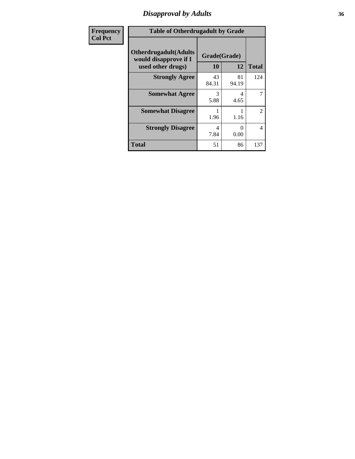### *Disapproval by Adults* **36**

| <b>Frequency</b> | <b>Table of Otherdrugadult by Grade</b>                                     |                    |             |                |
|------------------|-----------------------------------------------------------------------------|--------------------|-------------|----------------|
| <b>Col Pct</b>   | <b>Otherdrugadult</b> (Adults<br>would disapprove if I<br>used other drugs) | Grade(Grade)<br>10 | 12          | <b>Total</b>   |
|                  | <b>Strongly Agree</b>                                                       | 43<br>84.31        | 81<br>94.19 | 124            |
|                  | <b>Somewhat Agree</b>                                                       | 3<br>5.88          | 4<br>4.65   | 7              |
|                  | <b>Somewhat Disagree</b>                                                    | 1.96               | 1.16        | 2              |
|                  | <b>Strongly Disagree</b>                                                    | 4<br>7.84          | 0<br>0.00   | $\overline{4}$ |
|                  | <b>Total</b>                                                                | 51                 | 86          | 137            |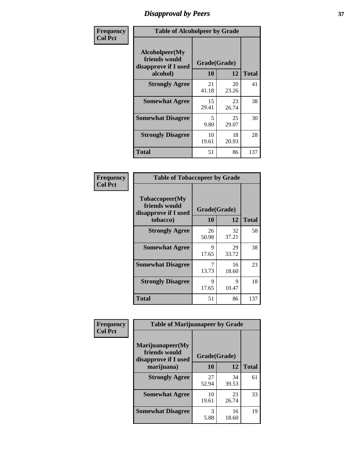# *Disapproval by Peers* **37**

| Frequency      | <b>Table of Alcoholpeer by Grade</b>                    |              |             |              |  |
|----------------|---------------------------------------------------------|--------------|-------------|--------------|--|
| <b>Col Pct</b> | Alcoholpeer(My<br>friends would<br>disapprove if I used | Grade(Grade) |             |              |  |
|                | alcohol)                                                | 10           | 12          | <b>Total</b> |  |
|                | <b>Strongly Agree</b>                                   | 21<br>41.18  | 20<br>23.26 | 41           |  |
|                | <b>Somewhat Agree</b>                                   | 15<br>29.41  | 23<br>26.74 | 38           |  |
|                | <b>Somewhat Disagree</b>                                | 5<br>9.80    | 25<br>29.07 | 30           |  |
|                | <b>Strongly Disagree</b>                                | 10<br>19.61  | 18<br>20.93 | 28           |  |
|                | Total                                                   | 51           | 86          | 137          |  |

| Frequency      | <b>Table of Tobaccopeer by Grade</b>                    |              |             |              |
|----------------|---------------------------------------------------------|--------------|-------------|--------------|
| <b>Col Pct</b> | Tobaccopeer(My<br>friends would<br>disapprove if I used | Grade(Grade) |             |              |
|                | tobacco)                                                | 10           | 12          | <b>Total</b> |
|                | <b>Strongly Agree</b>                                   | 26<br>50.98  | 32<br>37.21 | 58           |
|                | <b>Somewhat Agree</b>                                   | 9<br>17.65   | 29<br>33.72 | 38           |
|                | <b>Somewhat Disagree</b>                                | 7<br>13.73   | 16<br>18.60 | 23           |
|                | <b>Strongly Disagree</b>                                | 9<br>17.65   | 9<br>10.47  | 18           |
|                | Total                                                   | 51           | 86          | 137          |

| Frequency      | <b>Table of Marijuanapeer by Grade</b>                    |              |             |              |
|----------------|-----------------------------------------------------------|--------------|-------------|--------------|
| <b>Col Pct</b> | Marijuanapeer(My<br>friends would<br>disapprove if I used | Grade(Grade) |             |              |
|                | marijuana)                                                | 10           | 12          | <b>Total</b> |
|                | <b>Strongly Agree</b>                                     | 27<br>52.94  | 34<br>39.53 | 61           |
|                | <b>Somewhat Agree</b>                                     | 10<br>19.61  | 23<br>26.74 | 33           |
|                | <b>Somewhat Disagree</b>                                  | 3<br>5.88    | 16<br>18.60 | 19           |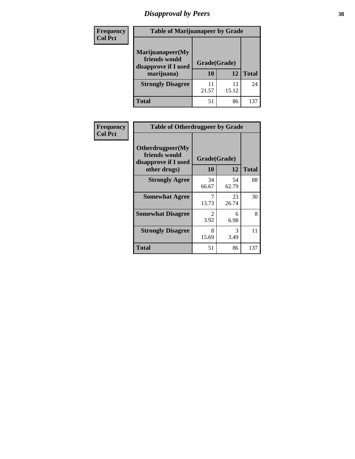# *Disapproval by Peers* **38**

| <b>Frequency</b> | <b>Table of Marijuanapeer by Grade</b>                                  |                    |             |              |  |
|------------------|-------------------------------------------------------------------------|--------------------|-------------|--------------|--|
| <b>Col Pct</b>   | Marijuanapeer(My<br>friends would<br>disapprove if I used<br>marijuana) | Grade(Grade)<br>10 | 12          | <b>Total</b> |  |
|                  | <b>Strongly Disagree</b>                                                | 11<br>21.57        | 13<br>15.12 | 24           |  |
|                  | <b>Total</b>                                                            | 51                 | 86          | 137          |  |

| <b>Frequency</b> | <b>Table of Otherdrugpeer by Grade</b>                                    |                                     |                    |              |
|------------------|---------------------------------------------------------------------------|-------------------------------------|--------------------|--------------|
| <b>Col Pct</b>   | Otherdrugpeer(My<br>friends would<br>disapprove if I used<br>other drugs) | <b>10</b>                           | Grade(Grade)<br>12 | <b>Total</b> |
|                  |                                                                           |                                     |                    |              |
|                  | <b>Strongly Agree</b>                                                     | 34<br>66.67                         | 54<br>62.79        | 88           |
|                  | <b>Somewhat Agree</b>                                                     | 13.73                               | 23<br>26.74        | 30           |
|                  | <b>Somewhat Disagree</b>                                                  | $\mathcal{D}_{\mathcal{L}}$<br>3.92 | 6<br>6.98          | 8            |
|                  | <b>Strongly Disagree</b>                                                  | 8<br>15.69                          | 3<br>3.49          | 11           |
|                  | <b>Total</b>                                                              | 51                                  | 86                 | 137          |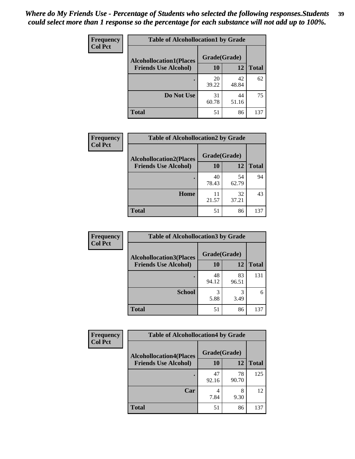| Frequency<br><b>Col Pct</b> | <b>Table of Alcohollocation1 by Grade</b> |              |             |              |
|-----------------------------|-------------------------------------------|--------------|-------------|--------------|
|                             | <b>Alcohollocation1(Places</b>            | Grade(Grade) |             |              |
|                             | <b>Friends Use Alcohol)</b>               | 10           | 12          | <b>Total</b> |
|                             |                                           | 20<br>39.22  | 42<br>48.84 | 62           |
|                             | Do Not Use                                | 31<br>60.78  | 44<br>51.16 | 75           |
|                             | <b>Total</b>                              | 51           | 86          | 137          |

| Frequency      | <b>Table of Alcohollocation2 by Grade</b> |              |             |              |
|----------------|-------------------------------------------|--------------|-------------|--------------|
| <b>Col Pct</b> | <b>Alcohollocation2(Places</b>            | Grade(Grade) |             |              |
|                | <b>Friends Use Alcohol)</b>               | 10           | 12          | <b>Total</b> |
|                |                                           | 40<br>78.43  | 54<br>62.79 | 94           |
|                | Home                                      | 11<br>21.57  | 32<br>37.21 | 43           |
|                | <b>Total</b>                              | 51           | 86          | 137          |

| Frequency<br><b>Col Pct</b> | <b>Table of Alcohollocation 3 by Grade</b>                    |                    |             |              |
|-----------------------------|---------------------------------------------------------------|--------------------|-------------|--------------|
|                             | <b>Alcohollocation3(Places</b><br><b>Friends Use Alcohol)</b> | Grade(Grade)<br>10 | 12          | <b>Total</b> |
|                             |                                                               |                    |             |              |
|                             |                                                               | 48<br>94.12        | 83<br>96.51 | 131          |
|                             | <b>School</b>                                                 | 3<br>5.88          | 3<br>3.49   | 6            |
|                             | <b>Total</b>                                                  | 51                 | 86          | 137          |

| <b>Frequency</b> | <b>Table of Alcohollocation4 by Grade</b> |              |             |              |
|------------------|-------------------------------------------|--------------|-------------|--------------|
| <b>Col Pct</b>   | <b>Alcohollocation4(Places</b>            | Grade(Grade) |             |              |
|                  | <b>Friends Use Alcohol)</b>               | 10           | 12          | <b>Total</b> |
|                  |                                           | 47<br>92.16  | 78<br>90.70 | 125          |
|                  | Car                                       | 4<br>7.84    | 8<br>9.30   | 12           |
|                  | <b>Total</b>                              | 51           | 86          | 137          |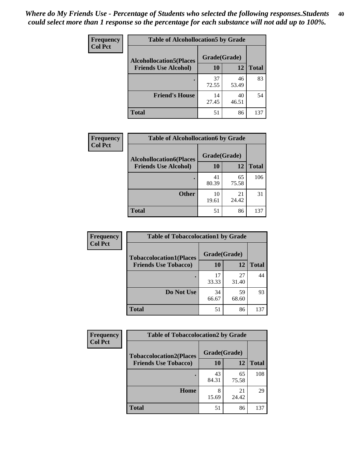| Frequency<br><b>Col Pct</b> | <b>Table of Alcohollocation5 by Grade</b> |              |             |              |
|-----------------------------|-------------------------------------------|--------------|-------------|--------------|
|                             | <b>Alcohollocation5(Places</b>            | Grade(Grade) |             |              |
|                             | <b>Friends Use Alcohol)</b>               | 10           | 12          | <b>Total</b> |
|                             |                                           | 37<br>72.55  | 46<br>53.49 | 83           |
|                             | <b>Friend's House</b>                     | 14<br>27.45  | 40<br>46.51 | 54           |
|                             | <b>Total</b>                              | 51           | 86          | 137          |

| <b>Frequency</b> | <b>Table of Alcohollocation6 by Grade</b>                     |                    |             |              |
|------------------|---------------------------------------------------------------|--------------------|-------------|--------------|
| <b>Col Pct</b>   | <b>Alcohollocation6(Places</b><br><b>Friends Use Alcohol)</b> | Grade(Grade)<br>10 | 12          | <b>Total</b> |
|                  |                                                               | 41<br>80.39        | 65<br>75.58 | 106          |
|                  | <b>Other</b>                                                  | 10<br>19.61        | 21<br>24.42 | 31           |
|                  | <b>Total</b>                                                  | 51                 | 86          | 137          |

| Frequency      | <b>Table of Tobaccolocation1 by Grade</b> |              |             |              |
|----------------|-------------------------------------------|--------------|-------------|--------------|
| <b>Col Pct</b> | <b>Tobaccolocation1(Places</b>            | Grade(Grade) |             |              |
|                | <b>Friends Use Tobacco)</b>               | 10           | 12          | <b>Total</b> |
|                |                                           | 17<br>33.33  | 27<br>31.40 | 44           |
|                | Do Not Use                                | 34<br>66.67  | 59<br>68.60 | 93           |
|                | <b>Total</b>                              | 51           | 86          | 137          |

| <b>Frequency</b> | <b>Table of Tobaccolocation2 by Grade</b> |              |             |              |  |
|------------------|-------------------------------------------|--------------|-------------|--------------|--|
| <b>Col Pct</b>   | <b>Tobaccolocation2(Places</b>            | Grade(Grade) |             |              |  |
|                  | <b>Friends Use Tobacco)</b>               | 10           | 12          | <b>Total</b> |  |
|                  |                                           | 43<br>84.31  | 65<br>75.58 | 108          |  |
|                  | Home                                      | 8<br>15.69   | 21<br>24.42 | 29           |  |
|                  | <b>Total</b>                              | 51           | 86          | 137          |  |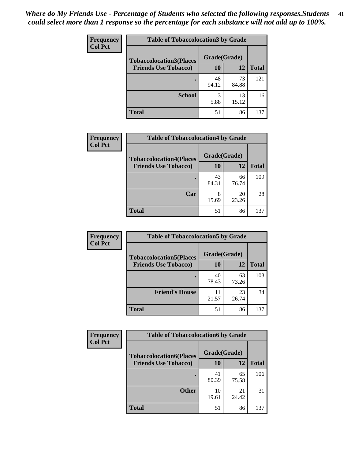| Frequency<br><b>Col Pct</b> | <b>Table of Tobaccolocation 3 by Grade</b> |              |             |              |  |
|-----------------------------|--------------------------------------------|--------------|-------------|--------------|--|
|                             | <b>Tobaccolocation3(Places</b>             | Grade(Grade) |             |              |  |
|                             | <b>Friends Use Tobacco)</b>                | 10           | 12          | <b>Total</b> |  |
|                             | ٠                                          | 48<br>94.12  | 73<br>84.88 | 121          |  |
|                             | <b>School</b>                              | 3<br>5.88    | 13<br>15.12 | 16           |  |
|                             | <b>Total</b>                               | 51           | 86          | 137          |  |

| <b>Frequency</b> | <b>Table of Tobaccolocation4 by Grade</b> |              |             |              |
|------------------|-------------------------------------------|--------------|-------------|--------------|
| <b>Col Pct</b>   | <b>Tobaccolocation4(Places</b>            | Grade(Grade) |             |              |
|                  | <b>Friends Use Tobacco)</b>               | 10           | 12          | <b>Total</b> |
|                  |                                           | 43<br>84.31  | 66<br>76.74 | 109          |
|                  | Car                                       | 8<br>15.69   | 20<br>23.26 | 28           |
|                  | Total                                     | 51           | 86          | 137          |

| Frequency      | <b>Table of Tobaccolocation5 by Grade</b> |              |             |              |
|----------------|-------------------------------------------|--------------|-------------|--------------|
| <b>Col Pct</b> | <b>Tobaccolocation5(Places</b>            | Grade(Grade) |             |              |
|                | <b>Friends Use Tobacco)</b>               | 10           | <b>12</b>   | <b>Total</b> |
|                |                                           | 40<br>78.43  | 63<br>73.26 | 103          |
|                | <b>Friend's House</b>                     | 11<br>21.57  | 23<br>26.74 | 34           |
|                | <b>Total</b>                              | 51           | 86          | 137          |

| <b>Frequency</b> | <b>Table of Tobaccolocation6 by Grade</b> |              |             |              |  |
|------------------|-------------------------------------------|--------------|-------------|--------------|--|
| <b>Col Pct</b>   | <b>Tobaccolocation6(Places</b>            | Grade(Grade) |             |              |  |
|                  | <b>Friends Use Tobacco)</b>               | 10           | 12          | <b>Total</b> |  |
|                  |                                           | 41<br>80.39  | 65<br>75.58 | 106          |  |
|                  | <b>Other</b>                              | 10<br>19.61  | 21<br>24.42 | 31           |  |
|                  | <b>Total</b>                              | 51           | 86          | 137          |  |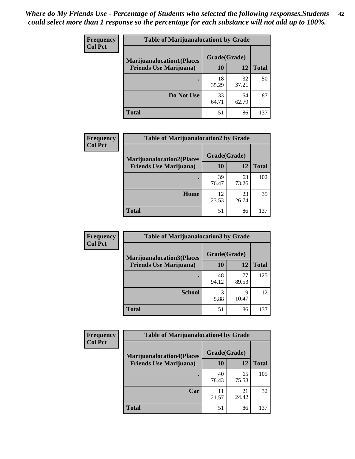| <b>Frequency</b> | <b>Table of Marijuanalocation1 by Grade</b> |              |             |              |
|------------------|---------------------------------------------|--------------|-------------|--------------|
| <b>Col Pct</b>   | <b>Marijuanalocation1(Places</b>            | Grade(Grade) |             |              |
|                  | <b>Friends Use Marijuana</b> )              | 10           | 12          | <b>Total</b> |
|                  |                                             | 18<br>35.29  | 32<br>37.21 | 50           |
|                  | Do Not Use                                  | 33<br>64.71  | 54<br>62.79 | 87           |
|                  | <b>Total</b>                                | 51           | 86          | 137          |

| <b>Frequency</b> | <b>Table of Marijuanalocation2 by Grade</b>                        |                    |             |              |
|------------------|--------------------------------------------------------------------|--------------------|-------------|--------------|
| <b>Col Pct</b>   | <b>Marijuanalocation2(Places</b><br><b>Friends Use Marijuana</b> ) | Grade(Grade)<br>10 | 12          | <b>Total</b> |
|                  |                                                                    | 39<br>76.47        | 63<br>73.26 | 102          |
|                  | Home                                                               | 12<br>23.53        | 23<br>26.74 | 35           |
|                  | <b>Total</b>                                                       | 51                 | 86          | 137          |

| Frequency<br><b>Col Pct</b> | <b>Table of Marijuanalocation3 by Grade</b> |              |             |              |
|-----------------------------|---------------------------------------------|--------------|-------------|--------------|
|                             | <b>Marijuanalocation3</b> (Places           | Grade(Grade) |             |              |
|                             | <b>Friends Use Marijuana</b> )              | <b>10</b>    | 12          | <b>Total</b> |
|                             |                                             | 48<br>94.12  | 77<br>89.53 | 125          |
|                             | <b>School</b>                               | 3<br>5.88    | 9<br>10.47  | 12           |
|                             | <b>Total</b>                                | 51           | 86          | 137          |

| <b>Frequency</b> | <b>Table of Marijuanalocation4 by Grade</b> |              |             |              |
|------------------|---------------------------------------------|--------------|-------------|--------------|
| <b>Col Pct</b>   | <b>Marijuanalocation4(Places</b>            | Grade(Grade) |             |              |
|                  | <b>Friends Use Marijuana</b> )              | <b>10</b>    | 12          | <b>Total</b> |
|                  |                                             | 40<br>78.43  | 65<br>75.58 | 105          |
|                  | Car                                         | 11<br>21.57  | 21<br>24.42 | 32           |
|                  | <b>Total</b>                                | 51           | 86          | 137          |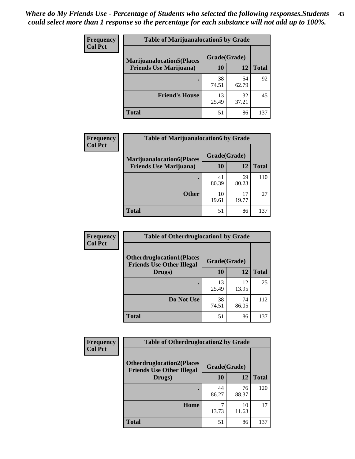| <b>Frequency</b> | <b>Table of Marijuanalocation5 by Grade</b> |              |             |              |
|------------------|---------------------------------------------|--------------|-------------|--------------|
| <b>Col Pct</b>   | <b>Marijuanalocation5</b> (Places           | Grade(Grade) |             |              |
|                  | <b>Friends Use Marijuana</b> )              | 10           | 12          | <b>Total</b> |
|                  |                                             | 38<br>74.51  | 54<br>62.79 | 92           |
|                  | <b>Friend's House</b>                       | 13<br>25.49  | 32<br>37.21 | 45           |
|                  | <b>Total</b>                                | 51           | 86          | 137          |

| <b>Frequency</b> | <b>Table of Marijuanalocation6 by Grade</b>                        |                    |             |              |
|------------------|--------------------------------------------------------------------|--------------------|-------------|--------------|
| <b>Col Pct</b>   | <b>Marijuanalocation6(Places</b><br><b>Friends Use Marijuana</b> ) | Grade(Grade)<br>10 | 12          | <b>Total</b> |
|                  |                                                                    | 41<br>80.39        | 69<br>80.23 | 110          |
|                  | <b>Other</b>                                                       | 10<br>19.61        | 17<br>19.77 | 27           |
|                  | <b>Total</b>                                                       | 51                 | 86          | 137          |

| Frequency      | <b>Table of Otherdruglocation1 by Grade</b>                          |              |             |              |
|----------------|----------------------------------------------------------------------|--------------|-------------|--------------|
| <b>Col Pct</b> | <b>Otherdruglocation1(Places</b><br><b>Friends Use Other Illegal</b> | Grade(Grade) |             |              |
|                | Drugs)                                                               | 10           | 12          | <b>Total</b> |
|                |                                                                      | 13<br>25.49  | 12<br>13.95 | 25           |
|                | Do Not Use                                                           | 38<br>74.51  | 74<br>86.05 | 112          |
|                | <b>Total</b>                                                         | 51           | 86          | 137          |

| <b>Frequency</b> | <b>Table of Otherdruglocation2 by Grade</b>                          |              |             |              |
|------------------|----------------------------------------------------------------------|--------------|-------------|--------------|
| <b>Col Pct</b>   | <b>Otherdruglocation2(Places</b><br><b>Friends Use Other Illegal</b> | Grade(Grade) |             |              |
|                  | Drugs)                                                               | 10           | 12          | <b>Total</b> |
|                  |                                                                      | 44<br>86.27  | 76<br>88.37 | 120          |
|                  | Home                                                                 | 13.73        | 10<br>11.63 | 17           |
|                  | <b>Total</b>                                                         | 51           | 86          | 137          |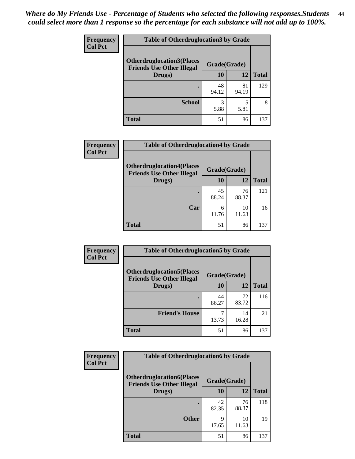| <b>Frequency</b> | <b>Table of Otherdruglocation3 by Grade</b>                          |              |             |              |
|------------------|----------------------------------------------------------------------|--------------|-------------|--------------|
| <b>Col Pct</b>   | <b>Otherdruglocation3(Places</b><br><b>Friends Use Other Illegal</b> | Grade(Grade) |             |              |
|                  | Drugs)                                                               | <b>10</b>    | 12          | <b>Total</b> |
|                  |                                                                      | 48<br>94.12  | 81<br>94.19 | 129          |
|                  | <b>School</b>                                                        | 3<br>5.88    | 5.81        |              |
|                  | <b>Total</b>                                                         | 51           | 86          | 137          |

| <b>Frequency</b> | <b>Table of Otherdruglocation4 by Grade</b>                          |              |             |              |
|------------------|----------------------------------------------------------------------|--------------|-------------|--------------|
| <b>Col Pct</b>   | <b>Otherdruglocation4(Places</b><br><b>Friends Use Other Illegal</b> | Grade(Grade) |             |              |
|                  | Drugs)                                                               | 10           | 12          | <b>Total</b> |
|                  |                                                                      | 45<br>88.24  | 76<br>88.37 | 121          |
|                  | Car                                                                  | 6<br>11.76   | 10<br>11.63 | 16           |
|                  | <b>Total</b>                                                         | 51           | 86          | 137          |

| Frequency      | <b>Table of Otherdruglocation5 by Grade</b>                          |              |             |              |
|----------------|----------------------------------------------------------------------|--------------|-------------|--------------|
| <b>Col Pct</b> | <b>Otherdruglocation5(Places</b><br><b>Friends Use Other Illegal</b> | Grade(Grade) |             |              |
|                | Drugs)                                                               | 10           | 12          | <b>Total</b> |
|                |                                                                      | 44<br>86.27  | 72<br>83.72 | 116          |
|                | <b>Friend's House</b>                                                | 13.73        | 14<br>16.28 | 21           |
|                | <b>Total</b>                                                         | 51           | 86          | 137          |

| Frequency      | <b>Table of Otherdruglocation6 by Grade</b>                          |              |             |              |
|----------------|----------------------------------------------------------------------|--------------|-------------|--------------|
| <b>Col Pct</b> | <b>Otherdruglocation6(Places</b><br><b>Friends Use Other Illegal</b> | Grade(Grade) |             |              |
|                | Drugs)                                                               | 10           | 12          | <b>Total</b> |
|                |                                                                      | 42<br>82.35  | 76<br>88.37 | 118          |
|                | <b>Other</b>                                                         | 9<br>17.65   | 10<br>11.63 | 19           |
|                | <b>Total</b>                                                         | 51           | 86          | 137          |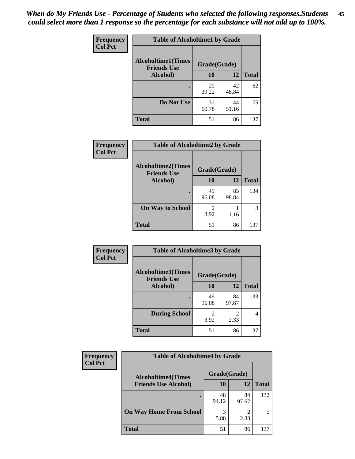| Frequency      | <b>Table of Alcoholtime1 by Grade</b>           |              |             |              |
|----------------|-------------------------------------------------|--------------|-------------|--------------|
| <b>Col Pct</b> | <b>Alcoholtime1(Times</b><br><b>Friends Use</b> | Grade(Grade) |             |              |
|                | Alcohol)                                        | <b>10</b>    | 12          | <b>Total</b> |
|                |                                                 | 20<br>39.22  | 42<br>48.84 | 62           |
|                | Do Not Use                                      | 31<br>60.78  | 44<br>51.16 | 75           |
|                | <b>Total</b>                                    | 51           | 86          | 137          |

| Frequency<br><b>Col Pct</b> | <b>Table of Alcoholtime2 by Grade</b>           |              |             |              |
|-----------------------------|-------------------------------------------------|--------------|-------------|--------------|
|                             | <b>Alcoholtime2(Times</b><br><b>Friends Use</b> | Grade(Grade) |             |              |
|                             | Alcohol)                                        | 10           | 12          | <b>Total</b> |
|                             |                                                 | 49<br>96.08  | 85<br>98.84 | 134          |
|                             | <b>On Way to School</b>                         | 3.92         | 1.16        | 3            |
|                             | <b>Total</b>                                    | 51           | 86          | 137          |

| Frequency<br><b>Col Pct</b> | <b>Table of Alcoholtime3 by Grade</b>           |                        |                       |              |
|-----------------------------|-------------------------------------------------|------------------------|-----------------------|--------------|
|                             | <b>Alcoholtime3(Times</b><br><b>Friends Use</b> | Grade(Grade)           |                       |              |
|                             | Alcohol)                                        | 10                     | 12                    | <b>Total</b> |
|                             |                                                 | 49<br>96.08            | 84<br>97.67           | 133          |
|                             | <b>During School</b>                            | $\mathfrak{D}$<br>3.92 | $\mathcal{D}$<br>2.33 | 4            |
|                             | Total                                           | 51                     | 86                    | 137          |

| <b>Frequency</b> | <b>Table of Alcoholtime4 by Grade</b> |              |             |              |
|------------------|---------------------------------------|--------------|-------------|--------------|
| <b>Col Pct</b>   | <b>Alcoholtime4(Times</b>             | Grade(Grade) |             |              |
|                  | <b>Friends Use Alcohol)</b>           | 10           | 12          | <b>Total</b> |
|                  | ٠                                     | 48<br>94.12  | 84<br>97.67 | 132          |
|                  | <b>On Way Home From School</b>        | 3<br>5.88    | ◠<br>2.33   |              |
|                  | <b>Total</b>                          | 51           | 86          | 137          |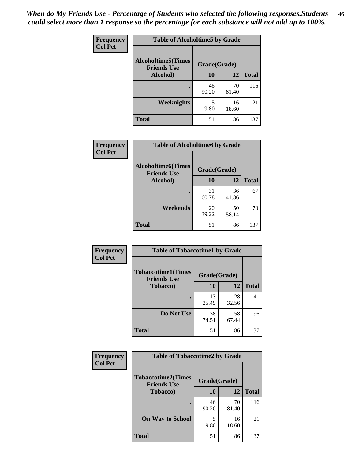*When do My Friends Use - Percentage of Students who selected the following responses.Students could select more than 1 response so the percentage for each substance will not add up to 100%.* **46**

| <b>Frequency</b> | <b>Table of Alcoholtime5 by Grade</b>            |              |             |              |
|------------------|--------------------------------------------------|--------------|-------------|--------------|
| <b>Col Pct</b>   | <b>Alcoholtime5</b> (Times<br><b>Friends Use</b> | Grade(Grade) |             |              |
|                  | Alcohol)                                         | 10           | 12          | <b>Total</b> |
|                  |                                                  | 46<br>90.20  | 70<br>81.40 | 116          |
|                  | Weeknights                                       | 5<br>9.80    | 16<br>18.60 | 21           |
|                  | <b>Total</b>                                     | 51           | 86          | 137          |

| Frequency      | <b>Table of Alcoholtime6 by Grade</b>           |              |             |              |
|----------------|-------------------------------------------------|--------------|-------------|--------------|
| <b>Col Pct</b> | <b>Alcoholtime6(Times</b><br><b>Friends Use</b> | Grade(Grade) |             |              |
|                | Alcohol)                                        | 10           | 12          | <b>Total</b> |
|                |                                                 | 31<br>60.78  | 36<br>41.86 | 67           |
|                | Weekends                                        | 20<br>39.22  | 50<br>58.14 | 70           |
|                | <b>Total</b>                                    | 51           | 86          | 137          |

| Frequency      | <b>Table of Tobaccotime1 by Grade</b>           |              |             |              |
|----------------|-------------------------------------------------|--------------|-------------|--------------|
| <b>Col Pct</b> | <b>Tobaccotime1(Times</b><br><b>Friends Use</b> | Grade(Grade) |             |              |
|                | <b>Tobacco</b> )                                | 10           | 12          | <b>Total</b> |
|                | ٠                                               | 13<br>25.49  | 28<br>32.56 | 41           |
|                | Do Not Use                                      | 38<br>74.51  | 58<br>67.44 | 96           |
|                | <b>Total</b>                                    | 51           | 86          | 137          |

| <b>Frequency</b> | <b>Table of Tobaccotime2 by Grade</b>           |              |             |              |
|------------------|-------------------------------------------------|--------------|-------------|--------------|
| <b>Col Pct</b>   | <b>Tobaccotime2(Times</b><br><b>Friends Use</b> | Grade(Grade) |             |              |
|                  | <b>Tobacco</b> )                                | 10           | 12          | <b>Total</b> |
|                  | ٠                                               | 46<br>90.20  | 70<br>81.40 | 116          |
|                  | <b>On Way to School</b>                         | 5<br>9.80    | 16<br>18.60 | 21           |
|                  | <b>Total</b>                                    | 51           | 86          | 137          |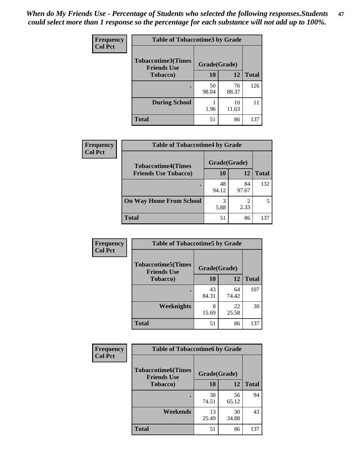*When do My Friends Use - Percentage of Students who selected the following responses.Students could select more than 1 response so the percentage for each substance will not add up to 100%.* **47**

| <b>Frequency</b> | <b>Table of Tobaccotime3 by Grade</b>           |              |             |              |  |
|------------------|-------------------------------------------------|--------------|-------------|--------------|--|
| <b>Col Pct</b>   | <b>Tobaccotime3(Times</b><br><b>Friends Use</b> | Grade(Grade) |             |              |  |
|                  | <b>Tobacco</b> )                                | 10           | 12          | <b>Total</b> |  |
|                  |                                                 | 50<br>98.04  | 76<br>88.37 | 126          |  |
|                  | <b>During School</b>                            | 1.96         | 10<br>11.63 | 11           |  |
|                  | <b>Total</b>                                    | 51           | 86          | 137          |  |

| <b>Frequency</b> | <b>Table of Tobaccotime4 by Grade</b> |              |             |              |
|------------------|---------------------------------------|--------------|-------------|--------------|
| <b>Col Pct</b>   | <b>Tobaccotime4(Times</b>             | Grade(Grade) |             |              |
|                  | <b>Friends Use Tobacco)</b>           | 10           | 12          | <b>Total</b> |
|                  |                                       | 48<br>94.12  | 84<br>97.67 | 132          |
|                  | <b>On Way Home From School</b>        | 3<br>5.88    | 2.33        |              |
|                  | <b>Total</b>                          | 51           | 86          | 137          |

| Frequency      | <b>Table of Tobaccotime5 by Grade</b>           |              |             |              |  |
|----------------|-------------------------------------------------|--------------|-------------|--------------|--|
| <b>Col Pct</b> | <b>Tobaccotime5(Times</b><br><b>Friends Use</b> | Grade(Grade) |             |              |  |
|                | <b>Tobacco</b> )                                | 10           | 12          | <b>Total</b> |  |
|                |                                                 | 43<br>84.31  | 64<br>74.42 | 107          |  |
|                | Weeknights                                      | 8<br>15.69   | 22<br>25.58 | 30           |  |
|                | <b>Total</b>                                    | 51           | 86          | 137          |  |

| Frequency      | <b>Table of Tobaccotime6 by Grade</b>           |              |             |              |  |
|----------------|-------------------------------------------------|--------------|-------------|--------------|--|
| <b>Col Pct</b> | <b>Tobaccotime6(Times</b><br><b>Friends Use</b> | Grade(Grade) |             |              |  |
|                | <b>Tobacco</b> )                                | 10           | 12          | <b>Total</b> |  |
|                |                                                 | 38<br>74.51  | 56<br>65.12 | 94           |  |
|                | Weekends                                        | 13<br>25.49  | 30<br>34.88 | 43           |  |
|                | <b>Total</b>                                    | 51           | 86          | 137          |  |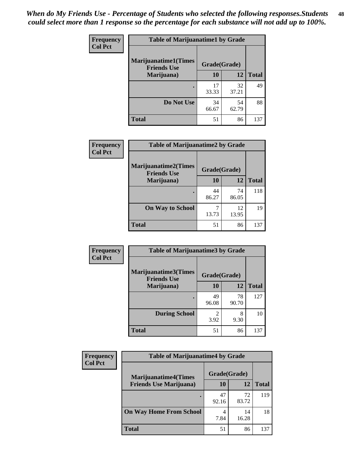| Frequency      | <b>Table of Marijuanatime1 by Grade</b>           |              |             |              |
|----------------|---------------------------------------------------|--------------|-------------|--------------|
| <b>Col Pct</b> | <b>Marijuanatime1(Times</b><br><b>Friends Use</b> | Grade(Grade) |             |              |
|                | Marijuana)                                        | 10           | 12          | <b>Total</b> |
|                |                                                   | 17<br>33.33  | 32<br>37.21 | 49           |
|                | Do Not Use                                        | 34<br>66.67  | 54<br>62.79 | 88           |
|                | <b>Total</b>                                      | 51           | 86          | 137          |

| Frequency      | <b>Table of Marijuanatime2 by Grade</b>           |              |             |              |
|----------------|---------------------------------------------------|--------------|-------------|--------------|
| <b>Col Pct</b> | <b>Marijuanatime2(Times</b><br><b>Friends Use</b> | Grade(Grade) |             |              |
|                | Marijuana)                                        | 10           | 12          | <b>Total</b> |
|                |                                                   | 44<br>86.27  | 74<br>86.05 | 118          |
|                | <b>On Way to School</b>                           | 7<br>13.73   | 12<br>13.95 | 19           |
|                | <b>Total</b>                                      | 51           | 86          | 137          |

| Frequency<br><b>Col Pct</b> | <b>Table of Marijuanatime3 by Grade</b>            |              |             |              |  |
|-----------------------------|----------------------------------------------------|--------------|-------------|--------------|--|
|                             | <b>Marijuanatime3</b> (Times<br><b>Friends Use</b> | Grade(Grade) |             |              |  |
|                             | Marijuana)                                         | 10           | 12          | <b>Total</b> |  |
|                             |                                                    | 49<br>96.08  | 78<br>90.70 | 127          |  |
|                             | <b>During School</b>                               | 2<br>3.92    | 8<br>9.30   | 10           |  |
|                             | <b>Total</b>                                       | 51           | 86          | 137          |  |

| <b>Frequency</b><br><b>Col Pct</b> | <b>Table of Marijuanatime4 by Grade</b> |              |             |              |
|------------------------------------|-----------------------------------------|--------------|-------------|--------------|
|                                    | <b>Marijuanatime4</b> (Times            | Grade(Grade) |             |              |
|                                    | <b>Friends Use Marijuana</b> )          | 10           | 12          | <b>Total</b> |
|                                    |                                         | 47<br>92.16  | 72<br>83.72 | 119          |
|                                    | <b>On Way Home From School</b>          | 7.84         | 14<br>16.28 | 18           |
|                                    | <b>Total</b>                            | 51           | 86          | 137          |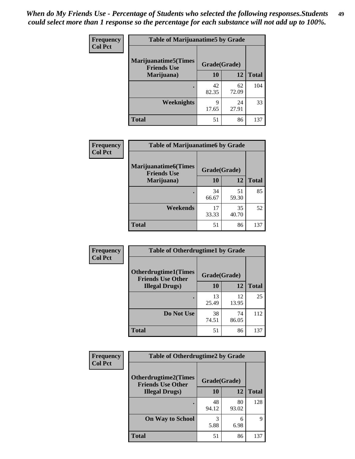| Frequency      | <b>Table of Marijuanatime5 by Grade</b>            |              |             |              |  |
|----------------|----------------------------------------------------|--------------|-------------|--------------|--|
| <b>Col Pct</b> | <b>Marijuanatime5</b> (Times<br><b>Friends Use</b> | Grade(Grade) |             |              |  |
|                | Marijuana)                                         | 10           | 12          | <b>Total</b> |  |
|                |                                                    | 42<br>82.35  | 62<br>72.09 | 104          |  |
|                | Weeknights                                         | 9<br>17.65   | 24<br>27.91 | 33           |  |
|                | <b>Total</b>                                       | 51           | 86          | 137          |  |

| Frequency      | <b>Table of Marijuanatime6 by Grade</b>           |              |             |              |
|----------------|---------------------------------------------------|--------------|-------------|--------------|
| <b>Col Pct</b> | <b>Marijuanatime6(Times</b><br><b>Friends Use</b> | Grade(Grade) |             |              |
|                | Marijuana)                                        | 10           | 12          | <b>Total</b> |
|                |                                                   | 34<br>66.67  | 51<br>59.30 | 85           |
|                | Weekends                                          | 17<br>33.33  | 35<br>40.70 | 52           |
|                | <b>Total</b>                                      | 51           | 86          | 137          |

| Frequency      | <b>Table of Otherdrugtime1 by Grade</b>                 |              |             |              |
|----------------|---------------------------------------------------------|--------------|-------------|--------------|
| <b>Col Pct</b> | <b>Otherdrugtime1(Times</b><br><b>Friends Use Other</b> | Grade(Grade) |             |              |
|                | <b>Illegal Drugs</b> )                                  | 10           | 12          | <b>Total</b> |
|                |                                                         | 13<br>25.49  | 12<br>13.95 | 25           |
|                | Do Not Use                                              | 38<br>74.51  | 74<br>86.05 | 112          |
|                | Total                                                   | 51           | 86          | 137          |

| <b>Frequency</b> | <b>Table of Otherdrugtime2 by Grade</b>                 |              |             |              |  |  |
|------------------|---------------------------------------------------------|--------------|-------------|--------------|--|--|
| <b>Col Pct</b>   | <b>Otherdrugtime2(Times</b><br><b>Friends Use Other</b> | Grade(Grade) |             |              |  |  |
|                  | <b>Illegal Drugs</b> )                                  | 10           | 12          | <b>Total</b> |  |  |
|                  |                                                         | 48<br>94.12  | 80<br>93.02 | 128          |  |  |
|                  | <b>On Way to School</b>                                 | 3<br>5.88    | 6<br>6.98   | 9            |  |  |
|                  | Total                                                   | 51           | 86          | 137          |  |  |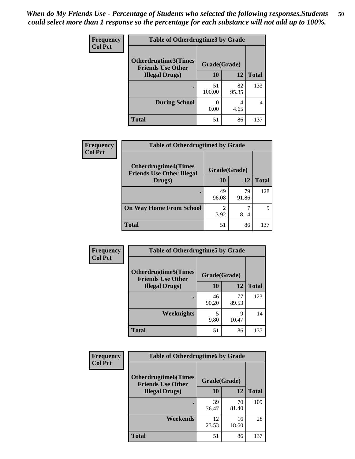| <b>Frequency</b> | <b>Table of Otherdrugtime3 by Grade</b>                          |              |             |              |  |  |
|------------------|------------------------------------------------------------------|--------------|-------------|--------------|--|--|
| <b>Col Pct</b>   | Otherdrugtime3(Times<br>Grade(Grade)<br><b>Friends Use Other</b> |              |             |              |  |  |
|                  | <b>Illegal Drugs</b> )                                           | 10           | 12          | <b>Total</b> |  |  |
|                  |                                                                  | 51<br>100.00 | 82<br>95.35 | 133          |  |  |
|                  | <b>During School</b>                                             | 0<br>0.00    | 4<br>4.65   | 4            |  |  |
|                  | Total                                                            | 51           | 86          | 137          |  |  |

| Frequency      | <b>Table of Otherdrugtime4 by Grade</b>                         |              |             |              |  |  |  |
|----------------|-----------------------------------------------------------------|--------------|-------------|--------------|--|--|--|
| <b>Col Pct</b> | <b>Otherdrugtime4(Times</b><br><b>Friends Use Other Illegal</b> | Grade(Grade) |             |              |  |  |  |
|                | Drugs)                                                          | 10           | 12          | <b>Total</b> |  |  |  |
|                | ٠                                                               | 49<br>96.08  | 79<br>91.86 | 128          |  |  |  |
|                | <b>On Way Home From School</b>                                  | 2<br>3.92    | 8.14        | q            |  |  |  |
|                | <b>Total</b>                                                    | 51           | 86          | 137          |  |  |  |

| <b>Frequency</b> | <b>Table of Otherdrugtime5 by Grade</b>                  |              |             |              |  |  |
|------------------|----------------------------------------------------------|--------------|-------------|--------------|--|--|
| <b>Col Pct</b>   | <b>Otherdrugtime5</b> (Times<br><b>Friends Use Other</b> | Grade(Grade) |             |              |  |  |
|                  | <b>Illegal Drugs</b> )                                   | 10           | 12          | <b>Total</b> |  |  |
|                  |                                                          | 46<br>90.20  | 77<br>89.53 | 123          |  |  |
|                  | Weeknights                                               | 5<br>9.80    | Q<br>10.47  | 14           |  |  |
|                  | <b>Total</b>                                             | 51           | 86          | 137          |  |  |

| Frequency      | <b>Table of Otherdrugtime6 by Grade</b>                 |              |             |              |  |  |
|----------------|---------------------------------------------------------|--------------|-------------|--------------|--|--|
| <b>Col Pct</b> | <b>Otherdrugtime6(Times</b><br><b>Friends Use Other</b> | Grade(Grade) |             |              |  |  |
|                | <b>Illegal Drugs</b> )                                  | 10           | 12          | <b>Total</b> |  |  |
|                |                                                         | 39<br>76.47  | 70<br>81.40 | 109          |  |  |
|                | Weekends                                                | 12<br>23.53  | 16<br>18.60 | 28           |  |  |
|                | <b>Total</b>                                            | 51           | 86          | 137          |  |  |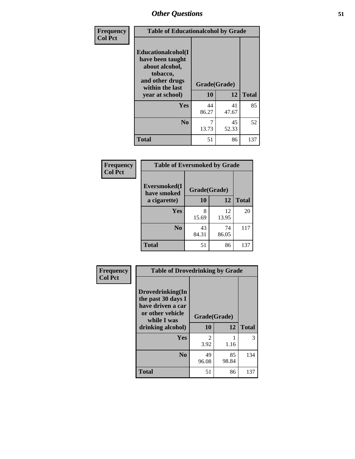| Frequency      | <b>Table of Educationalcohol by Grade</b>                                                                  |              |             |              |  |  |
|----------------|------------------------------------------------------------------------------------------------------------|--------------|-------------|--------------|--|--|
| <b>Col Pct</b> | Educationalcohol(I<br>have been taught<br>about alcohol,<br>tobacco,<br>and other drugs<br>within the last | Grade(Grade) |             |              |  |  |
|                | year at school)                                                                                            | 10           | 12          | <b>Total</b> |  |  |
|                | Yes                                                                                                        | 44<br>86.27  | 41<br>47.67 | 85           |  |  |
|                | N <sub>0</sub>                                                                                             | 7<br>13.73   | 45<br>52.33 | 52           |  |  |
|                | <b>Total</b>                                                                                               | 51           | 86          | 137          |  |  |

| Frequency      | <b>Table of Eversmoked by Grade</b> |              |             |              |  |  |  |
|----------------|-------------------------------------|--------------|-------------|--------------|--|--|--|
| <b>Col Pct</b> | Eversmoked(I<br>have smoked         | Grade(Grade) |             |              |  |  |  |
|                | a cigarette)                        | 10           | 12          | <b>Total</b> |  |  |  |
|                | Yes                                 | 8<br>15.69   | 12<br>13.95 | 20           |  |  |  |
|                | N <sub>0</sub>                      | 43<br>84.31  | 74<br>86.05 | 117          |  |  |  |
|                | <b>Total</b>                        | 51           | 86          | 137          |  |  |  |

| Frequency      | <b>Table of Drovedrinking by Grade</b>                                                                              |                    |             |              |  |  |
|----------------|---------------------------------------------------------------------------------------------------------------------|--------------------|-------------|--------------|--|--|
| <b>Col Pct</b> | Drovedrinking(In<br>the past 30 days I<br>have driven a car<br>or other vehicle<br>while I was<br>drinking alcohol) | Grade(Grade)<br>10 | 12          | <b>Total</b> |  |  |
|                | <b>Yes</b>                                                                                                          | 2<br>3.92          | 1.16        | 3            |  |  |
|                | N <sub>0</sub>                                                                                                      | 49<br>96.08        | 85<br>98.84 | 134          |  |  |
|                | <b>Total</b>                                                                                                        | 51                 | 86          | 137          |  |  |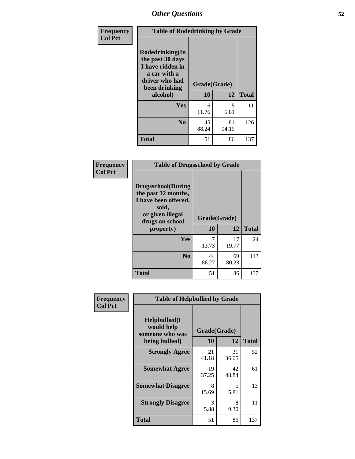| Frequency<br><b>Col Pct</b> | <b>Table of Rodedrinking by Grade</b>                                                                                  |                    |              |     |  |  |
|-----------------------------|------------------------------------------------------------------------------------------------------------------------|--------------------|--------------|-----|--|--|
|                             | Rodedrinking(In<br>the past 30 days<br>I have ridden in<br>a car with a<br>driver who had<br>been drinking<br>alcohol) | Grade(Grade)<br>10 | <b>Total</b> |     |  |  |
|                             |                                                                                                                        |                    | 12           |     |  |  |
|                             | <b>Yes</b>                                                                                                             | 6<br>11.76         | 5<br>5.81    | 11  |  |  |
|                             | N <sub>0</sub>                                                                                                         | 45<br>88.24        | 81<br>94.19  | 126 |  |  |
|                             | <b>Total</b>                                                                                                           | 51                 | 86           | 137 |  |  |

#### **Frequency Col Pct**

| <b>Table of Drugsschool by Grade</b>                                                                                      |              |             |              |  |  |  |
|---------------------------------------------------------------------------------------------------------------------------|--------------|-------------|--------------|--|--|--|
| <b>Drugsschool</b> (During<br>the past 12 months,<br>I have been offered,<br>sold,<br>or given illegal<br>drugs on school | Grade(Grade) |             |              |  |  |  |
| property)                                                                                                                 | 10           | 12          | <b>Total</b> |  |  |  |
| Yes                                                                                                                       | 7<br>13.73   | 17<br>19.77 | 24           |  |  |  |
| N <sub>0</sub>                                                                                                            | 44<br>86.27  | 69<br>80.23 | 113          |  |  |  |
| <b>Total</b>                                                                                                              | 51           | 86          | 137          |  |  |  |

| Frequency      | <b>Table of Helpbullied by Grade</b>                             |                           |             |              |  |  |
|----------------|------------------------------------------------------------------|---------------------------|-------------|--------------|--|--|
| <b>Col Pct</b> | Helpbullied(I<br>would help<br>someone who was<br>being bullied) | Grade(Grade)<br><b>10</b> | 12          | <b>Total</b> |  |  |
|                | <b>Strongly Agree</b>                                            | 21<br>41.18               | 31<br>36.05 | 52           |  |  |
|                | <b>Somewhat Agree</b>                                            | 19<br>37.25               | 42<br>48.84 | 61           |  |  |
|                | <b>Somewhat Disagree</b>                                         | 8<br>15.69                | 5<br>5.81   | 13           |  |  |
|                | <b>Strongly Disagree</b>                                         | 3<br>5.88                 | 8<br>9.30   | 11           |  |  |
|                | Total                                                            | 51                        | 86          | 137          |  |  |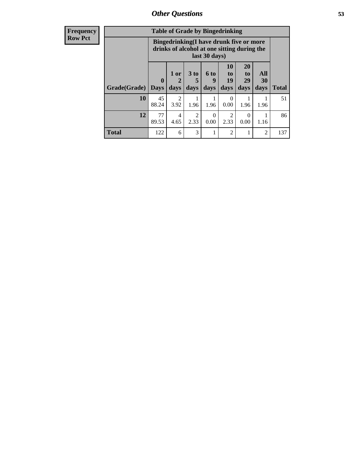| <b>Frequency</b> |              | <b>Table of Grade by Bingedrinking</b>                                                                  |                                |                              |                          |                        |                        |                          |              |
|------------------|--------------|---------------------------------------------------------------------------------------------------------|--------------------------------|------------------------------|--------------------------|------------------------|------------------------|--------------------------|--------------|
| <b>Row Pct</b>   |              | Bingedrinking(I have drunk five or more<br>drinks of alcohol at one sitting during the<br>last 30 days) |                                |                              |                          |                        |                        |                          |              |
|                  | Grade(Grade) | $\mathbf{0}$<br><b>Days</b>                                                                             | 1 or<br>$\overline{2}$<br>days | 3 <sub>to</sub><br>5<br>days | <b>6 to</b><br>9<br>days | 10<br>to<br>19<br>days | 20<br>to<br>29<br>days | All<br><b>30</b><br>days | <b>Total</b> |
|                  | 10           | 45<br>88.24                                                                                             | $\overline{2}$<br>3.92         | 1.96                         | 1.96                     | $\Omega$<br>0.00       | 1.96                   | 1.96                     | 51           |
|                  | 12           | 77<br>89.53                                                                                             | 4<br>4.65                      | $\overline{2}$<br>2.33       | $\Omega$<br>0.00         | 2<br>2.33              | 0<br>0.00              | 1.16                     | 86           |
|                  | <b>Total</b> | 122                                                                                                     | 6                              | 3                            |                          | $\overline{2}$         |                        | $\overline{2}$           | 137          |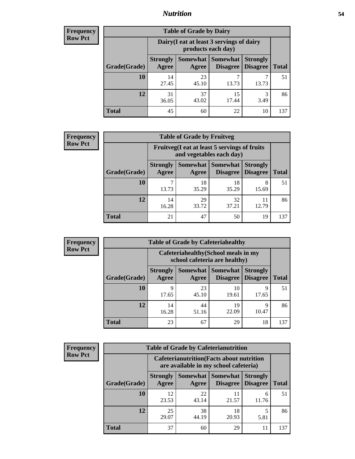### *Nutrition* **54**

| Frequency |
|-----------|
| Row Pct   |

| <b>Table of Grade by Dairy</b> |                                                                 |                     |                             |                                    |              |  |  |
|--------------------------------|-----------------------------------------------------------------|---------------------|-----------------------------|------------------------------------|--------------|--|--|
|                                | Dairy (I eat at least 3 servings of dairy<br>products each day) |                     |                             |                                    |              |  |  |
| Grade(Grade)                   | <b>Strongly</b><br>Agree                                        | Somewhat  <br>Agree | <b>Somewhat</b><br>Disagree | <b>Strongly</b><br><b>Disagree</b> | <b>Total</b> |  |  |
| 10                             | 14<br>27.45                                                     | 23<br>45.10         | ┑<br>13.73                  | 13.73                              | 51           |  |  |
| 12                             | 31<br>36.05                                                     | 37<br>43.02         | 15<br>17.44                 | 3<br>3.49                          | 86           |  |  |
| <b>Total</b>                   | 45                                                              | 60                  | 22                          | 10                                 | 137          |  |  |

| <b>Frequency</b> |  |
|------------------|--|
| <b>Row Pct</b>   |  |

| $\mathbf{y}$ | <b>Table of Grade by Fruitveg</b> |                                                                          |                     |                                 |                 |              |  |
|--------------|-----------------------------------|--------------------------------------------------------------------------|---------------------|---------------------------------|-----------------|--------------|--|
|              |                                   | Fruitveg(I eat at least 5 servings of fruits<br>and vegetables each day) |                     |                                 |                 |              |  |
|              | Grade(Grade)                      | <b>Strongly</b><br><b>Agree</b>                                          | Somewhat  <br>Agree | Somewhat<br>Disagree   Disagree | <b>Strongly</b> | <b>Total</b> |  |
|              | 10                                | 13.73                                                                    | 18<br>35.29         | 18<br>35.29                     | 8<br>15.69      | 51           |  |
|              | 12                                | 14<br>16.28                                                              | 29<br>33.72         | 32<br>37.21                     | 11<br>12.79     | 86           |  |
|              | <b>Total</b>                      | 21                                                                       | 47                  | 50                              | 19              | 137          |  |

| Frequency      | <b>Table of Grade by Cafeteriahealthy</b>                             |                          |                     |                                    |                                    |              |  |  |
|----------------|-----------------------------------------------------------------------|--------------------------|---------------------|------------------------------------|------------------------------------|--------------|--|--|
| <b>Row Pct</b> | Cafeteriahealthy (School meals in my<br>school cafeteria are healthy) |                          |                     |                                    |                                    |              |  |  |
|                | Grade(Grade)                                                          | <b>Strongly</b><br>Agree | Somewhat  <br>Agree | <b>Somewhat</b><br><b>Disagree</b> | <b>Strongly</b><br><b>Disagree</b> | <b>Total</b> |  |  |
|                | 10                                                                    | Q<br>17.65               | 23<br>45.10         | 10<br>19.61                        | 9<br>17.65                         | 51           |  |  |
|                | 12                                                                    | 14<br>16.28              | 44<br>51.16         | 19<br>22.09                        | 9<br>10.47                         | 86           |  |  |
|                | <b>Total</b>                                                          | 23                       | 67                  | 29                                 | 18                                 | 137          |  |  |

| <b>Frequency</b> |
|------------------|
| <b>Row Pct</b>   |

| <b>Table of Grade by Cafeterianutrition</b>                                               |                          |             |                                        |                                    |              |  |  |
|-------------------------------------------------------------------------------------------|--------------------------|-------------|----------------------------------------|------------------------------------|--------------|--|--|
| <b>Cafeterianutrition</b> (Facts about nutrition<br>are available in my school cafeteria) |                          |             |                                        |                                    |              |  |  |
| Grade(Grade)                                                                              | <b>Strongly</b><br>Agree | Agree       | Somewhat   Somewhat<br><b>Disagree</b> | <b>Strongly</b><br><b>Disagree</b> | <b>Total</b> |  |  |
| 10                                                                                        | 12<br>23.53              | 22<br>43.14 | 11<br>21.57                            | 6<br>11.76                         | 51           |  |  |
| 12                                                                                        | 25<br>29.07              | 38<br>44.19 | 18<br>20.93                            | 5.81                               | 86           |  |  |
| <b>Total</b>                                                                              | 37                       | 60          | 29                                     |                                    | 137          |  |  |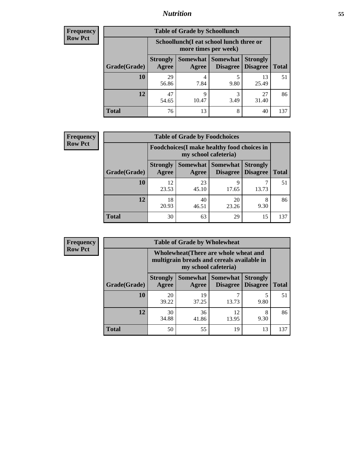### *Nutrition* **55**

| Frequency |
|-----------|
| Row Pct   |

| <b>Table of Grade by Schoollunch</b> |                                                                                                                      |            |           |             |     |  |  |
|--------------------------------------|----------------------------------------------------------------------------------------------------------------------|------------|-----------|-------------|-----|--|--|
|                                      | Schoollunch(I eat school lunch three or<br>more times per week)                                                      |            |           |             |     |  |  |
| Grade(Grade)                         | Somewhat  <br><b>Somewhat</b><br><b>Strongly</b><br><b>Strongly</b><br><b>Disagree</b><br>Disagree<br>Agree<br>Agree |            |           |             |     |  |  |
| 10                                   | 29<br>56.86                                                                                                          | 4<br>7.84  | 5<br>9.80 | 13<br>25.49 | 51  |  |  |
| 12                                   | 47<br>54.65                                                                                                          | q<br>10.47 | 3<br>3.49 | 27<br>31.40 | 86  |  |  |
| <b>Total</b>                         | 76                                                                                                                   | 13         | 8         | 40          | 137 |  |  |

| <b>Frequency</b> |  |
|------------------|--|
| <b>Row Pct</b>   |  |

| <b>Table of Grade by Foodchoices</b>                                |                          |             |                     |                                             |              |  |
|---------------------------------------------------------------------|--------------------------|-------------|---------------------|---------------------------------------------|--------------|--|
| Foodchoices (I make healthy food choices in<br>my school cafeteria) |                          |             |                     |                                             |              |  |
| Grade(Grade)                                                        | <b>Strongly</b><br>Agree | Agree       | Somewhat   Somewhat | <b>Strongly</b><br><b>Disagree</b> Disagree | <b>Total</b> |  |
| 10                                                                  | 12<br>23.53              | 23<br>45.10 | 9<br>17.65          | 13.73                                       | 51           |  |
| 12                                                                  | 18<br>20.93              | 40<br>46.51 | 20<br>23.26         | 8<br>9.30                                   | 86           |  |
| <b>Total</b>                                                        | 30                       | 63          | 29                  | 15                                          | 137          |  |

| <b>Frequency</b><br><b>Row Pct</b> |  |
|------------------------------------|--|
|                                    |  |

| <b>Table of Grade by Wholewheat</b> |                                                                                                             |             |                     |                                        |              |  |
|-------------------------------------|-------------------------------------------------------------------------------------------------------------|-------------|---------------------|----------------------------------------|--------------|--|
|                                     | Wholewheat (There are whole wheat and<br>multigrain breads and cereals available in<br>my school cafeteria) |             |                     |                                        |              |  |
| Grade(Grade)                        | <b>Strongly</b><br>Agree                                                                                    | Agree       | Somewhat   Somewhat | <b>Strongly</b><br>Disagree   Disagree | <b>Total</b> |  |
| 10                                  | 20<br>39.22                                                                                                 | 19<br>37.25 | 13.73               | 9.80                                   | 51           |  |
| 12                                  | 30<br>34.88                                                                                                 | 36<br>41.86 | 12<br>13.95         | 8<br>9.30                              | 86           |  |
| <b>Total</b>                        | 50                                                                                                          | 55          | 19                  | 13                                     | 137          |  |

**Table of Grade by Wholewheat**

┓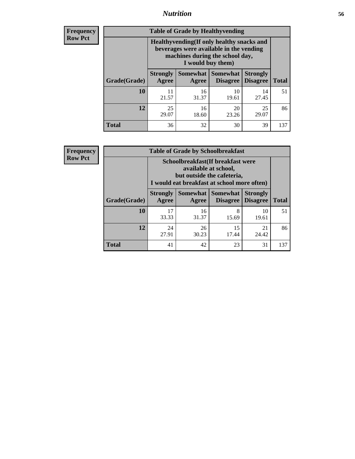### *Nutrition* **56**

**Frequency Row Pct**

| <b>Table of Grade by Healthyvending</b> |                                                                                                                                               |                          |                             |                                    |              |
|-----------------------------------------|-----------------------------------------------------------------------------------------------------------------------------------------------|--------------------------|-----------------------------|------------------------------------|--------------|
|                                         | Healthyvending (If only healthy snacks and<br>beverages were available in the vending<br>machines during the school day,<br>I would buy them) |                          |                             |                                    |              |
| Grade(Grade)                            | <b>Strongly</b><br>Agree                                                                                                                      | <b>Somewhat</b><br>Agree | <b>Somewhat</b><br>Disagree | <b>Strongly</b><br><b>Disagree</b> | <b>Total</b> |
| 10                                      | 11<br>21.57                                                                                                                                   | 16<br>31.37              | 10<br>19.61                 | 14<br>27.45                        | 51           |
| 12                                      | 25<br>29.07                                                                                                                                   | 16<br>18.60              | 20<br>23.26                 | 25<br>29.07                        | 86           |
| <b>Total</b>                            | 36                                                                                                                                            | 32                       | 30                          | 39                                 | 137          |

**Frequency Row Pct**

| <b>Table of Grade by Schoolbreakfast</b> |                                                                                                                                         |             |                                            |                 |              |  |
|------------------------------------------|-----------------------------------------------------------------------------------------------------------------------------------------|-------------|--------------------------------------------|-----------------|--------------|--|
|                                          | Schoolbreakfast (If breakfast were<br>available at school,<br>but outside the cafeteria,<br>I would eat breakfast at school more often) |             |                                            |                 |              |  |
| Grade(Grade)                             | <b>Strongly</b><br><b>Agree</b>                                                                                                         | Agree       | Somewhat   Somewhat<br>Disagree   Disagree | <b>Strongly</b> | <b>Total</b> |  |
| 10                                       | 17<br>33.33                                                                                                                             | 16<br>31.37 | 8<br>15.69                                 | 10<br>19.61     | 51           |  |
| 12                                       | 24<br>27.91                                                                                                                             | 26<br>30.23 | 15<br>17.44                                | 21<br>24.42     | 86           |  |
| <b>Total</b>                             | 41                                                                                                                                      | 42          | 23                                         | 31              | 137          |  |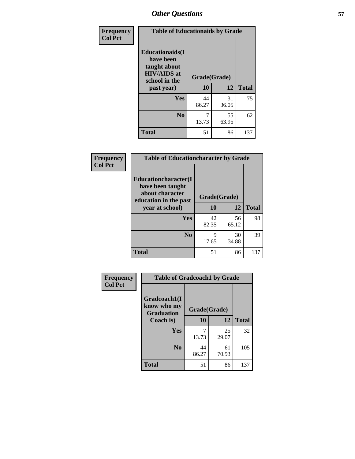| Frequency<br><b>Col Pct</b> | <b>Table of Educationaids by Grade</b>                                                                    |                    |             |              |
|-----------------------------|-----------------------------------------------------------------------------------------------------------|--------------------|-------------|--------------|
|                             | <b>Educationaids</b> (I<br>have been<br>taught about<br><b>HIV/AIDS</b> at<br>school in the<br>past year) | Grade(Grade)<br>10 | 12          | <b>Total</b> |
|                             | <b>Yes</b>                                                                                                | 44<br>86.27        | 31<br>36.05 | 75           |
|                             | N <sub>0</sub>                                                                                            | 13.73              | 55<br>63.95 | 62           |
|                             | <b>Total</b>                                                                                              | 51                 | 86          | 137          |

| <b>Frequency</b> | <b>Table of Educationcharacter by Grade</b>                                                             |              |             |              |
|------------------|---------------------------------------------------------------------------------------------------------|--------------|-------------|--------------|
| <b>Col Pct</b>   | Educationcharacter(I<br>have been taught<br>about character<br>education in the past<br>year at school) | Grade(Grade) |             |              |
|                  |                                                                                                         | 10           | 12          | <b>Total</b> |
|                  | <b>Yes</b>                                                                                              | 42<br>82.35  | 56<br>65.12 | 98           |
|                  | N <sub>0</sub>                                                                                          | 9<br>17.65   | 30<br>34.88 | 39           |
|                  | <b>Total</b>                                                                                            | 51           | 86          | 137          |

| Frequency      | <b>Table of Gradcoach1 by Grade</b>              |              |             |              |
|----------------|--------------------------------------------------|--------------|-------------|--------------|
| <b>Col Pct</b> | Gradcoach1(I<br>know who my<br><b>Graduation</b> | Grade(Grade) |             |              |
|                | Coach is)                                        | 10           | 12          | <b>Total</b> |
|                | Yes                                              | 13.73        | 25<br>29.07 | 32           |
|                | N <sub>0</sub>                                   | 44<br>86.27  | 61<br>70.93 | 105          |
|                | <b>Total</b>                                     | 51           | 86          | 137          |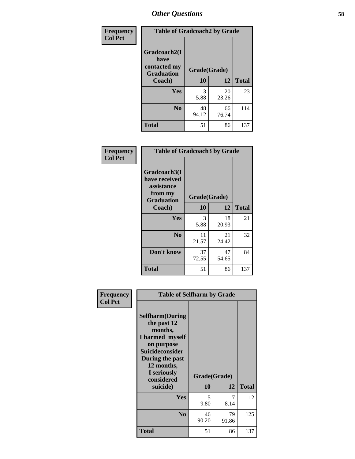| Frequency      | <b>Table of Gradcoach2 by Grade</b> |              |             |              |
|----------------|-------------------------------------|--------------|-------------|--------------|
| <b>Col Pct</b> |                                     |              |             |              |
|                | Gradcoach2(I<br>have                |              |             |              |
|                | contacted my<br><b>Graduation</b>   | Grade(Grade) |             |              |
|                | Coach)                              | 10           | 12          | <b>Total</b> |
|                | Yes                                 | 3<br>5.88    | 20<br>23.26 | 23           |
|                | N <sub>0</sub>                      | 48<br>94.12  | 66<br>76.74 | 114          |
|                | <b>Total</b>                        | 51           | 86          | 137          |

| Frequency<br><b>Col Pct</b> | <b>Table of Gradcoach3 by Grade</b>                                         |              |             |              |
|-----------------------------|-----------------------------------------------------------------------------|--------------|-------------|--------------|
|                             | Gradcoach3(I<br>have received<br>assistance<br>from my<br><b>Graduation</b> | Grade(Grade) |             |              |
|                             | Coach)                                                                      | 10           | 12          | <b>Total</b> |
|                             | Yes                                                                         | 3<br>5.88    | 18<br>20.93 | 21           |
|                             | N <sub>0</sub>                                                              | 11<br>21.57  | 21<br>24.42 | 32           |
|                             | Don't know                                                                  | 37<br>72.55  | 47<br>54.65 | 84           |
|                             | <b>Total</b>                                                                | 51           | 86          | 137          |

| Frequency      | <b>Table of Selfharm by Grade</b>                                                                                                                                                      |                    |             |              |
|----------------|----------------------------------------------------------------------------------------------------------------------------------------------------------------------------------------|--------------------|-------------|--------------|
| <b>Col Pct</b> | <b>Selfharm</b> (During<br>the past 12<br>months,<br>I harmed myself<br>on purpose<br><b>Suicideconsider</b><br>During the past<br>12 months,<br>I seriously<br>considered<br>suicide) | Grade(Grade)<br>10 | 12          | <b>Total</b> |
|                | Yes                                                                                                                                                                                    | 5<br>9.80          | 7<br>8.14   | 12           |
|                | N <sub>0</sub>                                                                                                                                                                         | 46<br>90.20        | 79<br>91.86 | 125          |
|                | Total                                                                                                                                                                                  | 51                 | 86          | 137          |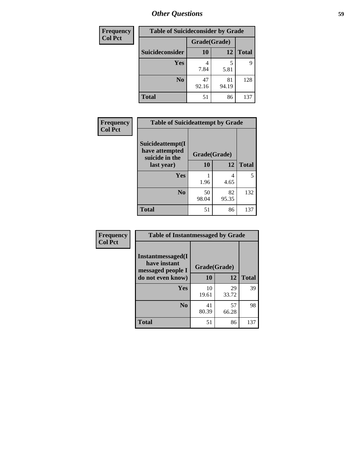| <b>Frequency</b> | <b>Table of Suicideconsider by Grade</b> |              |             |              |
|------------------|------------------------------------------|--------------|-------------|--------------|
| <b>Col Pct</b>   |                                          | Grade(Grade) |             |              |
|                  | Suicideconsider                          | <b>10</b>    | 12          | <b>Total</b> |
|                  | Yes                                      | 7.84         | 5.81        | 9            |
|                  | N <sub>0</sub>                           | 47<br>92.16  | 81<br>94.19 | 128          |
|                  | <b>Total</b>                             | 51           | 86          | 137          |

| Frequency      | <b>Table of Suicideattempt by Grade</b>              |              |             |              |
|----------------|------------------------------------------------------|--------------|-------------|--------------|
| <b>Col Pct</b> | Suicideattempt(I<br>have attempted<br>suicide in the | Grade(Grade) |             |              |
|                | last year)                                           | 10           | 12          | <b>Total</b> |
|                | Yes                                                  | 1.96         | 4<br>4.65   | 5            |
|                | N <sub>0</sub>                                       | 50<br>98.04  | 82<br>95.35 | 132          |
|                | <b>Total</b>                                         | 51           | 86          | 137          |

| Frequency      | <b>Table of Instantmessaged by Grade</b>               |              |             |              |
|----------------|--------------------------------------------------------|--------------|-------------|--------------|
| <b>Col Pct</b> | Instantmessaged(I<br>have instant<br>messaged people I | Grade(Grade) |             |              |
|                | do not even know)                                      | 10           | 12          | <b>Total</b> |
|                | Yes                                                    | 10<br>19.61  | 29<br>33.72 | 39           |
|                | N <sub>0</sub>                                         | 41<br>80.39  | 57<br>66.28 | 98           |
|                | <b>Total</b>                                           | 51           | 86          | 137          |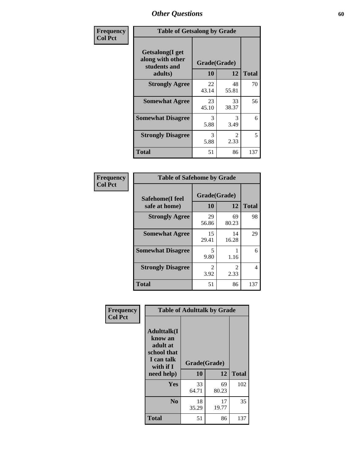| Frequency      | <b>Table of Getsalong by Grade</b>                          |              |                        |              |  |  |  |
|----------------|-------------------------------------------------------------|--------------|------------------------|--------------|--|--|--|
| <b>Col Pct</b> | <b>Getsalong</b> (I get<br>along with other<br>students and | Grade(Grade) |                        |              |  |  |  |
|                | adults)                                                     | 10           | 12                     | <b>Total</b> |  |  |  |
|                | <b>Strongly Agree</b>                                       | 22<br>43.14  | 48<br>55.81            | 70           |  |  |  |
|                | <b>Somewhat Agree</b>                                       | 23<br>45.10  | 33<br>38.37            | 56           |  |  |  |
|                | <b>Somewhat Disagree</b>                                    | 3<br>5.88    | 3<br>3.49              | 6            |  |  |  |
|                | <b>Strongly Disagree</b>                                    | 3<br>5.88    | $\mathfrak{D}$<br>2.33 | 5            |  |  |  |
|                | <b>Total</b>                                                | 51           | 86                     | 137          |  |  |  |

| Frequency      | <b>Table of Safehome by Grade</b> |                           |                       |              |  |  |  |
|----------------|-----------------------------------|---------------------------|-----------------------|--------------|--|--|--|
| <b>Col Pct</b> | Safehome(I feel<br>safe at home)  | Grade(Grade)<br><b>10</b> | 12                    | <b>Total</b> |  |  |  |
|                | <b>Strongly Agree</b>             | 29<br>56.86               | 69<br>80.23           | 98           |  |  |  |
|                | <b>Somewhat Agree</b>             | 15<br>29.41               | 14<br>16.28           | 29           |  |  |  |
|                | <b>Somewhat Disagree</b>          | 5<br>9.80                 | 1.16                  | 6            |  |  |  |
|                | <b>Strongly Disagree</b>          | 2<br>3.92                 | $\mathcal{L}$<br>2.33 | 4            |  |  |  |
|                | <b>Total</b>                      | 51                        | 86                    | 137          |  |  |  |

| Frequency      |                                                                                      |              | <b>Table of Adulttalk by Grade</b> |              |
|----------------|--------------------------------------------------------------------------------------|--------------|------------------------------------|--------------|
| <b>Col Pct</b> | <b>Adulttalk</b> (I<br>know an<br>adult at<br>school that<br>I can talk<br>with if I | Grade(Grade) |                                    |              |
|                | need help)                                                                           | 10           | 12                                 | <b>Total</b> |
|                | <b>Yes</b>                                                                           | 33<br>64.71  | 69<br>80.23                        | 102          |
|                | N <sub>0</sub>                                                                       | 18<br>35.29  | 17<br>19.77                        | 35           |
|                | <b>Total</b>                                                                         | 51           | 86                                 | 137          |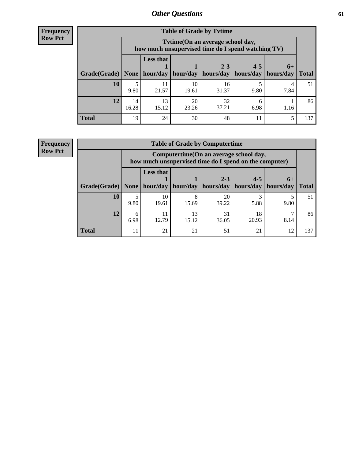**Frequency Row Pct**

| <b>Table of Grade by Tytime</b> |             |                                                                                         |             |                                                                      |           |      |              |  |  |  |
|---------------------------------|-------------|-----------------------------------------------------------------------------------------|-------------|----------------------------------------------------------------------|-----------|------|--------------|--|--|--|
|                                 |             | Tytime (On an average school day,<br>how much unsupervised time do I spend watching TV) |             |                                                                      |           |      |              |  |  |  |
| Grade(Grade)   None             |             | <b>Less that</b>                                                                        |             | $2 - 3$<br>$hour/day$   hour/day   hours/day   hours/day   hours/day | $4 - 5$   | $6+$ | <b>Total</b> |  |  |  |
| 10                              | 9.80        | 11<br>21.57                                                                             | 10<br>19.61 | 16<br>31.37                                                          | 9.80      | 7.84 | 51           |  |  |  |
| 12                              | 14<br>16.28 | 13<br>15.12                                                                             | 20<br>23.26 | 32<br>37.21                                                          | h<br>6.98 | 1.16 | 86           |  |  |  |
| <b>Total</b>                    | 19          | 24                                                                                      | 30          | 48                                                                   |           | 5    | 137          |  |  |  |

**Frequency Row Pct**

| <b>Table of Grade by Computertime</b> |           |                                                                                                   |            |                      |                      |                   |              |  |  |  |
|---------------------------------------|-----------|---------------------------------------------------------------------------------------------------|------------|----------------------|----------------------|-------------------|--------------|--|--|--|
|                                       |           | Computertime (On an average school day,<br>how much unsupervised time do I spend on the computer) |            |                      |                      |                   |              |  |  |  |
| Grade(Grade)                          | None      | <b>Less that</b><br>hour/day                                                                      | hour/day   | $2 - 3$<br>hours/day | $4 - 5$<br>hours/day | $6+$<br>hours/day | <b>Total</b> |  |  |  |
| 10                                    | 9.80      | 10<br>19.61                                                                                       | 8<br>15.69 | 20<br>39.22          | 3<br>5.88            | 9.80              | 51           |  |  |  |
| 12                                    | 6<br>6.98 | 31<br>13<br>18<br>11<br>12.79<br>20.93<br>8.14<br>36.05<br>15.12                                  |            |                      |                      |                   |              |  |  |  |
| <b>Total</b>                          | 11        | 21                                                                                                | 21         | 51                   | 21                   | 12                | 137          |  |  |  |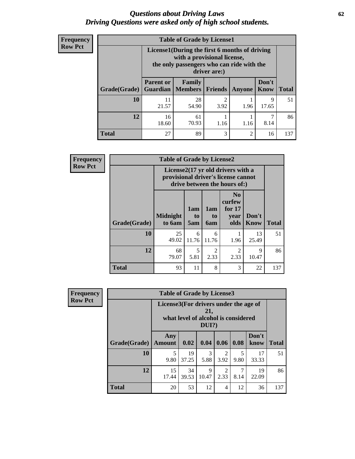#### *Questions about Driving Laws* **62** *Driving Questions were asked only of high school students.*

| <b>Frequency</b> |
|------------------|
| <b>Row Pct</b>   |

| <b>Table of Grade by License1</b> |                              |                                                                                                                                           |                        |                |               |              |  |  |  |  |
|-----------------------------------|------------------------------|-------------------------------------------------------------------------------------------------------------------------------------------|------------------------|----------------|---------------|--------------|--|--|--|--|
|                                   |                              | License1(During the first 6 months of driving<br>with a provisional license,<br>the only passengers who can ride with the<br>driver are:) |                        |                |               |              |  |  |  |  |
| Grade(Grade)                      | <b>Parent or</b><br>Guardian | <b>Family</b><br><b>Members</b>                                                                                                           | Friends                | <b>Anyone</b>  | Don't<br>Know | <b>Total</b> |  |  |  |  |
| 10                                | 11<br>21.57                  | 28<br>54.90                                                                                                                               | $\mathfrak{D}$<br>3.92 | 1.96           | 9<br>17.65    | 51           |  |  |  |  |
| 12                                | 16<br>18.60                  | 61<br>7<br>8.14<br>70.93<br>1.16<br>1.16                                                                                                  |                        |                |               |              |  |  |  |  |
| Total                             | 27                           | 89                                                                                                                                        | 3                      | $\overline{2}$ | 16            | 137          |  |  |  |  |

| <b>Frequency</b> | <b>Table of Grade by License2</b>                                                                        |                           |                  |                        |                                                      |                      |              |  |  |
|------------------|----------------------------------------------------------------------------------------------------------|---------------------------|------------------|------------------------|------------------------------------------------------|----------------------|--------------|--|--|
| <b>Row Pct</b>   | License2(17 yr old drivers with a<br>provisional driver's license cannot<br>drive between the hours of:) |                           |                  |                        |                                                      |                      |              |  |  |
|                  | Grade(Grade)                                                                                             | <b>Midnight</b><br>to 6am | 1am<br>to<br>5am | 1am<br>to<br>6am       | N <sub>0</sub><br>curfew<br>for $17$<br>year<br>olds | Don't<br><b>Know</b> | <b>Total</b> |  |  |
|                  | 10                                                                                                       | 25<br>49.02               | 6<br>11.76       | 6<br>11.76             | 1.96                                                 | 13<br>25.49          | 51           |  |  |
|                  | 12                                                                                                       | 68<br>79.07               | 5<br>5.81        | $\mathfrak{D}$<br>2.33 | $\overline{2}$<br>2.33                               | $\mathbf Q$<br>10.47 | 86           |  |  |
|                  | <b>Total</b>                                                                                             | 93                        | 11               | 8                      | 3                                                    | 22                   | 137          |  |  |

| Frequency                                                                                                         |              | <b>Table of Grade by License3</b> |             |            |                        |           |               |              |  |  |
|-------------------------------------------------------------------------------------------------------------------|--------------|-----------------------------------|-------------|------------|------------------------|-----------|---------------|--------------|--|--|
| <b>Row Pct</b><br>License3(For drivers under the age of<br>21,<br>what level of alcohol is considered<br>$DUI$ ?) |              |                                   |             |            |                        |           |               |              |  |  |
|                                                                                                                   | Grade(Grade) | Any<br>Amount                     | 0.02        | 0.04       | 0.06                   | 0.08      | Don't<br>know | <b>Total</b> |  |  |
|                                                                                                                   | <b>10</b>    | 5<br>9.80                         | 19<br>37.25 | 3<br>5.88  | $\mathfrak{D}$<br>3.92 | 5<br>9.80 | 17<br>33.33   | 51           |  |  |
|                                                                                                                   | 12           | 15<br>17.44                       | 34<br>39.53 | 9<br>10.47 | 2<br>2.33              | 8.14      | 19<br>22.09   | 86           |  |  |
|                                                                                                                   | <b>Total</b> | 20                                | 53          | 12         | 4                      | 12        | 36            | 137          |  |  |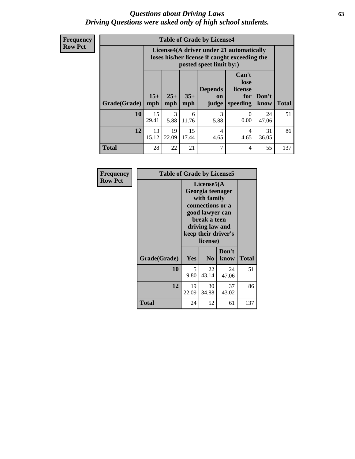#### *Questions about Driving Laws* **63** *Driving Questions were asked only of high school students.*

**Frequency Row Pct**

|              |             |                                                                                                                                                                                                                                                                                |            | <b>Table of Grade by License4</b> |           |             |     |  |  |
|--------------|-------------|--------------------------------------------------------------------------------------------------------------------------------------------------------------------------------------------------------------------------------------------------------------------------------|------------|-----------------------------------|-----------|-------------|-----|--|--|
|              |             | License4(A driver under 21 automatically<br>loses his/her license if caught exceeding the<br>posted speet limit by:)<br>Can't<br>lose<br><b>Depends</b><br>license<br>$15+$<br>$25+$<br>$35+$<br>Don't<br>for<br>on<br><b>Total</b><br>mph<br>speeding<br>know<br>mph<br>judge |            |                                   |           |             |     |  |  |
| Grade(Grade) | mph         |                                                                                                                                                                                                                                                                                |            |                                   |           |             |     |  |  |
| 10           | 15<br>29.41 | 3<br>5.88                                                                                                                                                                                                                                                                      | 6<br>11.76 | 3<br>5.88                         | 0<br>0.00 | 24<br>47.06 | 51  |  |  |
| 12           | 13<br>15.12 | 19<br>15<br>31<br>$\overline{4}$<br>4<br>22.09<br>4.65<br>17.44<br>36.05<br>4.65                                                                                                                                                                                               |            |                                   |           |             |     |  |  |
| <b>Total</b> | 28          | 22                                                                                                                                                                                                                                                                             | 21         | 7                                 | 4         | 55          | 137 |  |  |

| Frequency      | <b>Table of Grade by License5</b> |             |                                                                                                                                                             |               |              |  |  |
|----------------|-----------------------------------|-------------|-------------------------------------------------------------------------------------------------------------------------------------------------------------|---------------|--------------|--|--|
| <b>Row Pct</b> |                                   |             | License5(A)<br>Georgia teenager<br>with family<br>connections or a<br>good lawyer can<br>break a teen<br>driving law and<br>keep their driver's<br>license) |               |              |  |  |
|                | Grade(Grade)                      | <b>Yes</b>  | N <sub>0</sub>                                                                                                                                              | Don't<br>know | <b>Total</b> |  |  |
|                | 10                                | 5<br>9.80   | 22<br>43.14                                                                                                                                                 | 24<br>47.06   | 51           |  |  |
|                | 12                                | 19<br>22.09 | 30<br>34.88                                                                                                                                                 | 37<br>43.02   | 86           |  |  |
|                | <b>Total</b>                      | 24          | 52                                                                                                                                                          | 61            | 137          |  |  |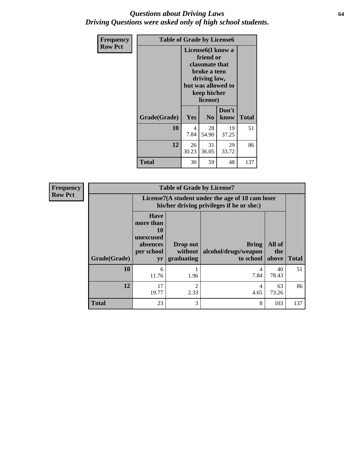#### *Questions about Driving Laws* **64** *Driving Questions were asked only of high school students.*

| <b>Frequency</b> |              | <b>Table of Grade by License6</b>                                                                                                               |                |               |              |  |  |
|------------------|--------------|-------------------------------------------------------------------------------------------------------------------------------------------------|----------------|---------------|--------------|--|--|
| <b>Row Pct</b>   |              | License <sub>6</sub> (I know a<br>friend or<br>classmate that<br>broke a teen<br>driving law,<br>but was allowed to<br>keep his/her<br>license) |                |               |              |  |  |
|                  | Grade(Grade) | Yes                                                                                                                                             | N <sub>0</sub> | Don't<br>know | <b>Total</b> |  |  |
|                  | 10           | 4<br>7.84                                                                                                                                       | 28<br>54.90    | 19<br>37.25   | 51           |  |  |
|                  | 12           | 26<br>30.23                                                                                                                                     | 31<br>36.05    | 29<br>33.72   | 86           |  |  |
|                  | <b>Total</b> | 30                                                                                                                                              | 59             | 48            | 137          |  |  |

| <b>Frequency</b> | <b>Table of Grade by License7</b> |                                                                             |                                                                                               |                                                   |                        |              |  |
|------------------|-----------------------------------|-----------------------------------------------------------------------------|-----------------------------------------------------------------------------------------------|---------------------------------------------------|------------------------|--------------|--|
| <b>Row Pct</b>   |                                   |                                                                             | License7(A student under the age of 18 cam loser<br>his/her driving privileges if he or she:) |                                                   |                        |              |  |
|                  | Grade(Grade)                      | <b>Have</b><br>more than<br>10<br>unexcused<br>absences<br>per school<br>yr | Drop out<br>without  <br>graduating                                                           | <b>Bring</b><br>alcohol/drugs/weapon<br>to school | All of<br>the<br>above | <b>Total</b> |  |
|                  | 10                                | 6<br>11.76                                                                  | 1.96                                                                                          | 4<br>7.84                                         | 40<br>78.43            | 51           |  |
|                  | 12                                | 17<br>19.77                                                                 | $\mathfrak{D}$<br>2.33                                                                        | 4<br>4.65                                         | 63<br>73.26            | 86           |  |
|                  | <b>Total</b>                      | 23                                                                          | 3                                                                                             | 8                                                 | 103                    | 137          |  |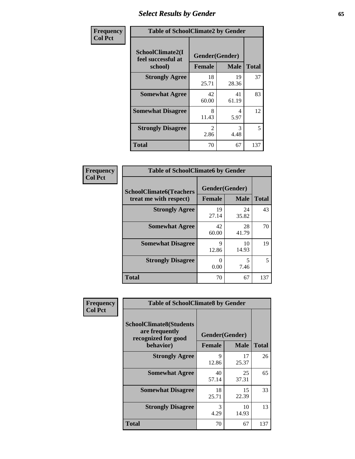# *Select Results by Gender* **65**

| Frequency      | <b>Table of SchoolClimate2 by Gender</b>          |                                 |             |              |
|----------------|---------------------------------------------------|---------------------------------|-------------|--------------|
| <b>Col Pct</b> | SchoolClimate2(I<br>feel successful at<br>school) | Gender(Gender)<br><b>Female</b> | <b>Male</b> | <b>Total</b> |
|                | <b>Strongly Agree</b>                             | 18<br>25.71                     | 19<br>28.36 | 37           |
|                | <b>Somewhat Agree</b>                             | 42<br>60.00                     | 41<br>61.19 | 83           |
|                | <b>Somewhat Disagree</b>                          | 8<br>11.43                      | 4<br>5.97   | 12           |
|                | <b>Strongly Disagree</b>                          | $\mathcal{L}$<br>2.86           | 3<br>4.48   | 5            |
|                | <b>Total</b>                                      | 70                              | 67          | 137          |

| Frequency      | <b>Table of SchoolClimate6 by Gender</b>                 |                                 |             |              |  |
|----------------|----------------------------------------------------------|---------------------------------|-------------|--------------|--|
| <b>Col Pct</b> | <b>SchoolClimate6(Teachers</b><br>treat me with respect) | Gender(Gender)<br><b>Female</b> | <b>Male</b> | <b>Total</b> |  |
|                | <b>Strongly Agree</b>                                    | 19<br>27.14                     | 24<br>35.82 | 43           |  |
|                | <b>Somewhat Agree</b>                                    | 42<br>60.00                     | 28<br>41.79 | 70           |  |
|                | <b>Somewhat Disagree</b>                                 | 9<br>12.86                      | 10<br>14.93 | 19           |  |
|                | <b>Strongly Disagree</b>                                 | 0<br>0.00                       | 5<br>7.46   | 5            |  |
|                | <b>Total</b>                                             | 70                              | 67          | 137          |  |

| <b>Frequency</b> | <b>Table of SchoolClimate8 by Gender</b>                                             |                                 |             |              |  |
|------------------|--------------------------------------------------------------------------------------|---------------------------------|-------------|--------------|--|
| <b>Col Pct</b>   | <b>SchoolClimate8(Students</b><br>are frequently<br>recognized for good<br>behavior) | Gender(Gender)<br><b>Female</b> | <b>Male</b> | <b>Total</b> |  |
|                  | <b>Strongly Agree</b>                                                                | 9<br>12.86                      | 17<br>25.37 | 26           |  |
|                  | <b>Somewhat Agree</b>                                                                | 40<br>57.14                     | 25<br>37.31 | 65           |  |
|                  | <b>Somewhat Disagree</b>                                                             | 18<br>25.71                     | 15<br>22.39 | 33           |  |
|                  | <b>Strongly Disagree</b>                                                             | 3<br>4.29                       | 10<br>14.93 | 13           |  |
|                  | <b>Total</b>                                                                         | 70                              | 67          | 137          |  |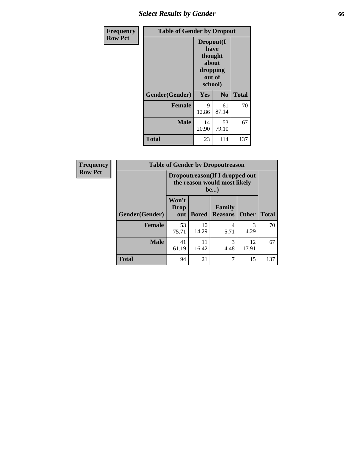# *Select Results by Gender* **66**

| Frequency      | <b>Table of Gender by Dropout</b> |                                                                        |                |              |
|----------------|-----------------------------------|------------------------------------------------------------------------|----------------|--------------|
| <b>Row Pct</b> |                                   | Dropout(I<br>have<br>thought<br>about<br>dropping<br>out of<br>school) |                |              |
|                | Gender(Gender)                    | Yes                                                                    | N <sub>0</sub> | <b>Total</b> |
|                | <b>Female</b>                     | 9<br>12.86                                                             | 61<br>87.14    | 70           |
|                | <b>Male</b>                       | 14<br>20.90                                                            | 53<br>79.10    | 67           |
|                | <b>Total</b>                      | 23                                                                     | 114            | 137          |

| Frequency      | <b>Table of Gender by Dropoutreason</b> |                                                                       |              |                                 |              |              |  |
|----------------|-----------------------------------------|-----------------------------------------------------------------------|--------------|---------------------------------|--------------|--------------|--|
| <b>Row Pct</b> |                                         | Dropoutreason (If I dropped out<br>the reason would most likely<br>be |              |                                 |              |              |  |
|                | Gender(Gender)                          | Won't<br><b>Drop</b><br>out                                           | <b>Bored</b> | <b>Family</b><br><b>Reasons</b> | <b>Other</b> | <b>Total</b> |  |
|                | <b>Female</b>                           | 53<br>75.71                                                           | 10<br>14.29  | 4<br>5.71                       | 4.29         | 70           |  |
|                | <b>Male</b>                             | 41<br>61.19                                                           | 11<br>16.42  | 3<br>4.48                       | 12<br>17.91  | 67           |  |
|                | <b>Total</b>                            | 94                                                                    | 21           | 7                               | 15           | 137          |  |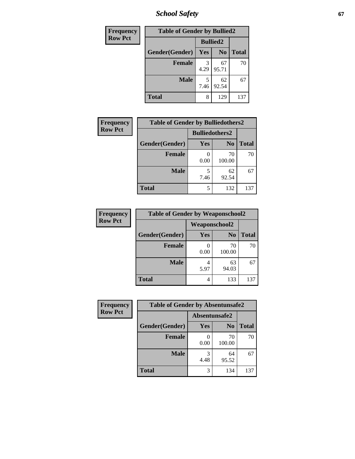*School Safety* **67**

| <b>Frequency</b> | <b>Table of Gender by Bullied2</b> |                 |                |              |  |
|------------------|------------------------------------|-----------------|----------------|--------------|--|
| <b>Row Pct</b>   |                                    | <b>Bullied2</b> |                |              |  |
|                  | Gender(Gender)                     | <b>Yes</b>      | N <sub>0</sub> | <b>Total</b> |  |
|                  | <b>Female</b>                      | 3<br>4.29       | 67<br>95.71    | 70           |  |
|                  | <b>Male</b>                        | 7.46            | 62<br>92.54    | 67           |  |
|                  | <b>Total</b>                       | 8               | 129            | 137          |  |

| Frequency      | <b>Table of Gender by Bulliedothers2</b> |                       |                |              |
|----------------|------------------------------------------|-----------------------|----------------|--------------|
| <b>Row Pct</b> |                                          | <b>Bulliedothers2</b> |                |              |
|                | Gender(Gender)                           | Yes                   | N <sub>0</sub> | <b>Total</b> |
|                | <b>Female</b>                            | 0.00                  | 70<br>100.00   | 70           |
|                | <b>Male</b>                              | 7.46                  | 62<br>92.54    | 67           |
|                | <b>Total</b>                             | 5                     | 132            | 137          |

| Frequency      | <b>Table of Gender by Weaponschool2</b> |                      |                |              |
|----------------|-----------------------------------------|----------------------|----------------|--------------|
| <b>Row Pct</b> |                                         | <b>Weaponschool2</b> |                |              |
|                | Gender(Gender)                          | Yes                  | N <sub>0</sub> | <b>Total</b> |
|                | <b>Female</b>                           | 0.00                 | 70<br>100.00   | 70           |
|                | <b>Male</b>                             | 5.97                 | 63<br>94.03    | 67           |
|                | <b>Total</b>                            | 4                    | 133            | 137          |

| Frequency      | <b>Table of Gender by Absentunsafe2</b> |               |                |              |
|----------------|-----------------------------------------|---------------|----------------|--------------|
| <b>Row Pct</b> |                                         | Absentunsafe2 |                |              |
|                | Gender(Gender)                          | Yes           | N <sub>0</sub> | <b>Total</b> |
|                | <b>Female</b>                           | 0.00          | 70<br>100.00   | 70           |
|                | <b>Male</b>                             | 4.48          | 64<br>95.52    | 67           |
|                | <b>Total</b>                            | 3             | 134            | 137          |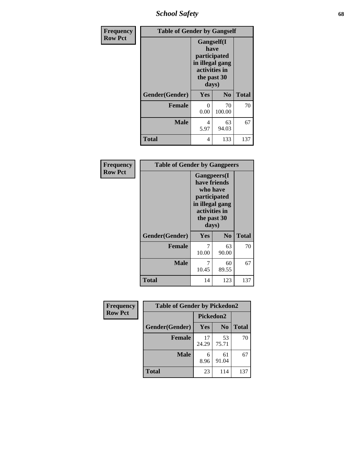*School Safety* **68**

| Frequency      | <b>Table of Gender by Gangself</b> |                                                                                                |                |              |
|----------------|------------------------------------|------------------------------------------------------------------------------------------------|----------------|--------------|
| <b>Row Pct</b> |                                    | Gangself(I<br>have<br>participated<br>in illegal gang<br>activities in<br>the past 30<br>days) |                |              |
|                | Gender(Gender)                     | Yes                                                                                            | N <sub>0</sub> | <b>Total</b> |
|                | <b>Female</b>                      | 0<br>0.00                                                                                      | 70<br>100.00   | 70           |
|                | <b>Male</b>                        | 4<br>5.97                                                                                      | 63<br>94.03    | 67           |
|                | <b>Total</b>                       | 4                                                                                              | 133            | 137          |

| Frequency      | <b>Table of Gender by Gangpeers</b> |                                                                                                                             |                |              |
|----------------|-------------------------------------|-----------------------------------------------------------------------------------------------------------------------------|----------------|--------------|
| <b>Row Pct</b> |                                     | <b>Gangpeers</b> (I<br>have friends<br>who have<br>participated<br>in illegal gang<br>activities in<br>the past 30<br>days) |                |              |
|                | Gender(Gender)                      | Yes                                                                                                                         | N <sub>0</sub> | <b>Total</b> |
|                | <b>Female</b>                       | 7<br>10.00                                                                                                                  | 63<br>90.00    | 70           |
|                | <b>Male</b>                         | 7<br>10.45                                                                                                                  | 60<br>89.55    | 67           |
|                | <b>Total</b>                        | 14                                                                                                                          | 123            | 137          |

| Frequency      | <b>Table of Gender by Pickedon2</b> |                  |                |              |
|----------------|-------------------------------------|------------------|----------------|--------------|
| <b>Row Pct</b> |                                     | <b>Pickedon2</b> |                |              |
|                | Gender(Gender)                      | <b>Yes</b>       | N <sub>0</sub> | <b>Total</b> |
|                | <b>Female</b>                       | 17<br>24.29      | 53<br>75.71    | 70           |
|                | <b>Male</b>                         | 6<br>8.96        | 61<br>91.04    | 67           |
|                | <b>Total</b>                        | 23               | 114            | 137          |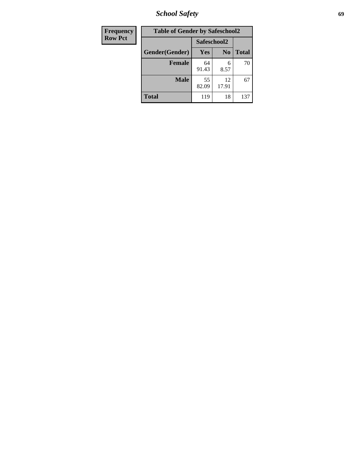*School Safety* **69**

| Frequency      | <b>Table of Gender by Safeschool2</b> |             |                |              |
|----------------|---------------------------------------|-------------|----------------|--------------|
| <b>Row Pct</b> |                                       | Safeschool2 |                |              |
|                | Gender(Gender)                        | Yes         | N <sub>0</sub> | <b>Total</b> |
|                | <b>Female</b>                         | 64<br>91.43 | 6<br>8.57      | 70           |
|                | <b>Male</b>                           | 55<br>82.09 | 12<br>17.91    | 67           |
|                | <b>Total</b>                          | 119         | 18             | 137          |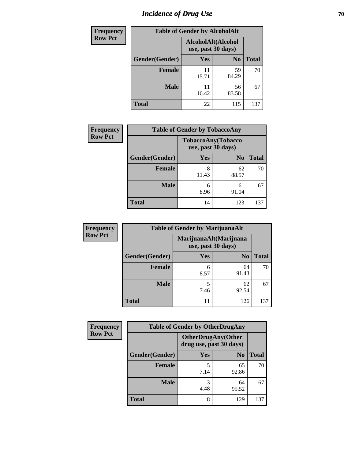# *Incidence of Drug Use* **70**

| <b>Frequency</b> |                | <b>Table of Gender by AlcoholAlt</b>     |                |              |
|------------------|----------------|------------------------------------------|----------------|--------------|
| <b>Row Pct</b>   |                | AlcoholAlt(Alcohol<br>use, past 30 days) |                |              |
|                  | Gender(Gender) | Yes                                      | N <sub>0</sub> | <b>Total</b> |
|                  | <b>Female</b>  | 11<br>15.71                              | 59<br>84.29    | 70           |
|                  | <b>Male</b>    | 11<br>16.42                              | 56<br>83.58    | 67           |
|                  | <b>Total</b>   | 22                                       | 115            | 137          |

| <b>Frequency</b> | <b>Table of Gender by TobaccoAny</b> |                                          |                |              |
|------------------|--------------------------------------|------------------------------------------|----------------|--------------|
| <b>Row Pct</b>   |                                      | TobaccoAny(Tobacco<br>use, past 30 days) |                |              |
|                  | Gender(Gender)                       | Yes                                      | N <sub>0</sub> | <b>Total</b> |
|                  | <b>Female</b>                        | 8<br>11.43                               | 62<br>88.57    | 70           |
|                  | <b>Male</b>                          | 6<br>8.96                                | 61<br>91.04    | 67           |
|                  | <b>Total</b>                         | 14                                       | 123            | 137          |

| <b>Frequency</b> | <b>Table of Gender by MarijuanaAlt</b> |                                              |                |              |
|------------------|----------------------------------------|----------------------------------------------|----------------|--------------|
| <b>Row Pct</b>   |                                        | MarijuanaAlt(Marijuana<br>use, past 30 days) |                |              |
|                  | Gender(Gender)                         | <b>Yes</b>                                   | N <sub>0</sub> | <b>Total</b> |
|                  | <b>Female</b>                          | 6<br>8.57                                    | 64<br>91.43    | 70           |
|                  | <b>Male</b>                            | 5<br>7.46                                    | 62<br>92.54    | 67           |
|                  | <b>Total</b>                           |                                              | 126            | 137          |

| <b>Frequency</b> | <b>Table of Gender by OtherDrugAny</b> |                                                      |                |              |
|------------------|----------------------------------------|------------------------------------------------------|----------------|--------------|
| <b>Row Pct</b>   |                                        | <b>OtherDrugAny(Other</b><br>drug use, past 30 days) |                |              |
|                  | Gender(Gender)                         | <b>Yes</b>                                           | N <sub>0</sub> | <b>Total</b> |
|                  | <b>Female</b>                          | 7.14                                                 | 65<br>92.86    | 70           |
|                  | <b>Male</b>                            | 3<br>4.48                                            | 64<br>95.52    | 67           |
|                  | <b>Total</b>                           | 8                                                    | 129            | 137          |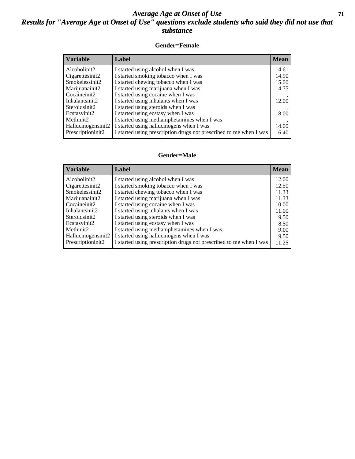#### *Average Age at Onset of Use* **71** *Results for "Average Age at Onset of Use" questions exclude students who said they did not use that substance*

#### **Gender=Female**

| <b>Variable</b>    | <b>Label</b>                                                       | <b>Mean</b> |
|--------------------|--------------------------------------------------------------------|-------------|
| Alcoholinit2       | I started using alcohol when I was                                 | 14.61       |
| Cigarettesinit2    | I started smoking tobacco when I was                               | 14.90       |
| Smokelessinit2     | I started chewing tobacco when I was                               | 15.00       |
| Marijuanainit2     | I started using marijuana when I was                               | 14.75       |
| Cocaineinit2       | I started using cocaine when I was                                 |             |
| Inhalantsinit2     | I started using inhalants when I was                               | 12.00       |
| Steroidsinit2      | I started using steroids when I was                                |             |
| Ecstasyinit2       | I started using ecstasy when I was                                 | 18.00       |
| Methinit2          | I started using methamphetamines when I was                        |             |
| Hallucinogensinit2 | I started using hallucinogens when I was                           | 14.00       |
| Prescription in t2 | I started using prescription drugs not prescribed to me when I was | 16.40       |

#### **Gender=Male**

| <b>Variable</b>    | Label                                                              | <b>Mean</b> |
|--------------------|--------------------------------------------------------------------|-------------|
| Alcoholinit2       | I started using alcohol when I was                                 | 12.00       |
| Cigarettesinit2    | I started smoking tobacco when I was                               | 12.50       |
| Smokelessinit2     | I started chewing tobacco when I was                               | 11.33       |
| Marijuanainit2     | I started using marijuana when I was                               | 11.33       |
| Cocaineinit2       | I started using cocaine when I was                                 | 10.00       |
| Inhalantsinit2     | I started using inhalants when I was                               | 11.00       |
| Steroidsinit2      | I started using steroids when I was                                | 9.50        |
| Ecstasyinit2       | I started using ecstasy when I was                                 | 8.50        |
| Methinit2          | I started using methamphetamines when I was                        | 9.00        |
| Hallucinogensinit2 | I started using hallucinogens when I was                           | 9.50        |
| Prescriptioninit2  | I started using prescription drugs not prescribed to me when I was | 11.25       |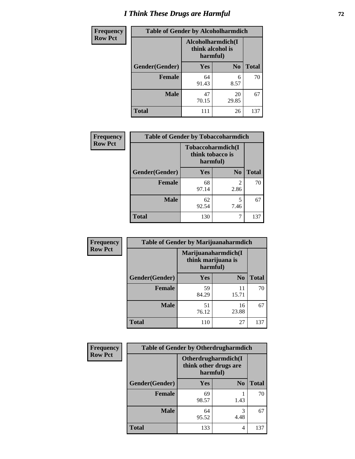# *I Think These Drugs are Harmful* **72**

| <b>Frequency</b> | <b>Table of Gender by Alcoholharmdich</b> |                  |                               |              |
|------------------|-------------------------------------------|------------------|-------------------------------|--------------|
| <b>Row Pct</b>   |                                           | think alcohol is | Alcoholharmdich(I<br>harmful) |              |
|                  | Gender(Gender)                            | <b>Yes</b>       | N <sub>0</sub>                | <b>Total</b> |
|                  | <b>Female</b>                             | 64<br>91.43      | 6<br>8.57                     | 70           |
|                  | <b>Male</b>                               | 47<br>70.15      | 20<br>29.85                   | 67           |
|                  | <b>Total</b>                              | 111              | 26                            | 137          |

| Frequency      | <b>Table of Gender by Tobaccoharmdich</b> |                  |                               |              |
|----------------|-------------------------------------------|------------------|-------------------------------|--------------|
| <b>Row Pct</b> |                                           | think tobacco is | Tobaccoharmdich(I<br>harmful) |              |
|                | Gender(Gender)                            | <b>Yes</b>       | N <sub>0</sub>                | <b>Total</b> |
|                | <b>Female</b>                             | 68<br>97.14      | 2<br>2.86                     | 70           |
|                | <b>Male</b>                               | 62<br>92.54      | 5<br>7.46                     | 67           |
|                | <b>Total</b>                              | 130              | 7                             | 137          |

| Frequency      | <b>Table of Gender by Marijuanaharmdich</b> |                                                       |                |              |
|----------------|---------------------------------------------|-------------------------------------------------------|----------------|--------------|
| <b>Row Pct</b> |                                             | Marijuanaharmdich(I<br>think marijuana is<br>harmful) |                |              |
|                | Gender(Gender)                              | <b>Yes</b>                                            | N <sub>0</sub> | <b>Total</b> |
|                | <b>Female</b>                               | 59<br>84.29                                           | 11<br>15.71    | 70           |
|                | <b>Male</b>                                 | 51<br>76.12                                           | 16<br>23.88    | 67           |
|                | <b>Total</b>                                | 110                                                   | 27             | 137          |

| Frequency      | <b>Table of Gender by Otherdrugharmdich</b> |                                   |                     |              |
|----------------|---------------------------------------------|-----------------------------------|---------------------|--------------|
| <b>Row Pct</b> |                                             | think other drugs are<br>harmful) | Otherdrugharmdich(I |              |
|                | Gender(Gender)                              | <b>Yes</b>                        | N <sub>0</sub>      | <b>Total</b> |
|                | <b>Female</b>                               | 69<br>98.57                       | 1.43                | 70           |
|                | <b>Male</b>                                 | 64<br>95.52                       | 3<br>4.48           | 67           |
|                | <b>Total</b>                                | 133                               | 4                   | 137          |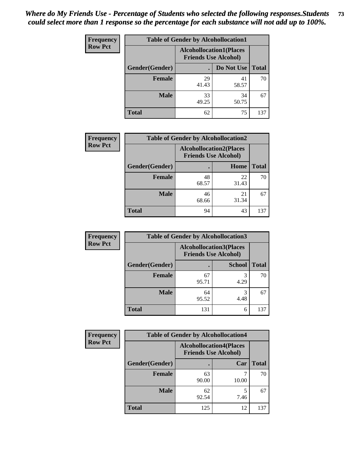| <b>Frequency</b> | <b>Table of Gender by Alcohollocation1</b> |                                                               |             |              |
|------------------|--------------------------------------------|---------------------------------------------------------------|-------------|--------------|
| <b>Row Pct</b>   |                                            | <b>Alcohollocation1(Places</b><br><b>Friends Use Alcohol)</b> |             |              |
|                  | Gender(Gender)                             |                                                               | Do Not Use  | <b>Total</b> |
|                  | <b>Female</b>                              | 29<br>41.43                                                   | 41<br>58.57 | 70           |
|                  | <b>Male</b>                                | 33<br>49.25                                                   | 34<br>50.75 | 67           |
|                  | Total                                      | 62                                                            | 75          | 137          |

| <b>Frequency</b> | <b>Table of Gender by Alcohollocation2</b> |                                                               |             |              |
|------------------|--------------------------------------------|---------------------------------------------------------------|-------------|--------------|
| <b>Row Pct</b>   |                                            | <b>Alcohollocation2(Places</b><br><b>Friends Use Alcohol)</b> |             |              |
|                  | Gender(Gender)                             |                                                               | Home        | <b>Total</b> |
|                  | <b>Female</b>                              | 48<br>68.57                                                   | 22<br>31.43 | 70           |
|                  | <b>Male</b>                                | 46<br>68.66                                                   | 21<br>31.34 | 67           |
|                  | <b>Total</b>                               | 94                                                            | 43          | 137          |

| Frequency      | <b>Table of Gender by Alcohollocation3</b> |             |                                                               |              |
|----------------|--------------------------------------------|-------------|---------------------------------------------------------------|--------------|
| <b>Row Pct</b> |                                            |             | <b>Alcohollocation3(Places</b><br><b>Friends Use Alcohol)</b> |              |
|                | Gender(Gender)                             |             | <b>School</b>                                                 | <b>Total</b> |
|                | <b>Female</b>                              | 67<br>95.71 | 4.29                                                          | 70           |
|                | <b>Male</b>                                | 64<br>95.52 | 4.48                                                          | 67           |
|                | <b>Total</b>                               | 131         | 6                                                             | 137          |

| <b>Frequency</b> |                        | <b>Table of Gender by Alcohollocation4</b>                    |       |              |
|------------------|------------------------|---------------------------------------------------------------|-------|--------------|
| <b>Row Pct</b>   |                        | <b>Alcohollocation4(Places</b><br><b>Friends Use Alcohol)</b> |       |              |
|                  | <b>Gender</b> (Gender) |                                                               | Car   | <b>Total</b> |
|                  | <b>Female</b>          | 63<br>90.00                                                   | 10.00 | 70           |
|                  | <b>Male</b>            | 62<br>92.54                                                   | 7.46  | 67           |
|                  | <b>Total</b>           | 125                                                           | 12    | 137          |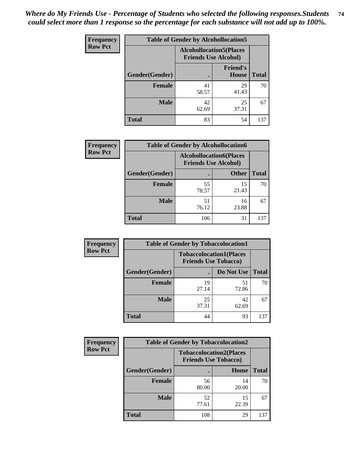| <b>Frequency</b> | <b>Table of Gender by Alcohollocation5</b> |                                                                |                                 |              |
|------------------|--------------------------------------------|----------------------------------------------------------------|---------------------------------|--------------|
| <b>Row Pct</b>   |                                            | <b>Alcohollocation5</b> (Places<br><b>Friends Use Alcohol)</b> |                                 |              |
|                  | Gender(Gender)                             |                                                                | <b>Friend's</b><br><b>House</b> | <b>Total</b> |
|                  | <b>Female</b>                              | 41<br>58.57                                                    | 29<br>41.43                     | 70           |
|                  | <b>Male</b>                                | 42<br>62.69                                                    | 25<br>37.31                     | 67           |
|                  | <b>Total</b>                               | 83                                                             | 54                              | 137          |

| <b>Frequency</b> | <b>Table of Gender by Alcohollocation6</b> |                                                               |              |              |
|------------------|--------------------------------------------|---------------------------------------------------------------|--------------|--------------|
| <b>Row Pct</b>   |                                            | <b>Alcohollocation6(Places</b><br><b>Friends Use Alcohol)</b> |              |              |
|                  | Gender(Gender)                             |                                                               | <b>Other</b> | <b>Total</b> |
|                  | <b>Female</b>                              | 55<br>78.57                                                   | 15<br>21.43  | 70           |
|                  | <b>Male</b>                                | 51<br>76.12                                                   | 16<br>23.88  | 67           |
|                  | <b>Total</b>                               | 106                                                           | 31           | 137          |

| Frequency      | <b>Table of Gender by Tobaccolocation1</b> |                                                               |             |              |  |
|----------------|--------------------------------------------|---------------------------------------------------------------|-------------|--------------|--|
| <b>Row Pct</b> |                                            | <b>Tobaccolocation1(Places</b><br><b>Friends Use Tobacco)</b> |             |              |  |
|                | Gender(Gender)                             |                                                               | Do Not Use  | <b>Total</b> |  |
|                | <b>Female</b>                              | 19<br>27.14                                                   | 51<br>72.86 | 70           |  |
|                | <b>Male</b>                                | 25<br>37.31                                                   | 42<br>62.69 | 67           |  |
|                | <b>Total</b>                               | 44                                                            | 93          | 137          |  |

| <b>Frequency</b> |                | <b>Table of Gender by Tobaccolocation2</b>                    |             |              |
|------------------|----------------|---------------------------------------------------------------|-------------|--------------|
| <b>Row Pct</b>   |                | <b>Tobaccolocation2(Places</b><br><b>Friends Use Tobacco)</b> |             |              |
|                  | Gender(Gender) |                                                               | Home        | <b>Total</b> |
|                  | Female         | 56<br>80.00                                                   | 14<br>20.00 | 70           |
|                  | <b>Male</b>    | 52<br>77.61                                                   | 15<br>22.39 | 67           |
|                  | <b>Total</b>   | 108                                                           | 29          | 137          |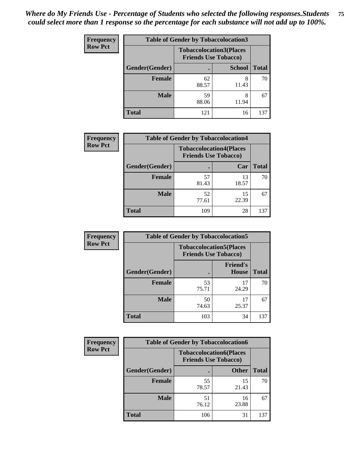| <b>Frequency</b> | <b>Table of Gender by Tobaccolocation3</b> |                                                               |               |              |
|------------------|--------------------------------------------|---------------------------------------------------------------|---------------|--------------|
| <b>Row Pct</b>   |                                            | <b>Tobaccolocation3(Places</b><br><b>Friends Use Tobacco)</b> |               |              |
|                  | Gender(Gender)                             |                                                               | <b>School</b> | <b>Total</b> |
|                  | <b>Female</b>                              | 62<br>88.57                                                   | 8<br>11.43    | 70           |
|                  | <b>Male</b>                                | 59<br>88.06                                                   | 8<br>11.94    | 67           |
|                  | <b>Total</b>                               | 121                                                           | 16            | 137          |

| <b>Frequency</b> | <b>Table of Gender by Tobaccolocation4</b> |                             |                                |              |
|------------------|--------------------------------------------|-----------------------------|--------------------------------|--------------|
| <b>Row Pct</b>   |                                            | <b>Friends Use Tobacco)</b> | <b>Tobaccolocation4(Places</b> |              |
|                  | Gender(Gender)                             |                             | Car                            | <b>Total</b> |
|                  | <b>Female</b>                              | 57<br>81.43                 | 13<br>18.57                    | 70           |
|                  | <b>Male</b>                                | 52<br>77.61                 | 15<br>22.39                    | 67           |
|                  | <b>Total</b>                               | 109                         | 28                             | 137          |

| <b>Frequency</b> | <b>Table of Gender by Tobaccolocation5</b> |                                                               |                                 |              |
|------------------|--------------------------------------------|---------------------------------------------------------------|---------------------------------|--------------|
| <b>Row Pct</b>   |                                            | <b>Tobaccolocation5(Places</b><br><b>Friends Use Tobacco)</b> |                                 |              |
|                  | Gender(Gender)                             |                                                               | <b>Friend's</b><br><b>House</b> | <b>Total</b> |
|                  | <b>Female</b>                              | 53<br>75.71                                                   | 17<br>24.29                     | 70           |
|                  | <b>Male</b>                                | 50<br>74.63                                                   | 17<br>25.37                     | 67           |
|                  | <b>Total</b>                               | 103                                                           | 34                              | 137          |

| <b>Frequency</b> | <b>Table of Gender by Tobaccolocation6</b> |                             |                                |              |  |
|------------------|--------------------------------------------|-----------------------------|--------------------------------|--------------|--|
| <b>Row Pct</b>   |                                            | <b>Friends Use Tobacco)</b> | <b>Tobaccolocation6(Places</b> |              |  |
|                  | Gender(Gender)                             |                             | <b>Other</b>                   | <b>Total</b> |  |
|                  | Female                                     | 55<br>78.57                 | 15<br>21.43                    | 70           |  |
|                  | <b>Male</b>                                | 51<br>76.12                 | 16<br>23.88                    | 67           |  |
|                  | <b>Total</b>                               | 106                         | 31                             | 137          |  |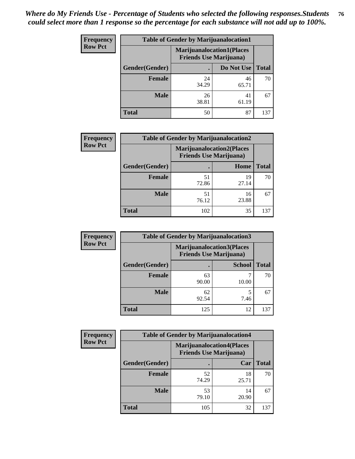| <b>Frequency</b> | <b>Table of Gender by Marijuanalocation1</b> |                                                                    |             |              |
|------------------|----------------------------------------------|--------------------------------------------------------------------|-------------|--------------|
| <b>Row Pct</b>   |                                              | <b>Marijuanalocation1(Places</b><br><b>Friends Use Marijuana</b> ) |             |              |
|                  | Gender(Gender)                               |                                                                    | Do Not Use  | <b>Total</b> |
|                  | <b>Female</b>                                | 24<br>34.29                                                        | 46<br>65.71 | 70           |
|                  | <b>Male</b>                                  | 26<br>38.81                                                        | 41<br>61.19 | 67           |
|                  | <b>Total</b>                                 | 50                                                                 | 87          | 137          |

| <b>Frequency</b> | <b>Table of Gender by Marijuanalocation2</b> |                                                                    |             |              |
|------------------|----------------------------------------------|--------------------------------------------------------------------|-------------|--------------|
| <b>Row Pct</b>   |                                              | <b>Marijuanalocation2(Places</b><br><b>Friends Use Marijuana</b> ) |             |              |
|                  | Gender(Gender)                               |                                                                    | Home        | <b>Total</b> |
|                  | Female                                       | 51<br>72.86                                                        | 19<br>27.14 | 70           |
|                  | <b>Male</b>                                  | 51<br>76.12                                                        | 16<br>23.88 | 67           |
|                  | <b>Total</b>                                 | 102                                                                | 35          | 137          |

| Frequency      | <b>Table of Gender by Marijuanalocation3</b> |                                                                    |               |              |
|----------------|----------------------------------------------|--------------------------------------------------------------------|---------------|--------------|
| <b>Row Pct</b> |                                              | <b>Marijuanalocation3(Places</b><br><b>Friends Use Marijuana</b> ) |               |              |
|                | Gender(Gender)                               |                                                                    | <b>School</b> | <b>Total</b> |
|                | Female                                       | 63<br>90.00                                                        | 10.00         | 70           |
|                | <b>Male</b>                                  | 62<br>92.54                                                        | 7.46          | 67           |
|                | <b>Total</b>                                 | 125                                                                | 12            | 137          |

| Frequency      | <b>Table of Gender by Marijuanalocation4</b> |                                |                                  |              |  |
|----------------|----------------------------------------------|--------------------------------|----------------------------------|--------------|--|
| <b>Row Pct</b> |                                              | <b>Friends Use Marijuana</b> ) | <b>Marijuanalocation4(Places</b> |              |  |
|                | <b>Gender</b> (Gender)                       |                                | Car                              | <b>Total</b> |  |
|                | <b>Female</b>                                | 52<br>74.29                    | 18<br>25.71                      | 70           |  |
|                | <b>Male</b>                                  | 53<br>79.10                    | 14<br>20.90                      | 67           |  |
|                | <b>Total</b>                                 | 105                            | 32                               | 137          |  |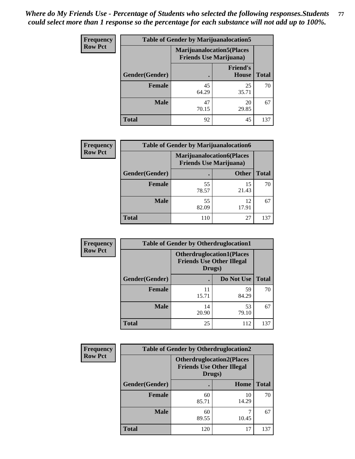| <b>Frequency</b> | <b>Table of Gender by Marijuanalocation5</b> |                                                                     |                          |              |
|------------------|----------------------------------------------|---------------------------------------------------------------------|--------------------------|--------------|
| <b>Row Pct</b>   |                                              | <b>Marijuanalocation5</b> (Places<br><b>Friends Use Marijuana</b> ) |                          |              |
|                  | Gender(Gender)                               |                                                                     | <b>Friend's</b><br>House | <b>Total</b> |
|                  | <b>Female</b>                                | 45<br>64.29                                                         | 25<br>35.71              | 70           |
|                  | <b>Male</b>                                  | 47<br>70.15                                                         | 20<br>29.85              | 67           |
|                  | <b>Total</b>                                 | 92                                                                  | 45                       | 137          |

| <b>Frequency</b> | <b>Table of Gender by Marijuanalocation6</b> |                                                                    |              |              |
|------------------|----------------------------------------------|--------------------------------------------------------------------|--------------|--------------|
| <b>Row Pct</b>   |                                              | <b>Marijuanalocation6(Places</b><br><b>Friends Use Marijuana</b> ) |              |              |
|                  | <b>Gender</b> (Gender)                       |                                                                    | <b>Other</b> | <b>Total</b> |
|                  | <b>Female</b>                                | 55<br>78.57                                                        | 15<br>21.43  | 70           |
|                  | <b>Male</b>                                  | 55<br>82.09                                                        | 12<br>17.91  | 67           |
|                  | <b>Total</b>                                 | 110                                                                | 27           | 137          |

| <b>Frequency</b> | <b>Table of Gender by Otherdruglocation1</b> |                                                                                |             |              |
|------------------|----------------------------------------------|--------------------------------------------------------------------------------|-------------|--------------|
| <b>Row Pct</b>   |                                              | <b>Otherdruglocation1(Places</b><br><b>Friends Use Other Illegal</b><br>Drugs) |             |              |
|                  | <b>Gender</b> (Gender)                       |                                                                                | Do Not Use  | <b>Total</b> |
|                  | <b>Female</b>                                | 11<br>15.71                                                                    | 59<br>84.29 | 70           |
|                  | <b>Male</b>                                  | 14<br>20.90                                                                    | 53<br>79.10 | 67           |
|                  | <b>Total</b>                                 | 25                                                                             | 112         | 137          |

| Frequency      | <b>Table of Gender by Otherdruglocation2</b> |                                                                                |             |              |
|----------------|----------------------------------------------|--------------------------------------------------------------------------------|-------------|--------------|
| <b>Row Pct</b> |                                              | <b>Otherdruglocation2(Places</b><br><b>Friends Use Other Illegal</b><br>Drugs) |             |              |
|                | Gender(Gender)                               |                                                                                | Home        | <b>Total</b> |
|                | Female                                       | 60<br>85.71                                                                    | 10<br>14.29 | 70           |
|                | <b>Male</b>                                  | 60<br>89.55                                                                    | 10.45       | 67           |
|                | <b>Total</b>                                 | 120                                                                            | 17          | 137          |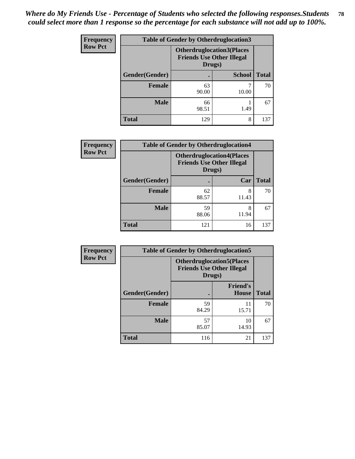| <b>Frequency</b> | <b>Table of Gender by Otherdruglocation3</b> |                                            |                                  |              |
|------------------|----------------------------------------------|--------------------------------------------|----------------------------------|--------------|
| <b>Row Pct</b>   |                                              | <b>Friends Use Other Illegal</b><br>Drugs) | <b>Otherdruglocation3(Places</b> |              |
|                  | Gender(Gender)                               |                                            | <b>School</b>                    | <b>Total</b> |
|                  | <b>Female</b>                                | 63<br>90.00                                | 10.00                            | 70           |
|                  | <b>Male</b>                                  | 66<br>98.51                                | 1.49                             | 67           |
|                  | <b>Total</b>                                 | 129                                        | 8                                | 137          |

| <b>Frequency</b> | <b>Table of Gender by Otherdruglocation4</b> |                                                                                |            |              |
|------------------|----------------------------------------------|--------------------------------------------------------------------------------|------------|--------------|
| <b>Row Pct</b>   |                                              | <b>Otherdruglocation4(Places</b><br><b>Friends Use Other Illegal</b><br>Drugs) |            |              |
|                  | Gender(Gender)                               |                                                                                | Car        | <b>Total</b> |
|                  | Female                                       | 62<br>88.57                                                                    | 8<br>11.43 | 70           |
|                  | <b>Male</b>                                  | 59<br>88.06                                                                    | 8<br>11.94 | 67           |
|                  | <b>Total</b>                                 | 121                                                                            | 16         | 137          |

| <b>Frequency</b> | <b>Table of Gender by Otherdruglocation5</b> |                                                                                |                                 |              |
|------------------|----------------------------------------------|--------------------------------------------------------------------------------|---------------------------------|--------------|
| <b>Row Pct</b>   |                                              | <b>Otherdruglocation5(Places</b><br><b>Friends Use Other Illegal</b><br>Drugs) |                                 |              |
|                  | Gender(Gender)                               |                                                                                | <b>Friend's</b><br><b>House</b> | <b>Total</b> |
|                  | <b>Female</b>                                | 59<br>84.29                                                                    | 11<br>15.71                     | 70           |
|                  | <b>Male</b>                                  | 57<br>85.07                                                                    | 10<br>14.93                     | 67           |
|                  | <b>Total</b>                                 | 116                                                                            | 21                              | 137          |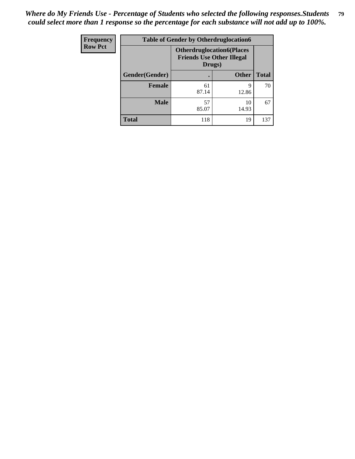| <b>Frequency</b> | <b>Table of Gender by Otherdruglocation6</b> |                                                                                |              |              |
|------------------|----------------------------------------------|--------------------------------------------------------------------------------|--------------|--------------|
| <b>Row Pct</b>   |                                              | <b>Otherdruglocation6(Places</b><br><b>Friends Use Other Illegal</b><br>Drugs) |              |              |
|                  | Gender(Gender)                               |                                                                                | <b>Other</b> | <b>Total</b> |
|                  | <b>Female</b>                                | 61<br>87.14                                                                    | q<br>12.86   | 70           |
|                  | <b>Male</b>                                  | 57<br>85.07                                                                    | 10<br>14.93  | 67           |
|                  | <b>Total</b>                                 | 118                                                                            | 19           | 137          |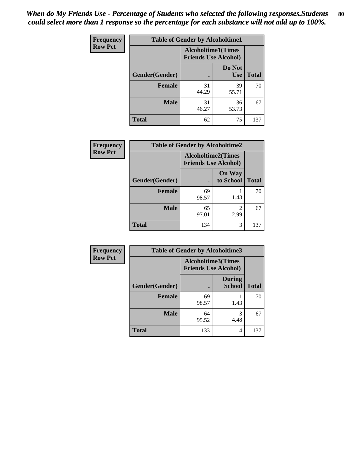| <b>Frequency</b> | <b>Table of Gender by Alcoholtime1</b> |                                                          |                      |              |
|------------------|----------------------------------------|----------------------------------------------------------|----------------------|--------------|
| <b>Row Pct</b>   |                                        | <b>Alcoholtime1(Times</b><br><b>Friends Use Alcohol)</b> |                      |              |
|                  | Gender(Gender)                         | ٠                                                        | Do Not<br><b>Use</b> | <b>Total</b> |
|                  | <b>Female</b>                          | 31<br>44.29                                              | 39<br>55.71          | 70           |
|                  | <b>Male</b>                            | 31<br>46.27                                              | 36<br>53.73          | 67           |
|                  | <b>Total</b>                           | 62                                                       | 75                   | 137          |

| <b>Frequency</b> | <b>Table of Gender by Alcoholtime2</b> |                                                          |                            |              |
|------------------|----------------------------------------|----------------------------------------------------------|----------------------------|--------------|
| <b>Row Pct</b>   |                                        | <b>Alcoholtime2(Times</b><br><b>Friends Use Alcohol)</b> |                            |              |
|                  | Gender(Gender)                         |                                                          | <b>On Way</b><br>to School | <b>Total</b> |
|                  | <b>Female</b>                          | 69<br>98.57                                              | 1.43                       | 70           |
|                  | <b>Male</b>                            | 65<br>97.01                                              | 2<br>2.99                  | 67           |
|                  | <b>Total</b>                           | 134                                                      | 3                          | 137          |

| <b>Frequency</b> | <b>Table of Gender by Alcoholtime3</b> |                                                          |                                |              |
|------------------|----------------------------------------|----------------------------------------------------------|--------------------------------|--------------|
| <b>Row Pct</b>   |                                        | <b>Alcoholtime3(Times</b><br><b>Friends Use Alcohol)</b> |                                |              |
|                  | Gender(Gender)                         |                                                          | <b>During</b><br><b>School</b> | <b>Total</b> |
|                  | Female                                 | 69<br>98.57                                              | 1.43                           | 70           |
|                  | <b>Male</b>                            | 64<br>95.52                                              | 3<br>4.48                      | 67           |
|                  | <b>Total</b>                           | 133                                                      | 4                              | 137          |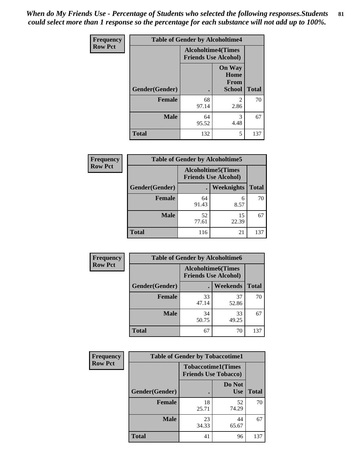*When do My Friends Use - Percentage of Students who selected the following responses.Students could select more than 1 response so the percentage for each substance will not add up to 100%.* **81**

| <b>Frequency</b> | <b>Table of Gender by Alcoholtime4</b> |                           |                                                       |              |
|------------------|----------------------------------------|---------------------------|-------------------------------------------------------|--------------|
| <b>Row Pct</b>   |                                        | <b>Alcoholtime4(Times</b> | <b>Friends Use Alcohol)</b>                           |              |
|                  | <b>Gender</b> (Gender)                 | $\bullet$                 | <b>On Way</b><br>Home<br><b>From</b><br><b>School</b> | <b>Total</b> |
|                  | <b>Female</b>                          | 68<br>97.14               | 2<br>2.86                                             | 70           |
|                  | <b>Male</b>                            | 64<br>95.52               | 3<br>4.48                                             | 67           |
|                  | <b>Total</b>                           | 132                       | 5                                                     | 137          |

| <b>Frequency</b> | <b>Table of Gender by Alcoholtime5</b> |                                                           |                   |              |  |
|------------------|----------------------------------------|-----------------------------------------------------------|-------------------|--------------|--|
| <b>Row Pct</b>   |                                        | <b>Alcoholtime5</b> (Times<br><b>Friends Use Alcohol)</b> |                   |              |  |
|                  | Gender(Gender)                         |                                                           | <b>Weeknights</b> | <b>Total</b> |  |
|                  | <b>Female</b>                          | 64<br>91.43                                               | 6<br>8.57         | 70           |  |
|                  | <b>Male</b>                            | 52<br>77.61                                               | 15<br>22.39       | 67           |  |
|                  | <b>Total</b>                           | 116                                                       | 21                | 137          |  |

| <b>Frequency</b> | <b>Table of Gender by Alcoholtime6</b> |             |                                                           |              |
|------------------|----------------------------------------|-------------|-----------------------------------------------------------|--------------|
| <b>Row Pct</b>   |                                        |             | <b>Alcoholtime6</b> (Times<br><b>Friends Use Alcohol)</b> |              |
|                  | Gender(Gender)                         |             | <b>Weekends</b>                                           | <b>Total</b> |
|                  | Female                                 | 33<br>47.14 | 37<br>52.86                                               | 70           |
|                  | <b>Male</b>                            | 34<br>50.75 | 33<br>49.25                                               | 67           |
|                  | <b>Total</b>                           | 67          | 70                                                        | 137          |

| Frequency      | <b>Table of Gender by Tobaccotime1</b> |                             |                           |              |
|----------------|----------------------------------------|-----------------------------|---------------------------|--------------|
| <b>Row Pct</b> |                                        | <b>Friends Use Tobacco)</b> | <b>Tobaccotime1(Times</b> |              |
|                | Gender(Gender)                         |                             | Do Not<br><b>Use</b>      | <b>Total</b> |
|                | Female                                 | 18<br>25.71                 | 52<br>74.29               | 70           |
|                | <b>Male</b>                            | 23<br>34.33                 | 44<br>65.67               | 67           |
|                | <b>Total</b>                           | 41                          | 96                        | 137          |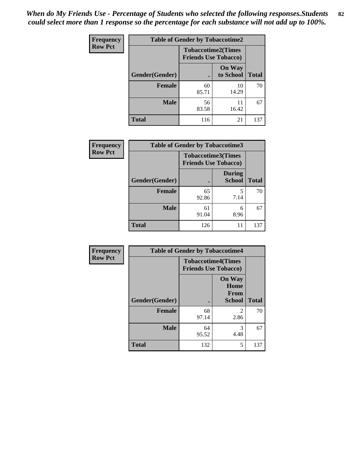| <b>Frequency</b> | <b>Table of Gender by Tobaccotime2</b> |                                                          |                            |              |
|------------------|----------------------------------------|----------------------------------------------------------|----------------------------|--------------|
| <b>Row Pct</b>   |                                        | <b>Tobaccotime2(Times</b><br><b>Friends Use Tobacco)</b> |                            |              |
|                  | Gender(Gender)                         |                                                          | <b>On Way</b><br>to School | <b>Total</b> |
|                  | <b>Female</b>                          | 60<br>85.71                                              | 10<br>14.29                | 70           |
|                  | <b>Male</b>                            | 56<br>83.58                                              | 11<br>16.42                | 67           |
|                  | <b>Total</b>                           | 116                                                      | 21                         | 137          |

| <b>Frequency</b> | <b>Table of Gender by Tobaccotime3</b> |                             |                                |              |
|------------------|----------------------------------------|-----------------------------|--------------------------------|--------------|
| <b>Row Pct</b>   |                                        | <b>Friends Use Tobacco)</b> | <b>Tobaccotime3(Times</b>      |              |
|                  | Gender(Gender)                         |                             | <b>During</b><br><b>School</b> | <b>Total</b> |
|                  | <b>Female</b>                          | 65<br>92.86                 | 5<br>7.14                      | 70           |
|                  | <b>Male</b>                            | 61<br>91.04                 | 6<br>8.96                      | 67           |
|                  | <b>Total</b>                           | 126                         | 11                             | 137          |

| <b>Frequency</b> | <b>Table of Gender by Tobaccotime4</b> |                                                          |                                                |              |
|------------------|----------------------------------------|----------------------------------------------------------|------------------------------------------------|--------------|
| <b>Row Pct</b>   |                                        | <b>Tobaccotime4(Times</b><br><b>Friends Use Tobacco)</b> |                                                |              |
|                  | Gender(Gender)                         |                                                          | <b>On Way</b><br>Home<br>From<br><b>School</b> | <b>Total</b> |
|                  | <b>Female</b>                          | 68<br>97.14                                              | $\mathfrak{D}$<br>2.86                         | 70           |
|                  | <b>Male</b>                            | 64<br>95.52                                              | 3<br>4.48                                      | 67           |
|                  | <b>Total</b>                           | 132                                                      | 5                                              | 137          |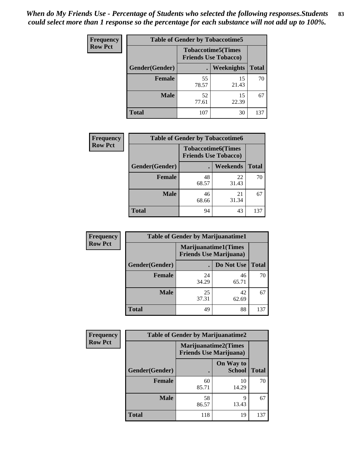| <b>Frequency</b> | <b>Table of Gender by Tobaccotime5</b> |             |                                                           |              |  |
|------------------|----------------------------------------|-------------|-----------------------------------------------------------|--------------|--|
| <b>Row Pct</b>   |                                        |             | <b>Tobaccotime5</b> (Times<br><b>Friends Use Tobacco)</b> |              |  |
|                  | Gender(Gender)                         |             | Weeknights                                                | <b>Total</b> |  |
|                  | <b>Female</b>                          | 55<br>78.57 | 15<br>21.43                                               | 70           |  |
|                  | <b>Male</b>                            | 52<br>77.61 | 15<br>22.39                                               | 67           |  |
|                  | Total                                  | 107         | 30                                                        | 137          |  |

| Frequency      |                | <b>Table of Gender by Tobaccotime6</b>                   |                 |              |
|----------------|----------------|----------------------------------------------------------|-----------------|--------------|
| <b>Row Pct</b> |                | <b>Tobaccotime6(Times</b><br><b>Friends Use Tobacco)</b> |                 |              |
|                | Gender(Gender) |                                                          | <b>Weekends</b> | <b>Total</b> |
|                | <b>Female</b>  | 48<br>68.57                                              | 22<br>31.43     | 70           |
|                | <b>Male</b>    | 46<br>68.66                                              | 21<br>31.34     | 67           |
|                | <b>Total</b>   | 94                                                       | 43              | 137          |

| <b>Frequency</b> | <b>Table of Gender by Marijuanatime1</b> |                                |                             |              |
|------------------|------------------------------------------|--------------------------------|-----------------------------|--------------|
| <b>Row Pct</b>   |                                          | <b>Friends Use Marijuana</b> ) | <b>Marijuanatime1(Times</b> |              |
|                  | Gender(Gender)                           |                                | Do Not Use                  | <b>Total</b> |
|                  | <b>Female</b>                            | 24<br>34.29                    | 46<br>65.71                 | 70           |
|                  | <b>Male</b>                              | 25<br>37.31                    | 42<br>62.69                 | 67           |
|                  | <b>Total</b>                             | 49                             | 88                          | 137          |

| <b>Frequency</b> | <b>Table of Gender by Marijuanatime2</b> |                                                               |                            |              |
|------------------|------------------------------------------|---------------------------------------------------------------|----------------------------|--------------|
| <b>Row Pct</b>   |                                          | <b>Marijuanatime2(Times</b><br><b>Friends Use Marijuana</b> ) |                            |              |
|                  | Gender(Gender)                           |                                                               | On Way to<br><b>School</b> | <b>Total</b> |
|                  | Female                                   | 60<br>85.71                                                   | 10<br>14.29                | 70           |
|                  | <b>Male</b>                              | 58<br>86.57                                                   | 9<br>13.43                 | 67           |
|                  | <b>Total</b>                             | 118                                                           | 19                         | 137          |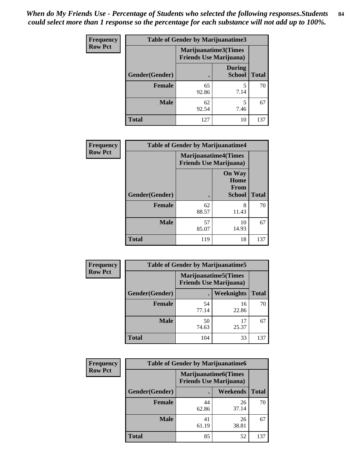| Frequency      | <b>Table of Gender by Marijuanatime3</b> |                                                        |                                |              |
|----------------|------------------------------------------|--------------------------------------------------------|--------------------------------|--------------|
| <b>Row Pct</b> |                                          | Marijuanatime3(Times<br><b>Friends Use Marijuana</b> ) |                                |              |
|                | Gender(Gender)                           |                                                        | <b>During</b><br><b>School</b> | <b>Total</b> |
|                | <b>Female</b>                            | 65<br>92.86                                            | 7.14                           | 70           |
|                | <b>Male</b>                              | 62<br>92.54                                            | 5<br>7.46                      | 67           |
|                | <b>Total</b>                             | 127                                                    | 10                             | 137          |

| Frequency      | <b>Table of Gender by Marijuanatime4</b> |                             |                                                |              |
|----------------|------------------------------------------|-----------------------------|------------------------------------------------|--------------|
| <b>Row Pct</b> |                                          | <b>Marijuanatime4(Times</b> | <b>Friends Use Marijuana</b> )                 |              |
|                | Gender(Gender)                           |                             | <b>On Way</b><br>Home<br>From<br><b>School</b> | <b>Total</b> |
|                | <b>Female</b>                            | 62<br>88.57                 | 8<br>11.43                                     | 70           |
|                | <b>Male</b>                              | 57<br>85.07                 | 10<br>14.93                                    | 67           |
|                | <b>Total</b>                             | 119                         | 18                                             | 137          |

| Frequency      | <b>Table of Gender by Marijuanatime5</b> |                                                                |                   |              |  |
|----------------|------------------------------------------|----------------------------------------------------------------|-------------------|--------------|--|
| <b>Row Pct</b> |                                          | <b>Marijuanatime5</b> (Times<br><b>Friends Use Marijuana</b> ) |                   |              |  |
|                | Gender(Gender)                           |                                                                | <b>Weeknights</b> | <b>Total</b> |  |
|                | <b>Female</b>                            | 54<br>77.14                                                    | 16<br>22.86       | 70           |  |
|                | <b>Male</b>                              | 50<br>74.63                                                    | 17<br>25.37       | 67           |  |
|                | <b>Total</b>                             | 104                                                            | 33                | 137          |  |

| Frequency      | <b>Table of Gender by Marijuanatime6</b> |                                                               |                 |              |  |
|----------------|------------------------------------------|---------------------------------------------------------------|-----------------|--------------|--|
| <b>Row Pct</b> |                                          | <b>Marijuanatime6(Times</b><br><b>Friends Use Marijuana</b> ) |                 |              |  |
|                | Gender(Gender)                           |                                                               | <b>Weekends</b> | <b>Total</b> |  |
|                | <b>Female</b>                            | 44<br>62.86                                                   | 26<br>37.14     | 70           |  |
|                | <b>Male</b>                              | 41<br>61.19                                                   | 26<br>38.81     | 67           |  |
|                | <b>Total</b>                             | 85                                                            | 52              | 137          |  |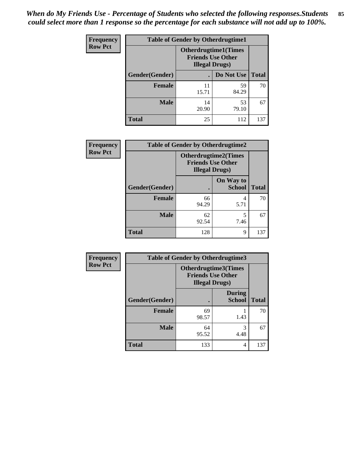| <b>Frequency</b> | <b>Table of Gender by Otherdrugtime1</b> |                                                                                  |                    |     |  |
|------------------|------------------------------------------|----------------------------------------------------------------------------------|--------------------|-----|--|
| <b>Row Pct</b>   |                                          | <b>Otherdrugtime1(Times</b><br><b>Friends Use Other</b><br><b>Illegal Drugs)</b> |                    |     |  |
|                  | Gender(Gender)                           |                                                                                  | Do Not Use   Total |     |  |
|                  | <b>Female</b>                            | 11<br>15.71                                                                      | 59<br>84.29        | 70  |  |
|                  | <b>Male</b>                              | 14<br>20.90                                                                      | 53<br>79.10        | 67  |  |
|                  | <b>Total</b>                             | 25                                                                               | 112                | 137 |  |

| Frequency      | <b>Table of Gender by Otherdrugtime2</b> |                                                                                   |                            |              |
|----------------|------------------------------------------|-----------------------------------------------------------------------------------|----------------------------|--------------|
| <b>Row Pct</b> |                                          | <b>Otherdrugtime2(Times</b><br><b>Friends Use Other</b><br><b>Illegal Drugs</b> ) |                            |              |
|                | Gender(Gender)                           |                                                                                   | On Way to<br><b>School</b> | <b>Total</b> |
|                | <b>Female</b>                            | 66<br>94.29                                                                       | 4<br>5.71                  | 70           |
|                | <b>Male</b>                              | 62<br>92.54                                                                       | 5<br>7.46                  | 67           |
|                | <b>Total</b>                             | 128                                                                               | 9                          | 137          |

| <b>Frequency</b> |                | <b>Table of Gender by Otherdrugtime3</b>           |                                |              |
|------------------|----------------|----------------------------------------------------|--------------------------------|--------------|
| <b>Row Pct</b>   |                | <b>Friends Use Other</b><br><b>Illegal Drugs</b> ) | <b>Otherdrugtime3</b> (Times   |              |
|                  | Gender(Gender) | $\bullet$                                          | <b>During</b><br><b>School</b> | <b>Total</b> |
|                  | <b>Female</b>  | 69<br>98.57                                        | 1.43                           | 70           |
|                  | <b>Male</b>    | 64<br>95.52                                        | 3<br>4.48                      | 67           |
|                  | <b>Total</b>   | 133                                                | 4                              | 137          |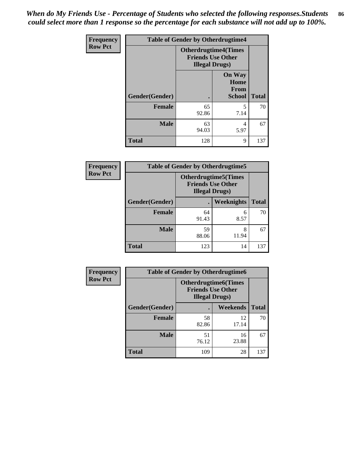*When do My Friends Use - Percentage of Students who selected the following responses.Students could select more than 1 response so the percentage for each substance will not add up to 100%.* **86**

| <b>Frequency</b> | <b>Table of Gender by Otherdrugtime4</b> |                                                    |                                                |              |
|------------------|------------------------------------------|----------------------------------------------------|------------------------------------------------|--------------|
| <b>Row Pct</b>   |                                          | <b>Friends Use Other</b><br><b>Illegal Drugs</b> ) | <b>Otherdrugtime4(Times</b>                    |              |
|                  | Gender(Gender)                           |                                                    | <b>On Way</b><br>Home<br>From<br><b>School</b> | <b>Total</b> |
|                  | Female                                   | 65<br>92.86                                        | 5<br>7.14                                      | 70           |
|                  | <b>Male</b>                              | 63<br>94.03                                        | 4<br>5.97                                      | 67           |
|                  | <b>Total</b>                             | 128                                                | 9                                              | 137          |

| Frequency      | <b>Table of Gender by Otherdrugtime5</b> |                                                                                    |                   |              |
|----------------|------------------------------------------|------------------------------------------------------------------------------------|-------------------|--------------|
| <b>Row Pct</b> |                                          | <b>Otherdrugtime5</b> (Times<br><b>Friends Use Other</b><br><b>Illegal Drugs</b> ) |                   |              |
|                | Gender(Gender)                           |                                                                                    | <b>Weeknights</b> | <b>Total</b> |
|                | <b>Female</b>                            | 64<br>91.43                                                                        | 6<br>8.57         | 70           |
|                | <b>Male</b>                              | 59<br>88.06                                                                        | 8<br>11.94        | 67           |
|                | <b>Total</b>                             | 123                                                                                | 14                | 137          |

| Frequency      | <b>Table of Gender by Otherdrugtime6</b> |                                                                                   |             |              |  |
|----------------|------------------------------------------|-----------------------------------------------------------------------------------|-------------|--------------|--|
| <b>Row Pct</b> |                                          | <b>Otherdrugtime6(Times</b><br><b>Friends Use Other</b><br><b>Illegal Drugs</b> ) |             |              |  |
|                | Gender(Gender)                           |                                                                                   | Weekends    | <b>Total</b> |  |
|                | <b>Female</b>                            | 58<br>82.86                                                                       | 12<br>17.14 | 70           |  |
|                | <b>Male</b>                              | 51<br>76.12                                                                       | 16<br>23.88 | 67           |  |
|                | <b>Total</b>                             | 109                                                                               | 28          | 137          |  |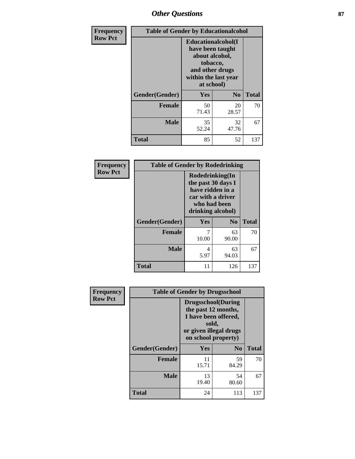# *Other Questions* **87**

| <b>Frequency</b> | <b>Table of Gender by Educationalcohol</b> |                                                                                                                                       |                |              |
|------------------|--------------------------------------------|---------------------------------------------------------------------------------------------------------------------------------------|----------------|--------------|
| <b>Row Pct</b>   |                                            | <b>Educationalcohol</b> (I<br>have been taught<br>about alcohol,<br>tobacco,<br>and other drugs<br>within the last year<br>at school) |                |              |
|                  | Gender(Gender)                             | <b>Yes</b>                                                                                                                            | N <sub>0</sub> | <b>Total</b> |
|                  | <b>Female</b>                              | 50<br>71.43                                                                                                                           | 20<br>28.57    | 70           |
|                  | <b>Male</b>                                | 35<br>52.24                                                                                                                           | 32<br>47.76    | 67           |
|                  | <b>Total</b>                               | 85                                                                                                                                    | 52             | 137          |

| Frequency      | <b>Table of Gender by Rodedrinking</b> |                                                                                                                     |             |              |  |
|----------------|----------------------------------------|---------------------------------------------------------------------------------------------------------------------|-------------|--------------|--|
| <b>Row Pct</b> |                                        | Rodedrinking(In<br>the past 30 days I<br>have ridden in a<br>car with a driver<br>who had been<br>drinking alcohol) |             |              |  |
|                | Gender(Gender)                         | Yes<br>$\mathbf{N}\mathbf{0}$                                                                                       |             | <b>Total</b> |  |
|                | <b>Female</b>                          | 10.00                                                                                                               | 63<br>90.00 | 70           |  |
|                | <b>Male</b>                            | 4<br>5.97                                                                                                           | 63<br>94.03 | 67           |  |
|                | <b>Total</b>                           | 11                                                                                                                  | 126         | 137          |  |

| Frequency      | <b>Table of Gender by Drugsschool</b> |                                                                                                                                     |                |              |  |
|----------------|---------------------------------------|-------------------------------------------------------------------------------------------------------------------------------------|----------------|--------------|--|
| <b>Row Pct</b> |                                       | <b>Drugsschool</b> (During<br>the past 12 months,<br>I have been offered,<br>sold,<br>or given illegal drugs<br>on school property) |                |              |  |
|                | Gender(Gender)                        | <b>Yes</b>                                                                                                                          | N <sub>0</sub> | <b>Total</b> |  |
|                | <b>Female</b>                         | 11<br>15.71                                                                                                                         | 59<br>84.29    | 70           |  |
|                | <b>Male</b>                           | 13<br>19.40                                                                                                                         | 54<br>80.60    | 67           |  |
|                | <b>Total</b>                          | 24                                                                                                                                  | 113            | 137          |  |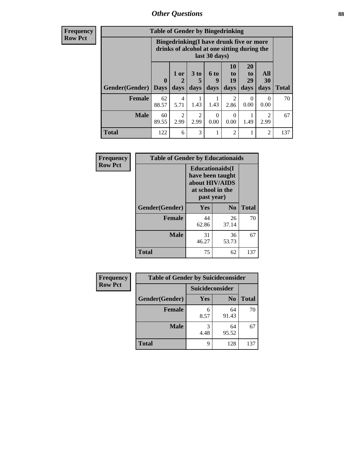# *Other Questions* **88**

**Frequency Row Pct**

| <b>Table of Gender by Bingedrinking</b> |             |                                                                                                         |           |                  |                        |                       |                        |              |
|-----------------------------------------|-------------|---------------------------------------------------------------------------------------------------------|-----------|------------------|------------------------|-----------------------|------------------------|--------------|
|                                         |             | Bingedrinking(I have drunk five or more<br>drinks of alcohol at one sitting during the<br>last 30 days) |           |                  |                        |                       |                        |              |
|                                         | $\bf{0}$    | $1$ or                                                                                                  | 3 to<br>5 | <b>6 to</b><br>q | 10<br>to<br>19         | <b>20</b><br>to<br>29 | All<br>30              |              |
| <b>Gender</b> (Gender)                  | <b>Days</b> | days                                                                                                    | days      | days             | days                   | days                  | days                   | <b>Total</b> |
| <b>Female</b>                           | 62<br>88.57 | 4<br>5.71                                                                                               | 1.43      | 1.43             | $\overline{2}$<br>2.86 | 0<br>0.00             | $\Omega$<br>0.00       | 70           |
| <b>Male</b>                             | 60<br>89.55 | 2<br>2.99                                                                                               | 2<br>2.99 | 0<br>0.00        | $\Omega$<br>0.00       | 1.49                  | $\mathfrak{D}$<br>2.99 | 67           |

| Frequency      | <b>Table of Gender by Educationaids</b> |                                                                                                 |                |              |  |
|----------------|-----------------------------------------|-------------------------------------------------------------------------------------------------|----------------|--------------|--|
| <b>Row Pct</b> |                                         | <b>Educationaids</b> (I<br>have been taught<br>about HIV/AIDS<br>at school in the<br>past year) |                |              |  |
|                | Gender(Gender)                          | Yes                                                                                             | N <sub>0</sub> | <b>Total</b> |  |
|                | <b>Female</b>                           | 44<br>62.86                                                                                     | 26<br>37.14    | 70           |  |
|                | <b>Male</b>                             | 31<br>46.27                                                                                     | 36<br>53.73    | 67           |  |
|                | <b>Total</b>                            | 75                                                                                              | 62             | 137          |  |

| <b>Frequency</b> | <b>Table of Gender by Suicideconsider</b> |                 |                |              |  |
|------------------|-------------------------------------------|-----------------|----------------|--------------|--|
| <b>Row Pct</b>   |                                           | Suicideconsider |                |              |  |
|                  | Gender(Gender)                            | Yes             | N <sub>0</sub> | <b>Total</b> |  |
|                  | <b>Female</b>                             | 6<br>8.57       | 64<br>91.43    | 70           |  |
|                  | <b>Male</b>                               | 4.48            | 64<br>95.52    | 67           |  |
|                  | <b>Total</b>                              | q               | 128            | 137          |  |